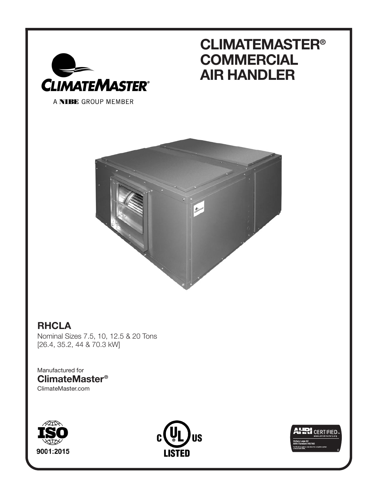

## **CLIMATEMASTER® COMMERCIAL AIR HANDLER**



## **RHCLA**

Nominal Sizes 7.5, 10, 12.5 & 20 Tons [26.4, 35.2, 44 & 70.3 kW]

Manufactured for **ClimateMaster®** ClimateMaster.com





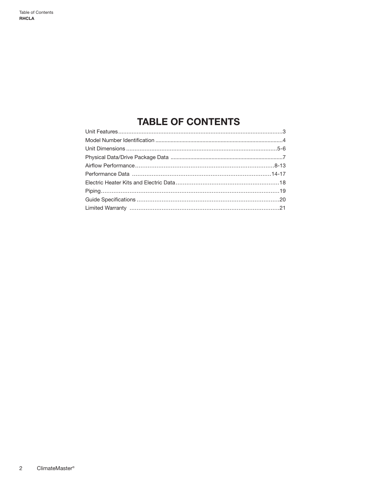## **TABLE OF CONTENTS**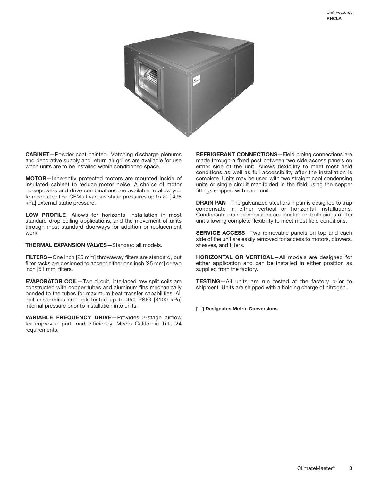

**CABINET**—Powder coat painted. Matching discharge plenums and decorative supply and return air grilles are available for use when units are to be installed within conditioned space.

**MOTOR**—Inherently protected motors are mounted inside of insulated cabinet to reduce motor noise. A choice of motor horsepowers and drive combinations are available to allow you to meet specified CFM at various static pressures up to 2" [.498 kPa] external static pressure.

**LOW PROFILE**—Allows for horizontal installation in most standard drop ceiling applications, and the movement of units through most standard doorways for addition or replacement work.

**THERMAL EXPANSION VALVES**—Standard all models.

**FILTERS**—One inch [25 mm] throwaway filters are standard, but filter racks are designed to accept either one inch [25 mm] or two inch [51 mm] filters.

**EVAPORATOR COIL**—Two circuit, interlaced row split coils are constructed with copper tubes and aluminum fins mechanically bonded to the tubes for maximum heat transfer capabilities. All coil assemblies are leak tested up to 450 PSIG [3100 kPa] internal pressure prior to installation into units.

**VARIABLE FREQUENCY DRIVE**—Provides 2-stage airflow for improved part load efficiency. Meets California Title 24 requirements.

**REFRIGERANT CONNECTIONS**—Field piping connections are made through a fixed post between two side access panels on either side of the unit. Allows flexibility to meet most field conditions as well as full accessibility after the installation is complete. Units may be used with two straight cool condensing units or single circuit manifolded in the field using the copper fittings shipped with each unit.

**DRAIN PAN**—The galvanized steel drain pan is designed to trap condensate in either vertical or horizontal installations. Condensate drain connections are located on both sides of the unit allowing complete flexibility to meet most field conditions.

**SERVICE ACCESS**—Two removable panels on top and each side of the unit are easily removed for access to motors, blowers, sheaves, and filters.

**HORIZONTAL OR VERTICAL**—All models are designed for either application and can be installed in either position as supplied from the factory.

**TESTING**—All units are run tested at the factory prior to shipment. Units are shipped with a holding charge of nitrogen.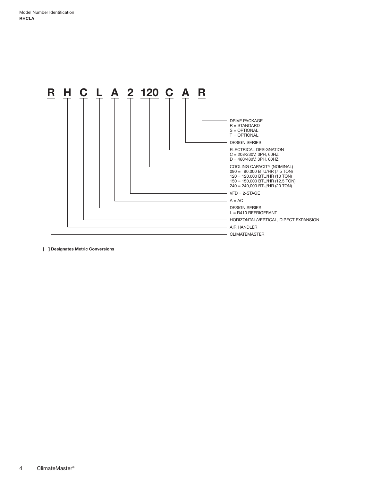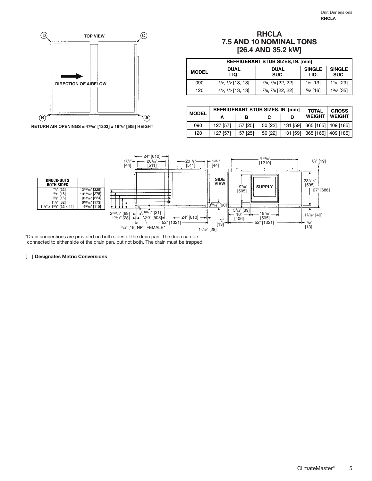

**RETURN AIR OPENINGS = 473/8**- **[1203] x 197/8**- **[505] HEIGHT**

#### **RHCLA 7.5 AND 10 NOMINAL TONS [26.4 AND 35.2 kW]**

|              | <b>REFRIGERANT STUB SIZES, IN. [mm]</b> |                                        |                       |                       |  |  |  |  |  |  |  |
|--------------|-----------------------------------------|----------------------------------------|-----------------------|-----------------------|--|--|--|--|--|--|--|
| <b>MODEL</b> | <b>DUAL</b><br>LIQ.                     | <b>DUAL</b><br>SUC.                    | <b>SINGLE</b><br>LIQ. | <b>SINGLE</b><br>SUC. |  |  |  |  |  |  |  |
| 090          | $\frac{1}{2}$ , $\frac{1}{2}$ [13, 13]  | $7/8, 7/8$ [22, 22]                    | $1/2$ [13]            | $1\frac{1}{8}$ [29]   |  |  |  |  |  |  |  |
| 120          | $\frac{1}{2}$ , $\frac{1}{2}$ [13, 13]  | $\frac{7}{8}$ , $\frac{7}{8}$ [22, 22] | $5/8$ [16]            | $1^{3}/8$ [35]        |  |  |  |  |  |  |  |

| l MODEL |          | <b>REFRIGERANT STUB SIZES, IN. [mm]</b> |         | <b>TOTAL</b>  | <b>GROSS</b>                 |
|---------|----------|-----------------------------------------|---------|---------------|------------------------------|
|         |          |                                         |         | <b>WEIGHT</b> | <b>WEIGHT</b>                |
| 090     | 127 [57] | 57 [25]                                 | 50 [22] |               | 131 [59] 365 [165] 409 [185] |
| 120     | 127 [57] | 57 [25]                                 | 50 [22] |               | 131 [59] 365 [165] 409 [185] |



\*Drain connections are provided on both sides of the drain pan. The drain can be connected to either side of the drain pan, but not both. The drain must be trapped.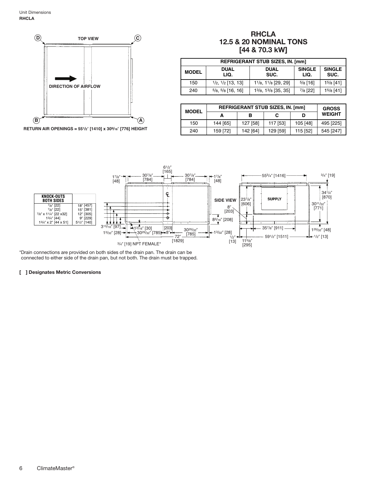

#### **RHCLA 12.5 & 20 NOMINAL TONS [44 & 70.3 kW]**

| <b>REFRIGERANT STUB SIZES, IN. [mm]</b> |                                        |                                |                       |                       |  |  |  |  |  |  |
|-----------------------------------------|----------------------------------------|--------------------------------|-----------------------|-----------------------|--|--|--|--|--|--|
| <b>MODEL</b>                            | <b>DUAL</b><br>LIQ.                    | <b>DUAL</b><br>SUC.            | <b>SINGLE</b><br>LIQ. | <b>SINGLE</b><br>SUC. |  |  |  |  |  |  |
| 150                                     | $1/2$ , $1/2$ [13, 13]                 | 11/8, 11/8 [29, 29]            | $5/8$ [16]            | $15/8$ [41]           |  |  |  |  |  |  |
| 240                                     | $\frac{5}{8}$ , $\frac{5}{8}$ [16, 16] | $1^{3}/8$ , $1^{3}/8$ [35, 35] | $\frac{7}{8}$ [22]    | $15/8$ [41]           |  |  |  |  |  |  |

| <b>MODEL</b> |          | <b>REFRIGERANT STUB SIZES, IN. [mm]</b> |               |          |           |  |  |  |  |  |  |
|--------------|----------|-----------------------------------------|---------------|----------|-----------|--|--|--|--|--|--|
|              | А        | D                                       | <b>WEIGHT</b> |          |           |  |  |  |  |  |  |
| 150          | 144 [65] | 127 [58]                                | 117 [53]      | 105 [48] | 495 [225] |  |  |  |  |  |  |
| 240          | 159 [72] | 142 [64]                                | 129 [59]      | 115 [52] | 545 [247] |  |  |  |  |  |  |



\*Drain connections are provided on both sides of the drain pan. The drain can be connected to either side of the drain pan, but not both. The drain must be trapped.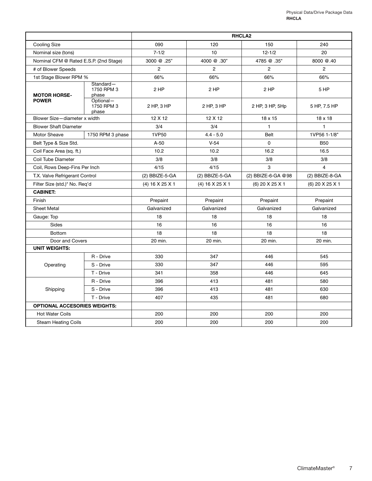|                                                         |                                  |                 | <b>RHCLA2</b>    |                    |                 |  |  |  |  |  |  |
|---------------------------------------------------------|----------------------------------|-----------------|------------------|--------------------|-----------------|--|--|--|--|--|--|
| <b>Cooling Size</b>                                     |                                  | 090             | 120              | 150                | 240             |  |  |  |  |  |  |
| Nominal size (tons)                                     |                                  | $7 - 1/2$       | 10 <sup>10</sup> | $12 - 1/2$         | 20              |  |  |  |  |  |  |
| Nominal CFM @ Rated E.S.P. (2nd Stage)                  |                                  | 3000 @ .25"     | 4000 @ .30"      | 4785 @ .35"        | 8000 @.40       |  |  |  |  |  |  |
| # of Blower Speeds                                      |                                  | $\overline{2}$  | $\overline{2}$   | $\overline{2}$     | $\overline{2}$  |  |  |  |  |  |  |
| 1st Stage Blower RPM %                                  |                                  | 66%             | 66%              | 66%                | 66%             |  |  |  |  |  |  |
| Standard-<br>1750 RPM 3<br><b>MOTOR HORSE-</b><br>phase |                                  | 2 HP            | 2 HP             | 2 HP               | 5 HP            |  |  |  |  |  |  |
| <b>POWER</b>                                            | Optional-<br>1750 RPM 3<br>phase | 2 HP, 3 HP      | $2$ HP, $3$ HP   | 2 HP, 3 HP, 5Hp    | 5 HP, 7.5 HP    |  |  |  |  |  |  |
| Blower Size-diameter x width                            |                                  | 12 X 12         | 12 X 12          | 18 x 15            | 18 x 18         |  |  |  |  |  |  |
| <b>Blower Shaft Diameter</b>                            |                                  | 3/4             | 3/4              | $\mathbf{1}$       | $\mathbf{1}$    |  |  |  |  |  |  |
| <b>Motor Sheave</b>                                     | 1750 RPM 3 phase                 | 1VP50           | $4.4 - 5.0$      | <b>Belt</b>        | 1VP56 1-1/8"    |  |  |  |  |  |  |
| Belt Type & Size Std.                                   |                                  | $A-50$          | $V-54$           | $\Omega$           | <b>B50</b>      |  |  |  |  |  |  |
| Coil Face Area (sq. ft.)                                |                                  | 10.2            | 10.2             | 16.2               | 16.5            |  |  |  |  |  |  |
| Coil Tube Diameter                                      |                                  | 3/8             | 3/8<br>3/8       |                    | 3/8             |  |  |  |  |  |  |
| Coil, Rows Deep-Fins Per Inch                           |                                  | 4/15            | 4/15             | 3                  | $\overline{4}$  |  |  |  |  |  |  |
| T.X. Valve Refrigerant Control                          |                                  | (2) BBIZE-5-GA  | (2) BBIZE-5-GA   | (2) BBIZE-6-GA @98 | (2) BBIZE-8-GA  |  |  |  |  |  |  |
| Filter Size (std.)* No. Req'd                           |                                  | (4) 16 X 25 X 1 | (4) 16 X 25 X 1  | (6) 20 X 25 X 1    | (6) 20 X 25 X 1 |  |  |  |  |  |  |
| <b>CABINET:</b>                                         |                                  |                 |                  |                    |                 |  |  |  |  |  |  |
| Finish                                                  |                                  | Prepaint        | Prepaint         | Prepaint           | Prepaint        |  |  |  |  |  |  |
| <b>Sheet Metal</b>                                      |                                  | Galvanized      | Galvanized       | Galvanized         | Galvanized      |  |  |  |  |  |  |
| Gauge: Top                                              |                                  | 18              | 18               | 18                 | 18              |  |  |  |  |  |  |
| Sides                                                   |                                  | 16              | 16               | 16                 | 16              |  |  |  |  |  |  |
| <b>Bottom</b>                                           |                                  | 18              | 18               | 18                 | 18              |  |  |  |  |  |  |
| Door and Covers                                         |                                  | 20 min.         | 20 min.          | 20 min.            | 20 min.         |  |  |  |  |  |  |
| <b>UNIT WEIGHTS:</b>                                    |                                  |                 |                  |                    |                 |  |  |  |  |  |  |
|                                                         | R - Drive                        | 330             | 347              | 446                | 545             |  |  |  |  |  |  |
| Operating                                               | S - Drive                        | 330             | 347              | 446                | 595             |  |  |  |  |  |  |
|                                                         | T - Drive                        | 341             | 358              | 446                | 645             |  |  |  |  |  |  |
|                                                         | R - Drive                        | 396             | 413              | 481                | 580             |  |  |  |  |  |  |
| Shipping                                                | S - Drive                        | 396             | 413              | 481                | 630             |  |  |  |  |  |  |
|                                                         | T - Drive                        | 407             | 435              | 481                | 680             |  |  |  |  |  |  |
| <b>OPTIONAL ACCESORIES WEIGHTS:</b>                     |                                  |                 |                  |                    |                 |  |  |  |  |  |  |
| <b>Hot Water Coils</b>                                  |                                  | 200             | 200              | 200                | 200             |  |  |  |  |  |  |
| <b>Steam Heating Coils</b>                              |                                  | 200             | 200              | 200                | 200             |  |  |  |  |  |  |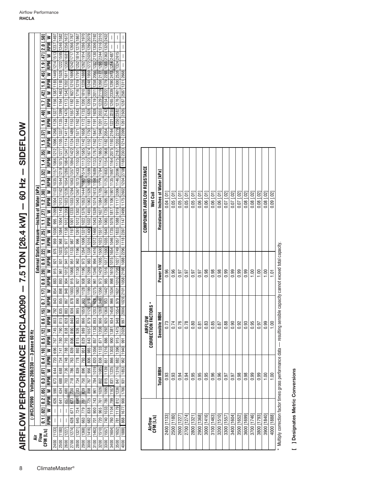|                                             |                                                     |                                                                                                                                                                                                                                                           |                                                                                                                                                                                                |                                                                                                                                                                                                                                                                                                                   |                                                                                                                                                                                                                                                                                                                                                                                                                |                                                                                                                                                                                                                                                                                                                                                                                                                                                                                                                                                                                                                                                                            |                                                                                                                                                                                                                                                        |                                                                                                                                                                                                                                       |                                                                                                                                                                                                                                                                                       |                                                                                                                                                                                                                                                                                        |                                                                                                                                                                                                                                                               |                                                                                                                                                                                                                                                                                    | I                                                                                                                                                                                                                                                                                                    | I                                                                                                                                                                                                                                                                       | $\overline{\phantom{a}}$                                                                                                                                                                                                                                            |                                                                                                                                                                                                                                                                                                      |
|---------------------------------------------|-----------------------------------------------------|-----------------------------------------------------------------------------------------------------------------------------------------------------------------------------------------------------------------------------------------------------------|------------------------------------------------------------------------------------------------------------------------------------------------------------------------------------------------|-------------------------------------------------------------------------------------------------------------------------------------------------------------------------------------------------------------------------------------------------------------------------------------------------------------------|----------------------------------------------------------------------------------------------------------------------------------------------------------------------------------------------------------------------------------------------------------------------------------------------------------------------------------------------------------------------------------------------------------------|----------------------------------------------------------------------------------------------------------------------------------------------------------------------------------------------------------------------------------------------------------------------------------------------------------------------------------------------------------------------------------------------------------------------------------------------------------------------------------------------------------------------------------------------------------------------------------------------------------------------------------------------------------------------------|--------------------------------------------------------------------------------------------------------------------------------------------------------------------------------------------------------------------------------------------------------|---------------------------------------------------------------------------------------------------------------------------------------------------------------------------------------------------------------------------------------|---------------------------------------------------------------------------------------------------------------------------------------------------------------------------------------------------------------------------------------------------------------------------------------|----------------------------------------------------------------------------------------------------------------------------------------------------------------------------------------------------------------------------------------------------------------------------------------|---------------------------------------------------------------------------------------------------------------------------------------------------------------------------------------------------------------------------------------------------------------|------------------------------------------------------------------------------------------------------------------------------------------------------------------------------------------------------------------------------------------------------------------------------------|------------------------------------------------------------------------------------------------------------------------------------------------------------------------------------------------------------------------------------------------------------------------------------------------------|-------------------------------------------------------------------------------------------------------------------------------------------------------------------------------------------------------------------------------------------------------------------------|---------------------------------------------------------------------------------------------------------------------------------------------------------------------------------------------------------------------------------------------------------------------|------------------------------------------------------------------------------------------------------------------------------------------------------------------------------------------------------------------------------------------------------------------------------------------------------|
|                                             |                                                     |                                                                                                                                                                                                                                                           |                                                                                                                                                                                                |                                                                                                                                                                                                                                                                                                                   |                                                                                                                                                                                                                                                                                                                                                                                                                |                                                                                                                                                                                                                                                                                                                                                                                                                                                                                                                                                                                                                                                                            |                                                                                                                                                                                                                                                        |                                                                                                                                                                                                                                       |                                                                                                                                                                                                                                                                                       |                                                                                                                                                                                                                                                                                        |                                                                                                                                                                                                                                                               |                                                                                                                                                                                                                                                                                    |                                                                                                                                                                                                                                                                                                      |                                                                                                                                                                                                                                                                         | $\overline{\phantom{a}}$                                                                                                                                                                                                                                            |                                                                                                                                                                                                                                                                                                      |
|                                             |                                                     |                                                                                                                                                                                                                                                           |                                                                                                                                                                                                |                                                                                                                                                                                                                                                                                                                   |                                                                                                                                                                                                                                                                                                                                                                                                                |                                                                                                                                                                                                                                                                                                                                                                                                                                                                                                                                                                                                                                                                            |                                                                                                                                                                                                                                                        |                                                                                                                                                                                                                                       |                                                                                                                                                                                                                                                                                       |                                                                                                                                                                                                                                                                                        |                                                                                                                                                                                                                                                               |                                                                                                                                                                                                                                                                                    |                                                                                                                                                                                                                                                                                                      |                                                                                                                                                                                                                                                                         |                                                                                                                                                                                                                                                                     |                                                                                                                                                                                                                                                                                                      |
|                                             |                                                     |                                                                                                                                                                                                                                                           |                                                                                                                                                                                                |                                                                                                                                                                                                                                                                                                                   |                                                                                                                                                                                                                                                                                                                                                                                                                |                                                                                                                                                                                                                                                                                                                                                                                                                                                                                                                                                                                                                                                                            |                                                                                                                                                                                                                                                        |                                                                                                                                                                                                                                       |                                                                                                                                                                                                                                                                                       |                                                                                                                                                                                                                                                                                        |                                                                                                                                                                                                                                                               |                                                                                                                                                                                                                                                                                    |                                                                                                                                                                                                                                                                                                      |                                                                                                                                                                                                                                                                         |                                                                                                                                                                                                                                                                     |                                                                                                                                                                                                                                                                                                      |
|                                             |                                                     |                                                                                                                                                                                                                                                           |                                                                                                                                                                                                |                                                                                                                                                                                                                                                                                                                   |                                                                                                                                                                                                                                                                                                                                                                                                                |                                                                                                                                                                                                                                                                                                                                                                                                                                                                                                                                                                                                                                                                            |                                                                                                                                                                                                                                                        |                                                                                                                                                                                                                                       |                                                                                                                                                                                                                                                                                       |                                                                                                                                                                                                                                                                                        |                                                                                                                                                                                                                                                               |                                                                                                                                                                                                                                                                                    |                                                                                                                                                                                                                                                                                                      |                                                                                                                                                                                                                                                                         |                                                                                                                                                                                                                                                                     |                                                                                                                                                                                                                                                                                                      |
|                                             |                                                     |                                                                                                                                                                                                                                                           |                                                                                                                                                                                                |                                                                                                                                                                                                                                                                                                                   |                                                                                                                                                                                                                                                                                                                                                                                                                |                                                                                                                                                                                                                                                                                                                                                                                                                                                                                                                                                                                                                                                                            |                                                                                                                                                                                                                                                        |                                                                                                                                                                                                                                       |                                                                                                                                                                                                                                                                                       |                                                                                                                                                                                                                                                                                        |                                                                                                                                                                                                                                                               |                                                                                                                                                                                                                                                                                    |                                                                                                                                                                                                                                                                                                      |                                                                                                                                                                                                                                                                         |                                                                                                                                                                                                                                                                     |                                                                                                                                                                                                                                                                                                      |
|                                             |                                                     |                                                                                                                                                                                                                                                           |                                                                                                                                                                                                |                                                                                                                                                                                                                                                                                                                   |                                                                                                                                                                                                                                                                                                                                                                                                                |                                                                                                                                                                                                                                                                                                                                                                                                                                                                                                                                                                                                                                                                            |                                                                                                                                                                                                                                                        |                                                                                                                                                                                                                                       |                                                                                                                                                                                                                                                                                       |                                                                                                                                                                                                                                                                                        |                                                                                                                                                                                                                                                               |                                                                                                                                                                                                                                                                                    |                                                                                                                                                                                                                                                                                                      |                                                                                                                                                                                                                                                                         |                                                                                                                                                                                                                                                                     |                                                                                                                                                                                                                                                                                                      |
|                                             |                                                     |                                                                                                                                                                                                                                                           |                                                                                                                                                                                                |                                                                                                                                                                                                                                                                                                                   |                                                                                                                                                                                                                                                                                                                                                                                                                |                                                                                                                                                                                                                                                                                                                                                                                                                                                                                                                                                                                                                                                                            |                                                                                                                                                                                                                                                        |                                                                                                                                                                                                                                       |                                                                                                                                                                                                                                                                                       |                                                                                                                                                                                                                                                                                        |                                                                                                                                                                                                                                                               |                                                                                                                                                                                                                                                                                    |                                                                                                                                                                                                                                                                                                      |                                                                                                                                                                                                                                                                         |                                                                                                                                                                                                                                                                     |                                                                                                                                                                                                                                                                                                      |
|                                             |                                                     |                                                                                                                                                                                                                                                           |                                                                                                                                                                                                |                                                                                                                                                                                                                                                                                                                   |                                                                                                                                                                                                                                                                                                                                                                                                                |                                                                                                                                                                                                                                                                                                                                                                                                                                                                                                                                                                                                                                                                            |                                                                                                                                                                                                                                                        |                                                                                                                                                                                                                                       |                                                                                                                                                                                                                                                                                       |                                                                                                                                                                                                                                                                                        |                                                                                                                                                                                                                                                               |                                                                                                                                                                                                                                                                                    |                                                                                                                                                                                                                                                                                                      |                                                                                                                                                                                                                                                                         |                                                                                                                                                                                                                                                                     |                                                                                                                                                                                                                                                                                                      |
|                                             |                                                     |                                                                                                                                                                                                                                                           |                                                                                                                                                                                                |                                                                                                                                                                                                                                                                                                                   |                                                                                                                                                                                                                                                                                                                                                                                                                |                                                                                                                                                                                                                                                                                                                                                                                                                                                                                                                                                                                                                                                                            |                                                                                                                                                                                                                                                        |                                                                                                                                                                                                                                       |                                                                                                                                                                                                                                                                                       |                                                                                                                                                                                                                                                                                        |                                                                                                                                                                                                                                                               |                                                                                                                                                                                                                                                                                    |                                                                                                                                                                                                                                                                                                      |                                                                                                                                                                                                                                                                         |                                                                                                                                                                                                                                                                     |                                                                                                                                                                                                                                                                                                      |
|                                             |                                                     |                                                                                                                                                                                                                                                           |                                                                                                                                                                                                |                                                                                                                                                                                                                                                                                                                   |                                                                                                                                                                                                                                                                                                                                                                                                                |                                                                                                                                                                                                                                                                                                                                                                                                                                                                                                                                                                                                                                                                            |                                                                                                                                                                                                                                                        |                                                                                                                                                                                                                                       |                                                                                                                                                                                                                                                                                       |                                                                                                                                                                                                                                                                                        |                                                                                                                                                                                                                                                               |                                                                                                                                                                                                                                                                                    |                                                                                                                                                                                                                                                                                                      |                                                                                                                                                                                                                                                                         |                                                                                                                                                                                                                                                                     |                                                                                                                                                                                                                                                                                                      |
|                                             |                                                     |                                                                                                                                                                                                                                                           |                                                                                                                                                                                                |                                                                                                                                                                                                                                                                                                                   |                                                                                                                                                                                                                                                                                                                                                                                                                |                                                                                                                                                                                                                                                                                                                                                                                                                                                                                                                                                                                                                                                                            |                                                                                                                                                                                                                                                        |                                                                                                                                                                                                                                       |                                                                                                                                                                                                                                                                                       |                                                                                                                                                                                                                                                                                        |                                                                                                                                                                                                                                                               |                                                                                                                                                                                                                                                                                    |                                                                                                                                                                                                                                                                                                      |                                                                                                                                                                                                                                                                         |                                                                                                                                                                                                                                                                     |                                                                                                                                                                                                                                                                                                      |
|                                             |                                                     |                                                                                                                                                                                                                                                           |                                                                                                                                                                                                |                                                                                                                                                                                                                                                                                                                   |                                                                                                                                                                                                                                                                                                                                                                                                                |                                                                                                                                                                                                                                                                                                                                                                                                                                                                                                                                                                                                                                                                            |                                                                                                                                                                                                                                                        |                                                                                                                                                                                                                                       |                                                                                                                                                                                                                                                                                       |                                                                                                                                                                                                                                                                                        |                                                                                                                                                                                                                                                               |                                                                                                                                                                                                                                                                                    |                                                                                                                                                                                                                                                                                                      |                                                                                                                                                                                                                                                                         |                                                                                                                                                                                                                                                                     |                                                                                                                                                                                                                                                                                                      |
|                                             |                                                     |                                                                                                                                                                                                                                                           |                                                                                                                                                                                                |                                                                                                                                                                                                                                                                                                                   |                                                                                                                                                                                                                                                                                                                                                                                                                |                                                                                                                                                                                                                                                                                                                                                                                                                                                                                                                                                                                                                                                                            |                                                                                                                                                                                                                                                        |                                                                                                                                                                                                                                       |                                                                                                                                                                                                                                                                                       |                                                                                                                                                                                                                                                                                        |                                                                                                                                                                                                                                                               |                                                                                                                                                                                                                                                                                    |                                                                                                                                                                                                                                                                                                      |                                                                                                                                                                                                                                                                         |                                                                                                                                                                                                                                                                     |                                                                                                                                                                                                                                                                                                      |
|                                             |                                                     |                                                                                                                                                                                                                                                           |                                                                                                                                                                                                |                                                                                                                                                                                                                                                                                                                   |                                                                                                                                                                                                                                                                                                                                                                                                                |                                                                                                                                                                                                                                                                                                                                                                                                                                                                                                                                                                                                                                                                            |                                                                                                                                                                                                                                                        |                                                                                                                                                                                                                                       |                                                                                                                                                                                                                                                                                       |                                                                                                                                                                                                                                                                                        |                                                                                                                                                                                                                                                               |                                                                                                                                                                                                                                                                                    |                                                                                                                                                                                                                                                                                                      |                                                                                                                                                                                                                                                                         |                                                                                                                                                                                                                                                                     |                                                                                                                                                                                                                                                                                                      |
|                                             |                                                     |                                                                                                                                                                                                                                                           |                                                                                                                                                                                                |                                                                                                                                                                                                                                                                                                                   |                                                                                                                                                                                                                                                                                                                                                                                                                |                                                                                                                                                                                                                                                                                                                                                                                                                                                                                                                                                                                                                                                                            |                                                                                                                                                                                                                                                        |                                                                                                                                                                                                                                       |                                                                                                                                                                                                                                                                                       |                                                                                                                                                                                                                                                                                        |                                                                                                                                                                                                                                                               |                                                                                                                                                                                                                                                                                    |                                                                                                                                                                                                                                                                                                      |                                                                                                                                                                                                                                                                         |                                                                                                                                                                                                                                                                     |                                                                                                                                                                                                                                                                                                      |
|                                             |                                                     |                                                                                                                                                                                                                                                           |                                                                                                                                                                                                |                                                                                                                                                                                                                                                                                                                   |                                                                                                                                                                                                                                                                                                                                                                                                                |                                                                                                                                                                                                                                                                                                                                                                                                                                                                                                                                                                                                                                                                            |                                                                                                                                                                                                                                                        |                                                                                                                                                                                                                                       |                                                                                                                                                                                                                                                                                       |                                                                                                                                                                                                                                                                                        |                                                                                                                                                                                                                                                               |                                                                                                                                                                                                                                                                                    |                                                                                                                                                                                                                                                                                                      |                                                                                                                                                                                                                                                                         |                                                                                                                                                                                                                                                                     |                                                                                                                                                                                                                                                                                                      |
|                                             |                                                     |                                                                                                                                                                                                                                                           |                                                                                                                                                                                                |                                                                                                                                                                                                                                                                                                                   |                                                                                                                                                                                                                                                                                                                                                                                                                |                                                                                                                                                                                                                                                                                                                                                                                                                                                                                                                                                                                                                                                                            |                                                                                                                                                                                                                                                        |                                                                                                                                                                                                                                       |                                                                                                                                                                                                                                                                                       |                                                                                                                                                                                                                                                                                        |                                                                                                                                                                                                                                                               |                                                                                                                                                                                                                                                                                    |                                                                                                                                                                                                                                                                                                      |                                                                                                                                                                                                                                                                         |                                                                                                                                                                                                                                                                     |                                                                                                                                                                                                                                                                                                      |
|                                             |                                                     |                                                                                                                                                                                                                                                           |                                                                                                                                                                                                |                                                                                                                                                                                                                                                                                                                   |                                                                                                                                                                                                                                                                                                                                                                                                                |                                                                                                                                                                                                                                                                                                                                                                                                                                                                                                                                                                                                                                                                            |                                                                                                                                                                                                                                                        |                                                                                                                                                                                                                                       |                                                                                                                                                                                                                                                                                       |                                                                                                                                                                                                                                                                                        |                                                                                                                                                                                                                                                               |                                                                                                                                                                                                                                                                                    |                                                                                                                                                                                                                                                                                                      |                                                                                                                                                                                                                                                                         |                                                                                                                                                                                                                                                                     |                                                                                                                                                                                                                                                                                                      |
|                                             |                                                     |                                                                                                                                                                                                                                                           |                                                                                                                                                                                                |                                                                                                                                                                                                                                                                                                                   |                                                                                                                                                                                                                                                                                                                                                                                                                |                                                                                                                                                                                                                                                                                                                                                                                                                                                                                                                                                                                                                                                                            |                                                                                                                                                                                                                                                        |                                                                                                                                                                                                                                       |                                                                                                                                                                                                                                                                                       |                                                                                                                                                                                                                                                                                        |                                                                                                                                                                                                                                                               |                                                                                                                                                                                                                                                                                    |                                                                                                                                                                                                                                                                                                      |                                                                                                                                                                                                                                                                         |                                                                                                                                                                                                                                                                     |                                                                                                                                                                                                                                                                                                      |
|                                             |                                                     |                                                                                                                                                                                                                                                           |                                                                                                                                                                                                |                                                                                                                                                                                                                                                                                                                   |                                                                                                                                                                                                                                                                                                                                                                                                                |                                                                                                                                                                                                                                                                                                                                                                                                                                                                                                                                                                                                                                                                            |                                                                                                                                                                                                                                                        |                                                                                                                                                                                                                                       |                                                                                                                                                                                                                                                                                       |                                                                                                                                                                                                                                                                                        |                                                                                                                                                                                                                                                               |                                                                                                                                                                                                                                                                                    |                                                                                                                                                                                                                                                                                                      |                                                                                                                                                                                                                                                                         |                                                                                                                                                                                                                                                                     |                                                                                                                                                                                                                                                                                                      |
|                                             |                                                     |                                                                                                                                                                                                                                                           |                                                                                                                                                                                                |                                                                                                                                                                                                                                                                                                                   |                                                                                                                                                                                                                                                                                                                                                                                                                |                                                                                                                                                                                                                                                                                                                                                                                                                                                                                                                                                                                                                                                                            |                                                                                                                                                                                                                                                        |                                                                                                                                                                                                                                       |                                                                                                                                                                                                                                                                                       |                                                                                                                                                                                                                                                                                        |                                                                                                                                                                                                                                                               |                                                                                                                                                                                                                                                                                    |                                                                                                                                                                                                                                                                                                      |                                                                                                                                                                                                                                                                         |                                                                                                                                                                                                                                                                     |                                                                                                                                                                                                                                                                                                      |
|                                             |                                                     |                                                                                                                                                                                                                                                           |                                                                                                                                                                                                |                                                                                                                                                                                                                                                                                                                   |                                                                                                                                                                                                                                                                                                                                                                                                                |                                                                                                                                                                                                                                                                                                                                                                                                                                                                                                                                                                                                                                                                            |                                                                                                                                                                                                                                                        |                                                                                                                                                                                                                                       |                                                                                                                                                                                                                                                                                       |                                                                                                                                                                                                                                                                                        |                                                                                                                                                                                                                                                               |                                                                                                                                                                                                                                                                                    |                                                                                                                                                                                                                                                                                                      |                                                                                                                                                                                                                                                                         |                                                                                                                                                                                                                                                                     |                                                                                                                                                                                                                                                                                                      |
|                                             |                                                     |                                                                                                                                                                                                                                                           |                                                                                                                                                                                                |                                                                                                                                                                                                                                                                                                                   |                                                                                                                                                                                                                                                                                                                                                                                                                |                                                                                                                                                                                                                                                                                                                                                                                                                                                                                                                                                                                                                                                                            |                                                                                                                                                                                                                                                        |                                                                                                                                                                                                                                       |                                                                                                                                                                                                                                                                                       |                                                                                                                                                                                                                                                                                        |                                                                                                                                                                                                                                                               |                                                                                                                                                                                                                                                                                    |                                                                                                                                                                                                                                                                                                      |                                                                                                                                                                                                                                                                         |                                                                                                                                                                                                                                                                     |                                                                                                                                                                                                                                                                                                      |
|                                             |                                                     |                                                                                                                                                                                                                                                           |                                                                                                                                                                                                |                                                                                                                                                                                                                                                                                                                   |                                                                                                                                                                                                                                                                                                                                                                                                                |                                                                                                                                                                                                                                                                                                                                                                                                                                                                                                                                                                                                                                                                            |                                                                                                                                                                                                                                                        |                                                                                                                                                                                                                                       |                                                                                                                                                                                                                                                                                       |                                                                                                                                                                                                                                                                                        |                                                                                                                                                                                                                                                               |                                                                                                                                                                                                                                                                                    |                                                                                                                                                                                                                                                                                                      |                                                                                                                                                                                                                                                                         |                                                                                                                                                                                                                                                                     |                                                                                                                                                                                                                                                                                                      |
|                                             |                                                     |                                                                                                                                                                                                                                                           |                                                                                                                                                                                                |                                                                                                                                                                                                                                                                                                                   |                                                                                                                                                                                                                                                                                                                                                                                                                |                                                                                                                                                                                                                                                                                                                                                                                                                                                                                                                                                                                                                                                                            |                                                                                                                                                                                                                                                        |                                                                                                                                                                                                                                       |                                                                                                                                                                                                                                                                                       |                                                                                                                                                                                                                                                                                        |                                                                                                                                                                                                                                                               |                                                                                                                                                                                                                                                                                    |                                                                                                                                                                                                                                                                                                      |                                                                                                                                                                                                                                                                         |                                                                                                                                                                                                                                                                     |                                                                                                                                                                                                                                                                                                      |
|                                             |                                                     |                                                                                                                                                                                                                                                           |                                                                                                                                                                                                |                                                                                                                                                                                                                                                                                                                   |                                                                                                                                                                                                                                                                                                                                                                                                                |                                                                                                                                                                                                                                                                                                                                                                                                                                                                                                                                                                                                                                                                            |                                                                                                                                                                                                                                                        |                                                                                                                                                                                                                                       |                                                                                                                                                                                                                                                                                       |                                                                                                                                                                                                                                                                                        |                                                                                                                                                                                                                                                               |                                                                                                                                                                                                                                                                                    |                                                                                                                                                                                                                                                                                                      |                                                                                                                                                                                                                                                                         |                                                                                                                                                                                                                                                                     |                                                                                                                                                                                                                                                                                                      |
|                                             |                                                     |                                                                                                                                                                                                                                                           |                                                                                                                                                                                                |                                                                                                                                                                                                                                                                                                                   |                                                                                                                                                                                                                                                                                                                                                                                                                |                                                                                                                                                                                                                                                                                                                                                                                                                                                                                                                                                                                                                                                                            |                                                                                                                                                                                                                                                        |                                                                                                                                                                                                                                       |                                                                                                                                                                                                                                                                                       |                                                                                                                                                                                                                                                                                        |                                                                                                                                                                                                                                                               |                                                                                                                                                                                                                                                                                    |                                                                                                                                                                                                                                                                                                      |                                                                                                                                                                                                                                                                         |                                                                                                                                                                                                                                                                     |                                                                                                                                                                                                                                                                                                      |
|                                             |                                                     |                                                                                                                                                                                                                                                           |                                                                                                                                                                                                |                                                                                                                                                                                                                                                                                                                   |                                                                                                                                                                                                                                                                                                                                                                                                                |                                                                                                                                                                                                                                                                                                                                                                                                                                                                                                                                                                                                                                                                            |                                                                                                                                                                                                                                                        |                                                                                                                                                                                                                                       |                                                                                                                                                                                                                                                                                       |                                                                                                                                                                                                                                                                                        |                                                                                                                                                                                                                                                               |                                                                                                                                                                                                                                                                                    |                                                                                                                                                                                                                                                                                                      |                                                                                                                                                                                                                                                                         |                                                                                                                                                                                                                                                                     |                                                                                                                                                                                                                                                                                                      |
|                                             |                                                     |                                                                                                                                                                                                                                                           |                                                                                                                                                                                                |                                                                                                                                                                                                                                                                                                                   |                                                                                                                                                                                                                                                                                                                                                                                                                |                                                                                                                                                                                                                                                                                                                                                                                                                                                                                                                                                                                                                                                                            |                                                                                                                                                                                                                                                        |                                                                                                                                                                                                                                       |                                                                                                                                                                                                                                                                                       |                                                                                                                                                                                                                                                                                        |                                                                                                                                                                                                                                                               |                                                                                                                                                                                                                                                                                    |                                                                                                                                                                                                                                                                                                      |                                                                                                                                                                                                                                                                         |                                                                                                                                                                                                                                                                     |                                                                                                                                                                                                                                                                                                      |
|                                             |                                                     |                                                                                                                                                                                                                                                           |                                                                                                                                                                                                |                                                                                                                                                                                                                                                                                                                   |                                                                                                                                                                                                                                                                                                                                                                                                                |                                                                                                                                                                                                                                                                                                                                                                                                                                                                                                                                                                                                                                                                            |                                                                                                                                                                                                                                                        |                                                                                                                                                                                                                                       |                                                                                                                                                                                                                                                                                       |                                                                                                                                                                                                                                                                                        |                                                                                                                                                                                                                                                               |                                                                                                                                                                                                                                                                                    |                                                                                                                                                                                                                                                                                                      |                                                                                                                                                                                                                                                                         |                                                                                                                                                                                                                                                                     |                                                                                                                                                                                                                                                                                                      |
|                                             |                                                     |                                                                                                                                                                                                                                                           |                                                                                                                                                                                                |                                                                                                                                                                                                                                                                                                                   |                                                                                                                                                                                                                                                                                                                                                                                                                |                                                                                                                                                                                                                                                                                                                                                                                                                                                                                                                                                                                                                                                                            |                                                                                                                                                                                                                                                        |                                                                                                                                                                                                                                       |                                                                                                                                                                                                                                                                                       |                                                                                                                                                                                                                                                                                        |                                                                                                                                                                                                                                                               |                                                                                                                                                                                                                                                                                    |                                                                                                                                                                                                                                                                                                      |                                                                                                                                                                                                                                                                         |                                                                                                                                                                                                                                                                     |                                                                                                                                                                                                                                                                                                      |
|                                             |                                                     |                                                                                                                                                                                                                                                           |                                                                                                                                                                                                |                                                                                                                                                                                                                                                                                                                   |                                                                                                                                                                                                                                                                                                                                                                                                                |                                                                                                                                                                                                                                                                                                                                                                                                                                                                                                                                                                                                                                                                            |                                                                                                                                                                                                                                                        |                                                                                                                                                                                                                                       |                                                                                                                                                                                                                                                                                       |                                                                                                                                                                                                                                                                                        |                                                                                                                                                                                                                                                               |                                                                                                                                                                                                                                                                                    |                                                                                                                                                                                                                                                                                                      |                                                                                                                                                                                                                                                                         |                                                                                                                                                                                                                                                                     |                                                                                                                                                                                                                                                                                                      |
|                                             |                                                     |                                                                                                                                                                                                                                                           |                                                                                                                                                                                                |                                                                                                                                                                                                                                                                                                                   |                                                                                                                                                                                                                                                                                                                                                                                                                |                                                                                                                                                                                                                                                                                                                                                                                                                                                                                                                                                                                                                                                                            |                                                                                                                                                                                                                                                        |                                                                                                                                                                                                                                       |                                                                                                                                                                                                                                                                                       |                                                                                                                                                                                                                                                                                        |                                                                                                                                                                                                                                                               |                                                                                                                                                                                                                                                                                    |                                                                                                                                                                                                                                                                                                      |                                                                                                                                                                                                                                                                         |                                                                                                                                                                                                                                                                     |                                                                                                                                                                                                                                                                                                      |
|                                             |                                                     |                                                                                                                                                                                                                                                           |                                                                                                                                                                                                |                                                                                                                                                                                                                                                                                                                   |                                                                                                                                                                                                                                                                                                                                                                                                                |                                                                                                                                                                                                                                                                                                                                                                                                                                                                                                                                                                                                                                                                            |                                                                                                                                                                                                                                                        |                                                                                                                                                                                                                                       |                                                                                                                                                                                                                                                                                       |                                                                                                                                                                                                                                                                                        |                                                                                                                                                                                                                                                               |                                                                                                                                                                                                                                                                                    |                                                                                                                                                                                                                                                                                                      |                                                                                                                                                                                                                                                                         |                                                                                                                                                                                                                                                                     |                                                                                                                                                                                                                                                                                                      |
|                                             |                                                     |                                                                                                                                                                                                                                                           |                                                                                                                                                                                                |                                                                                                                                                                                                                                                                                                                   |                                                                                                                                                                                                                                                                                                                                                                                                                |                                                                                                                                                                                                                                                                                                                                                                                                                                                                                                                                                                                                                                                                            |                                                                                                                                                                                                                                                        |                                                                                                                                                                                                                                       |                                                                                                                                                                                                                                                                                       |                                                                                                                                                                                                                                                                                        |                                                                                                                                                                                                                                                               |                                                                                                                                                                                                                                                                                    |                                                                                                                                                                                                                                                                                                      |                                                                                                                                                                                                                                                                         |                                                                                                                                                                                                                                                                     |                                                                                                                                                                                                                                                                                                      |
|                                             |                                                     |                                                                                                                                                                                                                                                           |                                                                                                                                                                                                |                                                                                                                                                                                                                                                                                                                   |                                                                                                                                                                                                                                                                                                                                                                                                                |                                                                                                                                                                                                                                                                                                                                                                                                                                                                                                                                                                                                                                                                            |                                                                                                                                                                                                                                                        |                                                                                                                                                                                                                                       |                                                                                                                                                                                                                                                                                       |                                                                                                                                                                                                                                                                                        |                                                                                                                                                                                                                                                               |                                                                                                                                                                                                                                                                                    |                                                                                                                                                                                                                                                                                                      |                                                                                                                                                                                                                                                                         |                                                                                                                                                                                                                                                                     |                                                                                                                                                                                                                                                                                                      |
|                                             |                                                     |                                                                                                                                                                                                                                                           |                                                                                                                                                                                                |                                                                                                                                                                                                                                                                                                                   |                                                                                                                                                                                                                                                                                                                                                                                                                |                                                                                                                                                                                                                                                                                                                                                                                                                                                                                                                                                                                                                                                                            |                                                                                                                                                                                                                                                        |                                                                                                                                                                                                                                       |                                                                                                                                                                                                                                                                                       |                                                                                                                                                                                                                                                                                        |                                                                                                                                                                                                                                                               |                                                                                                                                                                                                                                                                                    |                                                                                                                                                                                                                                                                                                      |                                                                                                                                                                                                                                                                         |                                                                                                                                                                                                                                                                     |                                                                                                                                                                                                                                                                                                      |
|                                             |                                                     |                                                                                                                                                                                                                                                           |                                                                                                                                                                                                |                                                                                                                                                                                                                                                                                                                   |                                                                                                                                                                                                                                                                                                                                                                                                                |                                                                                                                                                                                                                                                                                                                                                                                                                                                                                                                                                                                                                                                                            |                                                                                                                                                                                                                                                        |                                                                                                                                                                                                                                       |                                                                                                                                                                                                                                                                                       |                                                                                                                                                                                                                                                                                        |                                                                                                                                                                                                                                                               |                                                                                                                                                                                                                                                                                    |                                                                                                                                                                                                                                                                                                      |                                                                                                                                                                                                                                                                         |                                                                                                                                                                                                                                                                     |                                                                                                                                                                                                                                                                                                      |
|                                             |                                                     |                                                                                                                                                                                                                                                           |                                                                                                                                                                                                |                                                                                                                                                                                                                                                                                                                   |                                                                                                                                                                                                                                                                                                                                                                                                                |                                                                                                                                                                                                                                                                                                                                                                                                                                                                                                                                                                                                                                                                            |                                                                                                                                                                                                                                                        |                                                                                                                                                                                                                                       |                                                                                                                                                                                                                                                                                       |                                                                                                                                                                                                                                                                                        |                                                                                                                                                                                                                                                               |                                                                                                                                                                                                                                                                                    |                                                                                                                                                                                                                                                                                                      |                                                                                                                                                                                                                                                                         |                                                                                                                                                                                                                                                                     |                                                                                                                                                                                                                                                                                                      |
|                                             |                                                     |                                                                                                                                                                                                                                                           |                                                                                                                                                                                                |                                                                                                                                                                                                                                                                                                                   |                                                                                                                                                                                                                                                                                                                                                                                                                |                                                                                                                                                                                                                                                                                                                                                                                                                                                                                                                                                                                                                                                                            |                                                                                                                                                                                                                                                        |                                                                                                                                                                                                                                       |                                                                                                                                                                                                                                                                                       |                                                                                                                                                                                                                                                                                        |                                                                                                                                                                                                                                                               |                                                                                                                                                                                                                                                                                    |                                                                                                                                                                                                                                                                                                      |                                                                                                                                                                                                                                                                         |                                                                                                                                                                                                                                                                     |                                                                                                                                                                                                                                                                                                      |
|                                             |                                                     |                                                                                                                                                                                                                                                           |                                                                                                                                                                                                |                                                                                                                                                                                                                                                                                                                   |                                                                                                                                                                                                                                                                                                                                                                                                                |                                                                                                                                                                                                                                                                                                                                                                                                                                                                                                                                                                                                                                                                            |                                                                                                                                                                                                                                                        |                                                                                                                                                                                                                                       |                                                                                                                                                                                                                                                                                       |                                                                                                                                                                                                                                                                                        |                                                                                                                                                                                                                                                               |                                                                                                                                                                                                                                                                                    |                                                                                                                                                                                                                                                                                                      |                                                                                                                                                                                                                                                                         |                                                                                                                                                                                                                                                                     |                                                                                                                                                                                                                                                                                                      |
|                                             |                                                     |                                                                                                                                                                                                                                                           |                                                                                                                                                                                                | 688                                                                                                                                                                                                                                                                                                               |                                                                                                                                                                                                                                                                                                                                                                                                                |                                                                                                                                                                                                                                                                                                                                                                                                                                                                                                                                                                                                                                                                            |                                                                                                                                                                                                                                                        |                                                                                                                                                                                                                                       |                                                                                                                                                                                                                                                                                       |                                                                                                                                                                                                                                                                                        |                                                                                                                                                                                                                                                               |                                                                                                                                                                                                                                                                                    |                                                                                                                                                                                                                                                                                                      |                                                                                                                                                                                                                                                                         |                                                                                                                                                                                                                                                                     |                                                                                                                                                                                                                                                                                                      |
|                                             |                                                     |                                                                                                                                                                                                                                                           |                                                                                                                                                                                                |                                                                                                                                                                                                                                                                                                                   |                                                                                                                                                                                                                                                                                                                                                                                                                |                                                                                                                                                                                                                                                                                                                                                                                                                                                                                                                                                                                                                                                                            |                                                                                                                                                                                                                                                        |                                                                                                                                                                                                                                       |                                                                                                                                                                                                                                                                                       |                                                                                                                                                                                                                                                                                        |                                                                                                                                                                                                                                                               |                                                                                                                                                                                                                                                                                    |                                                                                                                                                                                                                                                                                                      |                                                                                                                                                                                                                                                                         |                                                                                                                                                                                                                                                                     |                                                                                                                                                                                                                                                                                                      |
|                                             |                                                     |                                                                                                                                                                                                                                                           |                                                                                                                                                                                                |                                                                                                                                                                                                                                                                                                                   |                                                                                                                                                                                                                                                                                                                                                                                                                |                                                                                                                                                                                                                                                                                                                                                                                                                                                                                                                                                                                                                                                                            |                                                                                                                                                                                                                                                        |                                                                                                                                                                                                                                       |                                                                                                                                                                                                                                                                                       |                                                                                                                                                                                                                                                                                        |                                                                                                                                                                                                                                                               |                                                                                                                                                                                                                                                                                    |                                                                                                                                                                                                                                                                                                      |                                                                                                                                                                                                                                                                         |                                                                                                                                                                                                                                                                     |                                                                                                                                                                                                                                                                                                      |
|                                             |                                                     |                                                                                                                                                                                                                                                           |                                                                                                                                                                                                |                                                                                                                                                                                                                                                                                                                   |                                                                                                                                                                                                                                                                                                                                                                                                                |                                                                                                                                                                                                                                                                                                                                                                                                                                                                                                                                                                                                                                                                            |                                                                                                                                                                                                                                                        |                                                                                                                                                                                                                                       |                                                                                                                                                                                                                                                                                       |                                                                                                                                                                                                                                                                                        |                                                                                                                                                                                                                                                               |                                                                                                                                                                                                                                                                                    |                                                                                                                                                                                                                                                                                                      |                                                                                                                                                                                                                                                                         |                                                                                                                                                                                                                                                                     |                                                                                                                                                                                                                                                                                                      |
|                                             |                                                     |                                                                                                                                                                                                                                                           |                                                                                                                                                                                                | I                                                                                                                                                                                                                                                                                                                 |                                                                                                                                                                                                                                                                                                                                                                                                                |                                                                                                                                                                                                                                                                                                                                                                                                                                                                                                                                                                                                                                                                            |                                                                                                                                                                                                                                                        |                                                                                                                                                                                                                                       |                                                                                                                                                                                                                                                                                       |                                                                                                                                                                                                                                                                                        |                                                                                                                                                                                                                                                               |                                                                                                                                                                                                                                                                                    |                                                                                                                                                                                                                                                                                                      |                                                                                                                                                                                                                                                                         |                                                                                                                                                                                                                                                                     |                                                                                                                                                                                                                                                                                                      |
|                                             |                                                     |                                                                                                                                                                                                                                                           | $\overline{\phantom{a}}$                                                                                                                                                                       | $\overline{\phantom{a}}$                                                                                                                                                                                                                                                                                          | $\begin{array}{c} \rule{0pt}{2ex} \rule{0pt}{2ex} \rule{0pt}{2ex} \rule{0pt}{2ex} \rule{0pt}{2ex} \rule{0pt}{2ex} \rule{0pt}{2ex} \rule{0pt}{2ex} \rule{0pt}{2ex} \rule{0pt}{2ex} \rule{0pt}{2ex} \rule{0pt}{2ex} \rule{0pt}{2ex} \rule{0pt}{2ex} \rule{0pt}{2ex} \rule{0pt}{2ex} \rule{0pt}{2ex} \rule{0pt}{2ex} \rule{0pt}{2ex} \rule{0pt}{2ex} \rule{0pt}{2ex} \rule{0pt}{2ex} \rule{0pt}{2ex} \rule{0pt}{$ |                                                                                                                                                                                                                                                                                                                                                                                                                                                                                                                                                                                                                                                                            |                                                                                                                                                                                                                                                        |                                                                                                                                                                                                                                       |                                                                                                                                                                                                                                                                                       |                                                                                                                                                                                                                                                                                        |                                                                                                                                                                                                                                                               |                                                                                                                                                                                                                                                                                    |                                                                                                                                                                                                                                                                                                      |                                                                                                                                                                                                                                                                         |                                                                                                                                                                                                                                                                     |                                                                                                                                                                                                                                                                                                      |
|                                             |                                                     |                                                                                                                                                                                                                                                           |                                                                                                                                                                                                |                                                                                                                                                                                                                                                                                                                   |                                                                                                                                                                                                                                                                                                                                                                                                                |                                                                                                                                                                                                                                                                                                                                                                                                                                                                                                                                                                                                                                                                            |                                                                                                                                                                                                                                                        |                                                                                                                                                                                                                                       |                                                                                                                                                                                                                                                                                       |                                                                                                                                                                                                                                                                                        |                                                                                                                                                                                                                                                               |                                                                                                                                                                                                                                                                                    |                                                                                                                                                                                                                                                                                                      |                                                                                                                                                                                                                                                                         |                                                                                                                                                                                                                                                                     |                                                                                                                                                                                                                                                                                                      |
|                                             |                                                     |                                                                                                                                                                                                                                                           |                                                                                                                                                                                                |                                                                                                                                                                                                                                                                                                                   |                                                                                                                                                                                                                                                                                                                                                                                                                |                                                                                                                                                                                                                                                                                                                                                                                                                                                                                                                                                                                                                                                                            |                                                                                                                                                                                                                                                        |                                                                                                                                                                                                                                       |                                                                                                                                                                                                                                                                                       |                                                                                                                                                                                                                                                                                        |                                                                                                                                                                                                                                                               |                                                                                                                                                                                                                                                                                    |                                                                                                                                                                                                                                                                                                      |                                                                                                                                                                                                                                                                         |                                                                                                                                                                                                                                                                     |                                                                                                                                                                                                                                                                                                      |
|                                             |                                                     |                                                                                                                                                                                                                                                           |                                                                                                                                                                                                |                                                                                                                                                                                                                                                                                                                   |                                                                                                                                                                                                                                                                                                                                                                                                                |                                                                                                                                                                                                                                                                                                                                                                                                                                                                                                                                                                                                                                                                            |                                                                                                                                                                                                                                                        |                                                                                                                                                                                                                                       |                                                                                                                                                                                                                                                                                       |                                                                                                                                                                                                                                                                                        |                                                                                                                                                                                                                                                               |                                                                                                                                                                                                                                                                                    |                                                                                                                                                                                                                                                                                                      |                                                                                                                                                                                                                                                                         |                                                                                                                                                                                                                                                                     |                                                                                                                                                                                                                                                                                                      |
| (-)HCLP2090 Voltage 208/230 - 3 phase 60 Hz | External Static Pressure—Inches of Water [kPa]<br>È | 0.7 [.17] 0.8 [.20] 0.9 [.22] 1.0 [.25] 1.1 [.27] 1.2 [.30] 1.3 [.32] 1.4 [.35] 1.5 [.37] 1.6 [.40] 1.7 [.42] 1.8 [.45] [1.9 [.47] [2.0 [.50]<br>$0.1$ [.02] $\mid$ 0.2 [.05] $\mid$ 0.3 [.07] $\mid$ 0.4 [.10] $\mid$ 0.5 [.12] $\mid$ 0.6 [.15]<br>Flow | ℥<br>RPM<br>RPMI W RPMI W RPMI W RPMI W RPMI W RPMI W RPMI W RPMI W RPMI W RPMI W RPMI W RPMI W RPMI W RPMI W RPMI W<br>≥<br>RPM  W  RPM  W  RPM  W  RPM  W  RPM  W  RPM  W  RPM <br>CFM [L/s] | 1237 1497<br>1036  995  1095  1004  1103  1035  1157  1066  1212  1096  1268  1126  1327  1156  1387  1185  1449  1214  1513<br>959<br>$-8/6$<br>921<br>915<br>883<br>854<br>$\frac{1}{343}$<br>792<br>803<br>767   745<br>696<br>.7201<br>644<br>673<br>590<br>626<br>$\overline{\phantom{a}}$<br>[1133]<br>2400 | 1246 1582<br>1084 1004 1145 1013 1162 1044 1219 1075 1277 1105 1337 1135 1399 1164 1463 1193 1528 1222 1595<br>968<br>1023<br>931<br>961<br>893<br>898<br>855<br>835<br>815<br>790<br>780<br>734   741<br>688<br>634<br>641<br>2500 [1180]                                                                                                                                                                     | 1256 1672<br>1138 1012 1200 1023 1226 1054 1286 1084 1347 1114 114 114 1144 1476 1173 1542 1202 1611 1230 1681<br>941   1075   977<br>1012<br>$-604$<br>948<br>867<br>883<br>828<br>838<br>793<br> 788<br>748<br>736<br>703<br>680<br>657<br>$\begin{array}{c} \rule{0pt}{2ex} \rule{0pt}{2ex} \rule{0pt}{2ex} \rule{0pt}{2ex} \rule{0pt}{2ex} \rule{0pt}{2ex} \rule{0pt}{2ex} \rule{0pt}{2ex} \rule{0pt}{2ex} \rule{0pt}{2ex} \rule{0pt}{2ex} \rule{0pt}{2ex} \rule{0pt}{2ex} \rule{0pt}{2ex} \rule{0pt}{2ex} \rule{0pt}{2ex} \rule{0pt}{2ex} \rule{0pt}{2ex} \rule{0pt}{2ex} \rule{0pt}{2ex} \rule{0pt}{2ex} \rule{0pt}{2ex} \rule{0pt}{2ex} \rule{0pt}{$<br>2600 [1227] | 11197 1001 1233 1033 1294 1063 1357 1094 1422 1124 1489 1153 1557 1182 1527 1210 1699 1242 1717 1266 1767 <br>987<br><b>1133</b><br>951<br>1068<br>878 1003 915<br>936<br>840<br>890<br>806<br>839<br>763<br>671 673 730 718 786<br>628<br>2700 [1274] | 890  063  927   1790  962   1796  996   280  012  302  043  308  073  433  1790  507  1762  643  191  716  279  179  1822  814  276  3867<br>995<br>853<br>926<br>815<br>  778   893<br>2800 [1321] 645   724   690   783   734   839 | 973   1264   1086   1381   1022   1376   1053   144   1088   1691   113   1585   1142   1658   1723   1230   1810   1820   1828   1828   1914   1286   1970<br>1196<br>903 1128 938<br>1059<br>866<br>989<br>829<br>951<br>793<br>896<br>839 750<br>707<br>663   779  <br>2900 [1368] | 983   1338   1016   1406   1407   1455   1063   1526   1083   1639   1728   1750   1750   1781   1828   1828   1209   1908   1227   2020   1296   20979<br>1269<br>$-050$<br>915   1199<br>1128<br>879<br>843   1057<br>806   985<br>956<br>898 767<br>838   725<br>682<br>3000 [1416] | 994  1416  1012  1466  1043  1539  1674  1675  1689  1737  1762  1767  1762  1791  1791  2019  1258  2066  2082  2190  1808  2192<br>1346<br>961<br>928   1275<br>1203<br>893<br>857   1130<br>820   1056<br>961 784 1019<br>900   743<br>$3100$ $[1463]$ 701 | 1429  1005   1500  1023   1551   1054   1627   1084   1705  1143   1865   1712   1948   1201   2033   1229   2119   1268   217   1293   224   1316   2310<br>973<br>940   1356<br>1283<br>906<br>871   1208<br>965   761   1026   802   1085   836   1133  <br> 720<br>3200 [1510] | 1326 2432<br>1017  1590   1035   1640   1065   1720   1095   1801   1125   1883   1154   1968   1182   2054   1211   2142   1254   2222   1279  2293   1303   2363  <br>1516<br>985<br>953   1442<br>1368<br>920<br>1292<br>886<br>851   1216<br>1095 815 1139<br>1033 780<br>  740  <br>3300 [1557] | I<br>1610  1015   1654   1046   1735   1076   1817   1106   1901   1135   1987   1104   2075   1104   1221   2255   1255   239   1290   2413   1314   2487<br>998<br>966   1534<br>1458<br>934<br>900   1381<br>866   1303<br>799 1167 831 1225<br>3400 [1604] 760 1104 | I<br>979   1631   1010   1708   1027   1767   1833   1833   1833   1898   1171   2006   1176   2187   1283   1289   228   1280   2382   1280   2481   1300   2538   1284   2615  <br>1554<br>948<br>915   1475<br>3500 [1652] 781 [179 812 1236 847  1316 882  1396 | $\overline{\phantom{a}}$<br>$\overline{\phantom{a}}$<br>1028  2101   1058  2198   1088  2296   1118  2397   1147  2499   1175  2602   1204  2708   1186  2303   1214  2399   1261  2505   1287   2507   1211  2668<br>997   2006<br>4000 [1888] 868  1677  900  1766 931  1853  962  1940  991  2026 |

| COMPONENT AIRFLOW RESISTANCE | Wet Coil                        | Resistance Inches of Water [kPa] | $0.04$ [.01] | [0.05, 0.01] | $[.01]$ 50.0 | $[10.1]$ 50.0 | $[10.1]$ 90.0 | $[.01]$ 90.0 | $0.06$ [.01] | $[.01]$ 90.0 | $[.01]$ 90.0 | $0.07$ [.02] | 0.07 [.02]  | $0.07$ [.02] | [20.180, 0.02] | $0.08$ [.02] | $0.08$ [.02] | $0.08$ [.02] | $0.09$ [.02] |
|------------------------------|---------------------------------|----------------------------------|--------------|--------------|--------------|---------------|---------------|--------------|--------------|--------------|--------------|--------------|-------------|--------------|----------------|--------------|--------------|--------------|--------------|
|                              |                                 | Power kW                         | 0.96         | 0.96         | 0.97         | 0.97          | 0.97          | 0.97         | 0.98         | 0.98         | 0.98         | 0.99         | 0.99        | 0.99         | 0.99           | 1.00         | 1.00         | 1.00         | 101          |
|                              | AIRFLOW<br>Correction factors * | Sensible MBH                     | 0.73         | 0.74         | 0.76         | 0.78          | 0.80          | 0.81         | 0.83         | 0.85         | 0.87         | 0.88         | 0.90        | 0.92         | 0.93           | 0.95         | 0.97         | 0.99         | 1.00         |
|                              |                                 | <b>Total MBH</b>                 | 0.93         | 0.93         | 0.94         | 0.94          | 0.95          | 0.95         | 0.95         | 0.96         | 0.96         | 0.97         | 0.97        | 0.98         | 0.98           | 0.99         | 0.99         | 1.00         | 1.00         |
|                              | Airflow<br>CFM [L/s]            |                                  | 2400 [1133]  | 2500 [1180]  | 2600 [1227]  | 2700 [1274]   | 2800 [1321]   | 2900 [1368]  | 3000 [1416]  | 3100 [1463]  | 3200 [1510]  | 3300 [1557]  | 3400 [1604] | 3500 [1652]  | 3600 [1699]    | 3700 [1746]  | 3800 [1793]  | 3900 [1840]  | 4000 [1888]  |

\* Multiply correction factor times gross performance data -- resulting sensible capacity cannot exceed total capacity. \* Multiply correction factor times gross performance data — resulting sensible capacity cannot exceed total capacity.

# [ ] Designates Metric Conversions **[ ] Designates Metric Conversions**

AIRFLOW PERFORMANCE RHCLA2090 - 7.5 TON [26.4 KW] - 60 Hz - SIDEFLOW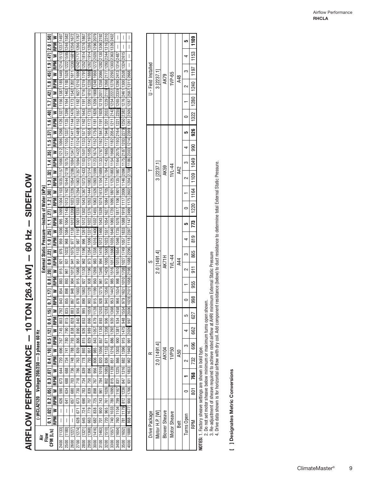| $\frac{1}{2}$<br><b>SIDEFLO</b> |
|---------------------------------|
|                                 |
| $\frac{1}{2}$<br>$\frac{1}{2}$  |
|                                 |
|                                 |
|                                 |
|                                 |
|                                 |
|                                 |
| <b>10 TON [26</b>               |
|                                 |
|                                 |
|                                 |
|                                 |
| $\overline{\phantom{a}}$        |
| í                               |
| AIDEI AVAI DEDEEN               |
| )<br> <br>                      |
|                                 |
|                                 |

|                                             |                                                |                                                                                                                                              | ≥                                                                                                | 1497                                                                                                                                        |                                                                                                                     |                                                                                                               |                                                                                                                                      |                                                                                                                     | 1970                                                                                                                       |                                                                                                                                                     |                                                                                                                                            |                                                                                                                                                                                         |                                                                                                                                           | $\overline{\phantom{a}}$                                                                                                                                                 | I                                                                                                                                                                    | I                                                                                                                          |  |
|---------------------------------------------|------------------------------------------------|----------------------------------------------------------------------------------------------------------------------------------------------|--------------------------------------------------------------------------------------------------|---------------------------------------------------------------------------------------------------------------------------------------------|---------------------------------------------------------------------------------------------------------------------|---------------------------------------------------------------------------------------------------------------|--------------------------------------------------------------------------------------------------------------------------------------|---------------------------------------------------------------------------------------------------------------------|----------------------------------------------------------------------------------------------------------------------------|-----------------------------------------------------------------------------------------------------------------------------------------------------|--------------------------------------------------------------------------------------------------------------------------------------------|-----------------------------------------------------------------------------------------------------------------------------------------------------------------------------------------|-------------------------------------------------------------------------------------------------------------------------------------------|--------------------------------------------------------------------------------------------------------------------------------------------------------------------------|----------------------------------------------------------------------------------------------------------------------------------------------------------------------|----------------------------------------------------------------------------------------------------------------------------|--|
|                                             |                                                |                                                                                                                                              | <b>RPM</b>                                                                                       |                                                                                                                                             | 1246 1582                                                                                                           | 1256 1672                                                                                                     |                                                                                                                                      | 1276 1867                                                                                                           | 1286                                                                                                                       |                                                                                                                                                     |                                                                                                                                            |                                                                                                                                                                                         | 1326 2432                                                                                                                                 | $\overline{\phantom{a}}$                                                                                                                                                 | I                                                                                                                                                                    | I                                                                                                                          |  |
|                                             |                                                |                                                                                                                                              |                                                                                                  |                                                                                                                                             |                                                                                                                     |                                                                                                               |                                                                                                                                      |                                                                                                                     |                                                                                                                            |                                                                                                                                                     |                                                                                                                                            |                                                                                                                                                                                         |                                                                                                                                           |                                                                                                                                                                          |                                                                                                                                                                      | I                                                                                                                          |  |
|                                             |                                                |                                                                                                                                              |                                                                                                  |                                                                                                                                             |                                                                                                                     |                                                                                                               |                                                                                                                                      | 1252 1814                                                                                                           |                                                                                                                            |                                                                                                                                                     |                                                                                                                                            |                                                                                                                                                                                         |                                                                                                                                           |                                                                                                                                                                          |                                                                                                                                                                      | I                                                                                                                          |  |
|                                             |                                                |                                                                                                                                              |                                                                                                  |                                                                                                                                             |                                                                                                                     |                                                                                                               |                                                                                                                                      |                                                                                                                     |                                                                                                                            |                                                                                                                                                     |                                                                                                                                            |                                                                                                                                                                                         |                                                                                                                                           |                                                                                                                                                                          |                                                                                                                                                                      |                                                                                                                            |  |
|                                             |                                                |                                                                                                                                              |                                                                                                  |                                                                                                                                             |                                                                                                                     |                                                                                                               |                                                                                                                                      |                                                                                                                     |                                                                                                                            |                                                                                                                                                     |                                                                                                                                            |                                                                                                                                                                                         |                                                                                                                                           |                                                                                                                                                                          |                                                                                                                                                                      |                                                                                                                            |  |
|                                             |                                                |                                                                                                                                              |                                                                                                  |                                                                                                                                             |                                                                                                                     |                                                                                                               |                                                                                                                                      |                                                                                                                     |                                                                                                                            |                                                                                                                                                     |                                                                                                                                            |                                                                                                                                                                                         |                                                                                                                                           |                                                                                                                                                                          |                                                                                                                                                                      |                                                                                                                            |  |
|                                             |                                                |                                                                                                                                              |                                                                                                  |                                                                                                                                             |                                                                                                                     |                                                                                                               |                                                                                                                                      |                                                                                                                     |                                                                                                                            |                                                                                                                                                     |                                                                                                                                            |                                                                                                                                                                                         |                                                                                                                                           |                                                                                                                                                                          |                                                                                                                                                                      |                                                                                                                            |  |
|                                             |                                                |                                                                                                                                              |                                                                                                  |                                                                                                                                             |                                                                                                                     |                                                                                                               |                                                                                                                                      |                                                                                                                     |                                                                                                                            |                                                                                                                                                     |                                                                                                                                            |                                                                                                                                                                                         |                                                                                                                                           |                                                                                                                                                                          |                                                                                                                                                                      |                                                                                                                            |  |
|                                             |                                                |                                                                                                                                              |                                                                                                  |                                                                                                                                             |                                                                                                                     |                                                                                                               |                                                                                                                                      |                                                                                                                     |                                                                                                                            |                                                                                                                                                     |                                                                                                                                            |                                                                                                                                                                                         |                                                                                                                                           |                                                                                                                                                                          |                                                                                                                                                                      |                                                                                                                            |  |
|                                             |                                                |                                                                                                                                              |                                                                                                  |                                                                                                                                             |                                                                                                                     |                                                                                                               |                                                                                                                                      |                                                                                                                     |                                                                                                                            |                                                                                                                                                     |                                                                                                                                            |                                                                                                                                                                                         |                                                                                                                                           |                                                                                                                                                                          |                                                                                                                                                                      |                                                                                                                            |  |
|                                             |                                                |                                                                                                                                              |                                                                                                  |                                                                                                                                             |                                                                                                                     |                                                                                                               |                                                                                                                                      |                                                                                                                     |                                                                                                                            |                                                                                                                                                     |                                                                                                                                            |                                                                                                                                                                                         |                                                                                                                                           |                                                                                                                                                                          |                                                                                                                                                                      |                                                                                                                            |  |
|                                             |                                                |                                                                                                                                              |                                                                                                  |                                                                                                                                             |                                                                                                                     |                                                                                                               |                                                                                                                                      |                                                                                                                     |                                                                                                                            |                                                                                                                                                     |                                                                                                                                            |                                                                                                                                                                                         |                                                                                                                                           |                                                                                                                                                                          |                                                                                                                                                                      |                                                                                                                            |  |
|                                             |                                                | 0.7 [.17] 0.8 [.20] 0.9 [.22] 1.0 [.25] 1.1 [.27] 1.2 [.30] 1.3 [.32] 1.4 [.35] 1.5 [.37] 1.6 [.40] 1.7 [.42] 1.8 [.45] 1.9 [.47] [2.0 [.50] | IRPM W RPM W RPM W RPM W RPM W RPM W RPM W RPM W RPM W RPM W RPM W RPM W RPM W RPM W RPM W RPM W | 959   1036   995   1095   108   1103   1035   1157   1066   1272   1096   128   128   1387   1156   1387   1185   1449   1214   1513   1237 | 1084   1145   1013   1162   1044   1219   1075   1277   1105   1337   1135   1399   1164   1463   193   1522   1595 | 1075  1138  1012  1200  1023  1226  1054  1286  1084  1347  114  114  144  1476  1173  1542  1202  1611  1230 | 111971   1233   1033   1294   1063   1357   1094   1422   1124   1489   1153   1557   1182   1270   1699   1242   1717   1266   1767 | 996   1261   1012   1302   1043   1367   1073   1433   1103   1133   1571   1162   1643   1191   1716   1219   1791 | 973  1264  1006  1331  1022  1376  1053  1444  1083  1514  1113  1585  1142  1658  1172  1733  200  1810  1828  1888  1894 | 983   1338   1016   1406   1435   1455   1683   1526   1639   1539   1624   162   1750   1181   1828   1930   1248   1959   1272  2020   1296  2079 | 1346  994   1416  1012   1496  1043   1539  1674   1673  1104  1105  1107  1102  1209  1219  1219  2011  1258 2006  1282  2130  1306  2192 | 940   1356   973   1429   1005   1500   1023   1551   1054   1627   1084   174   174   1754   114   1855   172   1948   201   2033   1229   219   1298   217   1293   224   1316   2310 | 1442  985  1516 1017  1590  1035  1640  1065  1720   1095  1801  1125  1883  1184  1882  2054  1211  2142  1254  2222 1279 2298 1903 2363 | 966   1534   998   1610   1015   1654   1046   1735   1076   1801   1901   1185   1196   2075   1193   2194   1221   2255   1265   1268   239   239   2410   1294   2487 | 979   1631   1010   1708   1027   1749   1057   1833   1088   1919   117   2006   1146   2096   178   287   288   1278   288   1276   248   1300   288   1284   2615 | 1028 2101 1058 2198 1088 2296 1118 2397 1147 2499 1175 2602 1204 2708 1186 2303 1214 2399 1260 12505 1287 2587 1311 2668 1 |  |
|                                             |                                                |                                                                                                                                              |                                                                                                  |                                                                                                                                             |                                                                                                                     |                                                                                                               |                                                                                                                                      |                                                                                                                     |                                                                                                                            |                                                                                                                                                     |                                                                                                                                            |                                                                                                                                                                                         |                                                                                                                                           |                                                                                                                                                                          |                                                                                                                                                                      |                                                                                                                            |  |
|                                             |                                                |                                                                                                                                              |                                                                                                  |                                                                                                                                             |                                                                                                                     |                                                                                                               |                                                                                                                                      |                                                                                                                     |                                                                                                                            |                                                                                                                                                     |                                                                                                                                            |                                                                                                                                                                                         |                                                                                                                                           |                                                                                                                                                                          |                                                                                                                                                                      |                                                                                                                            |  |
|                                             |                                                |                                                                                                                                              |                                                                                                  |                                                                                                                                             |                                                                                                                     |                                                                                                               |                                                                                                                                      |                                                                                                                     |                                                                                                                            |                                                                                                                                                     |                                                                                                                                            |                                                                                                                                                                                         |                                                                                                                                           |                                                                                                                                                                          |                                                                                                                                                                      |                                                                                                                            |  |
|                                             |                                                |                                                                                                                                              |                                                                                                  |                                                                                                                                             |                                                                                                                     |                                                                                                               |                                                                                                                                      |                                                                                                                     |                                                                                                                            |                                                                                                                                                     |                                                                                                                                            |                                                                                                                                                                                         |                                                                                                                                           |                                                                                                                                                                          |                                                                                                                                                                      |                                                                                                                            |  |
|                                             |                                                |                                                                                                                                              |                                                                                                  |                                                                                                                                             |                                                                                                                     |                                                                                                               |                                                                                                                                      |                                                                                                                     |                                                                                                                            |                                                                                                                                                     |                                                                                                                                            |                                                                                                                                                                                         |                                                                                                                                           |                                                                                                                                                                          |                                                                                                                                                                      |                                                                                                                            |  |
|                                             |                                                |                                                                                                                                              |                                                                                                  |                                                                                                                                             |                                                                                                                     |                                                                                                               |                                                                                                                                      |                                                                                                                     |                                                                                                                            |                                                                                                                                                     |                                                                                                                                            |                                                                                                                                                                                         |                                                                                                                                           |                                                                                                                                                                          |                                                                                                                                                                      |                                                                                                                            |  |
|                                             |                                                |                                                                                                                                              |                                                                                                  |                                                                                                                                             |                                                                                                                     |                                                                                                               |                                                                                                                                      |                                                                                                                     |                                                                                                                            |                                                                                                                                                     |                                                                                                                                            |                                                                                                                                                                                         |                                                                                                                                           |                                                                                                                                                                          |                                                                                                                                                                      |                                                                                                                            |  |
|                                             |                                                |                                                                                                                                              |                                                                                                  |                                                                                                                                             |                                                                                                                     |                                                                                                               |                                                                                                                                      |                                                                                                                     |                                                                                                                            |                                                                                                                                                     |                                                                                                                                            |                                                                                                                                                                                         |                                                                                                                                           |                                                                                                                                                                          |                                                                                                                                                                      |                                                                                                                            |  |
|                                             |                                                |                                                                                                                                              |                                                                                                  |                                                                                                                                             |                                                                                                                     |                                                                                                               |                                                                                                                                      |                                                                                                                     |                                                                                                                            |                                                                                                                                                     |                                                                                                                                            |                                                                                                                                                                                         |                                                                                                                                           |                                                                                                                                                                          |                                                                                                                                                                      |                                                                                                                            |  |
|                                             |                                                |                                                                                                                                              |                                                                                                  |                                                                                                                                             | 968                                                                                                                 |                                                                                                               | 987                                                                                                                                  |                                                                                                                     |                                                                                                                            |                                                                                                                                                     |                                                                                                                                            |                                                                                                                                                                                         |                                                                                                                                           |                                                                                                                                                                          |                                                                                                                                                                      |                                                                                                                            |  |
|                                             |                                                |                                                                                                                                              |                                                                                                  | 976                                                                                                                                         | 1023                                                                                                                |                                                                                                               | 1133                                                                                                                                 | 1196                                                                                                                |                                                                                                                            |                                                                                                                                                     |                                                                                                                                            |                                                                                                                                                                                         |                                                                                                                                           |                                                                                                                                                                          |                                                                                                                                                                      |                                                                                                                            |  |
|                                             | External Static Pressure-Inches of Water [kPa] |                                                                                                                                              |                                                                                                  |                                                                                                                                             | $\overline{5}$                                                                                                      | $\frac{1}{41}$                                                                                                | $\overline{51}$                                                                                                                      | $\frac{8}{2}$                                                                                                       |                                                                                                                            |                                                                                                                                                     |                                                                                                                                            |                                                                                                                                                                                         |                                                                                                                                           |                                                                                                                                                                          |                                                                                                                                                                      |                                                                                                                            |  |
|                                             |                                                |                                                                                                                                              |                                                                                                  | 921                                                                                                                                         |                                                                                                                     | 1012                                                                                                          |                                                                                                                                      |                                                                                                                     | 1196                                                                                                                       |                                                                                                                                                     |                                                                                                                                            |                                                                                                                                                                                         |                                                                                                                                           |                                                                                                                                                                          |                                                                                                                                                                      |                                                                                                                            |  |
|                                             |                                                |                                                                                                                                              |                                                                                                  | 915                                                                                                                                         | 961                                                                                                                 |                                                                                                               | 1068                                                                                                                                 | 1130                                                                                                                |                                                                                                                            | 1269                                                                                                                                                |                                                                                                                                            |                                                                                                                                                                                         |                                                                                                                                           |                                                                                                                                                                          |                                                                                                                                                                      |                                                                                                                            |  |
|                                             |                                                |                                                                                                                                              |                                                                                                  | 883                                                                                                                                         | 893                                                                                                                 | 904                                                                                                           | 915                                                                                                                                  | 927                                                                                                                 | 938                                                                                                                        | 950                                                                                                                                                 | 1275 961                                                                                                                                   |                                                                                                                                                                                         |                                                                                                                                           |                                                                                                                                                                          |                                                                                                                                                                      |                                                                                                                            |  |
|                                             |                                                |                                                                                                                                              |                                                                                                  | 854                                                                                                                                         | 898                                                                                                                 | 948                                                                                                           | 1003                                                                                                                                 | 1063                                                                                                                | 1128                                                                                                                       | 915   1199                                                                                                                                          |                                                                                                                                            |                                                                                                                                                                                         |                                                                                                                                           |                                                                                                                                                                          |                                                                                                                                                                      |                                                                                                                            |  |
|                                             |                                                |                                                                                                                                              |                                                                                                  | 843                                                                                                                                         | 855                                                                                                                 | 867                                                                                                           | 878                                                                                                                                  | 890                                                                                                                 | $\frac{1}{2}$                                                                                                              |                                                                                                                                                     | $\frac{1}{28}$                                                                                                                             |                                                                                                                                                                                         | 953                                                                                                                                       |                                                                                                                                                                          |                                                                                                                                                                      |                                                                                                                            |  |
|                                             |                                                |                                                                                                                                              |                                                                                                  | 792                                                                                                                                         | 835                                                                                                                 | 883                                                                                                           | 936                                                                                                                                  | 995                                                                                                                 | 1059                                                                                                                       | 1128                                                                                                                                                | 1203                                                                                                                                       | 1283                                                                                                                                                                                    | 1368                                                                                                                                      | 1458                                                                                                                                                                     | 1554                                                                                                                                                                 | 2006                                                                                                                       |  |
|                                             |                                                |                                                                                                                                              |                                                                                                  | 803                                                                                                                                         | 815                                                                                                                 | 828                                                                                                           | 840                                                                                                                                  | 853                                                                                                                 | 866                                                                                                                        | 879                                                                                                                                                 | 893                                                                                                                                        | 906                                                                                                                                                                                     | 920                                                                                                                                       | 934                                                                                                                                                                      | 948                                                                                                                                                                  | 997                                                                                                                        |  |
|                                             |                                                |                                                                                                                                              |                                                                                                  | 745                                                                                                                                         | 790                                                                                                                 | 838                                                                                                           | 890                                                                                                                                  | 926                                                                                                                 | 989                                                                                                                        | 1057                                                                                                                                                | 1130                                                                                                                                       | 871   1208                                                                                                                                                                              | 1292                                                                                                                                      | 900   1381                                                                                                                                                               | 1475                                                                                                                                                                 | 2026                                                                                                                       |  |
|                                             |                                                |                                                                                                                                              |                                                                                                  | 767                                                                                                                                         | 780                                                                                                                 | 793                                                                                                           | 806                                                                                                                                  | 815                                                                                                                 | 829                                                                                                                        | $\frac{1}{843}$                                                                                                                                     | 857                                                                                                                                        |                                                                                                                                                                                         | 886                                                                                                                                       |                                                                                                                                                                          | 915                                                                                                                                                                  | $\frac{1}{95}$                                                                                                             |  |
|                                             |                                                |                                                                                                                                              |                                                                                                  | <b>696</b>                                                                                                                                  | 741                                                                                                                 | 788                                                                                                           | 839                                                                                                                                  | 893                                                                                                                 | 951                                                                                                                        | 985                                                                                                                                                 | 1056                                                                                                                                       |                                                                                                                                                                                         | 1216                                                                                                                                      |                                                                                                                                                                          | 1396                                                                                                                                                                 | 1940                                                                                                                       |  |
|                                             |                                                |                                                                                                                                              |                                                                                                  |                                                                                                                                             | 734                                                                                                                 | <b>148</b>                                                                                                    | 763                                                                                                                                  |                                                                                                                     |                                                                                                                            | 806                                                                                                                                                 |                                                                                                                                            | 836   1133                                                                                                                                                                              | 851                                                                                                                                       |                                                                                                                                                                          | 882                                                                                                                                                                  | 962                                                                                                                        |  |
| (-)HCLA2120 Voltage 208/230 - 3 phase 60 Hz |                                                | $0.1$ [.02] $\mid$ 0.2 [.05] $\mid$ 0.3 [.07] $\mid$ 0.4 [.10] $\mid$ 0.5 [.12] $\mid$ 0.6 [.15]                                             | RPM W RPM W RPM W RPM W RPM W RPM W RPM W                                                        | 644 720                                                                                                                                     | 688                                                                                                                 | 736                                                                                                           | 786                                                                                                                                  | 839 778                                                                                                             | 896 793                                                                                                                    | 956                                                                                                                                                 | 784   1019   820                                                                                                                           |                                                                                                                                                                                         |                                                                                                                                           | 831   1225   866   1303                                                                                                                                                  | 847   1316                                                                                                                                                           | 1853                                                                                                                       |  |
|                                             |                                                |                                                                                                                                              |                                                                                                  | 673                                                                                                                                         | 688                                                                                                                 | 703                                                                                                           | $\frac{18}{2}$                                                                                                                       | 734                                                                                                                 | 750                                                                                                                        | 767                                                                                                                                                 |                                                                                                                                            | 802   1085                                                                                                                                                                              |                                                                                                                                           |                                                                                                                                                                          |                                                                                                                                                                      | $\begin{array}{c} 931 \\ 54 \end{array}$                                                                                   |  |
|                                             |                                                |                                                                                                                                              |                                                                                                  | 590                                                                                                                                         | .634.                                                                                                               | 680                                                                                                           | 730                                                                                                                                  | 783                                                                                                                 | 839                                                                                                                        | 898                                                                                                                                                 | 961                                                                                                                                        | 1026                                                                                                                                                                                    |                                                                                                                                           |                                                                                                                                                                          |                                                                                                                                                                      | 1766                                                                                                                       |  |
|                                             |                                                |                                                                                                                                              |                                                                                                  | 626                                                                                                                                         | 541                                                                                                                 | 657                                                                                                           | 673                                                                                                                                  | 690                                                                                                                 |                                                                                                                            |                                                                                                                                                     |                                                                                                                                            |                                                                                                                                                                                         |                                                                                                                                           |                                                                                                                                                                          |                                                                                                                                                                      |                                                                                                                            |  |
|                                             |                                                |                                                                                                                                              |                                                                                                  |                                                                                                                                             |                                                                                                                     |                                                                                                               | $\frac{1}{671}$                                                                                                                      | 724                                                                                                                 | 779   707                                                                                                                  | 838   725                                                                                                                                           |                                                                                                                                            |                                                                                                                                                                                         |                                                                                                                                           |                                                                                                                                                                          |                                                                                                                                                                      |                                                                                                                            |  |
|                                             |                                                |                                                                                                                                              |                                                                                                  | I                                                                                                                                           | I                                                                                                                   | $\bigg $                                                                                                      |                                                                                                                                      |                                                                                                                     |                                                                                                                            |                                                                                                                                                     |                                                                                                                                            |                                                                                                                                                                                         |                                                                                                                                           |                                                                                                                                                                          | 781   1179   812   1236                                                                                                                                              | 868   1677   900                                                                                                           |  |
|                                             |                                                |                                                                                                                                              |                                                                                                  | I                                                                                                                                           | I                                                                                                                   | $\mid$                                                                                                        | 628                                                                                                                                  | 645                                                                                                                 | 663                                                                                                                        | 682                                                                                                                                                 |                                                                                                                                            |                                                                                                                                                                                         |                                                                                                                                           |                                                                                                                                                                          |                                                                                                                                                                      |                                                                                                                            |  |
|                                             | nov<br>Flo<br>ä                                | CFM [L/s]                                                                                                                                    |                                                                                                  | [1133]                                                                                                                                      | 2500 [1180]                                                                                                         | 2600 [1227]                                                                                                   | 2700 [1274]                                                                                                                          | 2800 [1321]                                                                                                         | 2900 [1368]                                                                                                                | 3000 [1416]                                                                                                                                         | $3100$ [1463] 701   900   743                                                                                                              | 3200 [1510] 720   965   761                                                                                                                                                             | 3300 [1557] 740  1033 780  1095  815  1139                                                                                                | 3400 [1604] 760 [1104 799 1167                                                                                                                                           | 3500 [1652]                                                                                                                                                          | 4000 [1888]                                                                                                                |  |
|                                             |                                                |                                                                                                                                              |                                                                                                  | 2400                                                                                                                                        |                                                                                                                     |                                                                                                               |                                                                                                                                      |                                                                                                                     |                                                                                                                            |                                                                                                                                                     |                                                                                                                                            |                                                                                                                                                                                         |                                                                                                                                           |                                                                                                                                                                          |                                                                                                                                                                      |                                                                                                                            |  |
|                                             |                                                |                                                                                                                                              |                                                                                                  |                                                                                                                                             |                                                                                                                     |                                                                                                               |                                                                                                                                      |                                                                                                                     |                                                                                                                            |                                                                                                                                                     |                                                                                                                                            |                                                                                                                                                                                         |                                                                                                                                           |                                                                                                                                                                          |                                                                                                                                                                      |                                                                                                                            |  |

|                     |                                              |                      |              |            | <u>ທ</u>   | 1109                             |                                                          |  |  |     |         |  |
|---------------------|----------------------------------------------|----------------------|--------------|------------|------------|----------------------------------|----------------------------------------------------------|--|--|-----|---------|--|
|                     |                                              |                      |              |            |            |                                  |                                                          |  |  |     |         |  |
| U - Field Installed |                                              |                      |              |            |            |                                  |                                                          |  |  |     |         |  |
|                     | 3 [2237.1]<br>1VP-65<br>AK79<br>A48          |                      |              |            |            |                                  |                                                          |  |  |     |         |  |
|                     |                                              |                      |              |            |            |                                  |                                                          |  |  |     |         |  |
|                     |                                              |                      |              |            |            | 1322   1280   1240   1197   1153 |                                                          |  |  |     |         |  |
|                     |                                              |                      |              |            |            | 926                              |                                                          |  |  |     |         |  |
|                     |                                              |                      |              |            |            | 990                              |                                                          |  |  |     |         |  |
|                     | 3 [2237.1]<br>$Nl - 44$<br><b>AK59</b><br>42 |                      |              |            |            |                                  |                                                          |  |  |     |         |  |
|                     |                                              |                      |              |            |            |                                  |                                                          |  |  |     |         |  |
|                     |                                              |                      |              |            |            |                                  |                                                          |  |  |     |         |  |
|                     |                                              |                      |              |            |            | 1220   1164   1109   1049        |                                                          |  |  |     |         |  |
|                     |                                              |                      |              |            |            |                                  |                                                          |  |  |     |         |  |
|                     |                                              |                      |              |            |            |                                  |                                                          |  |  | 819 |         |  |
|                     |                                              |                      | 1VL-44       |            |            | 865                              |                                                          |  |  |     |         |  |
| S                   | $2.0$ [1491.4]                               | AK71H                |              | 44         |            | $\overline{5}$                   |                                                          |  |  |     |         |  |
|                     |                                              |                      |              |            |            | 955                              |                                                          |  |  |     |         |  |
|                     |                                              |                      |              |            |            | 998                              |                                                          |  |  |     |         |  |
|                     |                                              |                      |              |            |            | 627                              |                                                          |  |  |     |         |  |
|                     |                                              |                      |              |            |            | 662                              |                                                          |  |  |     |         |  |
| $\approx$           |                                              | <b>AK104</b>         | <b>IVP50</b> | <b>A50</b> |            |                                  |                                                          |  |  |     |         |  |
|                     | 2.0 [1491.4]                                 |                      |              |            |            | 732   696                        |                                                          |  |  |     |         |  |
|                     |                                              |                      |              |            |            |                                  |                                                          |  |  |     | 801 768 |  |
|                     |                                              |                      |              |            |            |                                  |                                                          |  |  |     |         |  |
| Drive Package       | Motor H.P. [W]                               | <b>Blower Sheave</b> | Motor Sheave | Belt       | Turns Open | RPM                              | MATEC 1 Eastary abosing artificate organism in bold tuna |  |  |     |         |  |

**NOTES:** 1. Factory sheave settings are shown in bold type.

2. Do not set motor sheave below minimum or maximum turns open shown.

3. Re-adjustment of sheave required to achieve rated airflow at AHRI minimum External Static Pressure

**NOTES:** 1. Factory sheave settings are shown in bold type.<br>2. Do not set motor sheave below minimum or maximum turns open shown.<br>3. Re-adjustment of sheave required to achieve rated airflow at AHRI minimum External Static 4. Drive data shown is for horizontal airflow with dry coil. Add component resistance (below) to duct resistance to determine total External Static Pressure.

[ ] Designates Metric Conversions **[ ] Designates Metric Conversions**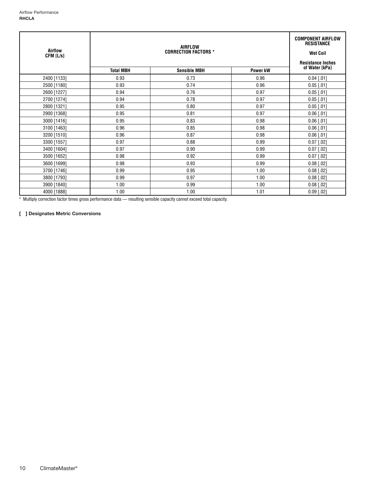| Airflow<br>CFM [L/s] |                  | <b>COMPONENT AIRFLOW</b><br><b>RESISTANCE</b><br><b>Wet Coil</b><br><b>Resistance Inches</b> |                 |                |
|----------------------|------------------|----------------------------------------------------------------------------------------------|-----------------|----------------|
|                      | <b>Total MBH</b> | <b>Sensible MBH</b>                                                                          | <b>Power kW</b> | of Water [kPa] |
| 2400 [1133]          | 0.93             | 0.73                                                                                         | 0.96            | $0.04$ [.01]   |
| 2500 [1180]          | 0.93             | 0.74                                                                                         | 0.96            | $0.05$ [.01]   |
| 2600 [1227]          | 0.94             | 0.76                                                                                         | 0.97            | $0.05$ [.01]   |
| 2700 [1274]          | 0.94             | 0.78                                                                                         | 0.97            | $0.05$ [.01]   |
| 2800 [1321]          | 0.95             | 0.80                                                                                         | 0.97            | $0.05$ [.01]   |
| 2900 [1368]          | 0.95             | 0.81                                                                                         | 0.97            | $0.06$ [.01]   |
| 3000 [1416]          | 0.95             | 0.83                                                                                         | 0.98            | $0.06$ [.01]   |
| 3100 [1463]          | 0.96             | 0.85                                                                                         | 0.98            | $0.06$ [.01]   |
| 3200 [1510]          | 0.96             | 0.87                                                                                         | 0.98            | $0.06$ [.01]   |
| 3300 [1557]          | 0.97             | 0.88                                                                                         | 0.99            | $0.07$ [.02]   |
| 3400 [1604]          | 0.97             | 0.90                                                                                         | 0.99            | $0.07$ [.02]   |
| 3500 [1652]          | 0.98             | 0.92                                                                                         | 0.99            | $0.07$ [.02]   |
| 3600 [1699]          | 0.98             | 0.93                                                                                         | 0.99            | $0.08$ [.02]   |
| 3700 [1746]          | 0.99             | 0.95                                                                                         | 1.00            | $0.08$ [.02]   |
| 3800 [1793]          | 0.99             | 0.97                                                                                         | 1.00            | $0.08$ [.02]   |
| 3900 [1840]          | 1.00             | 0.99                                                                                         | 1.00            | $0.08$ [.02]   |
| 4000 [1888]          | 1.00             | 1.00                                                                                         | 1.01            | $0.09$ [.02]   |

\* Multiply correction factor times gross performance data — resulting sensible capacity cannot exceed total capacity.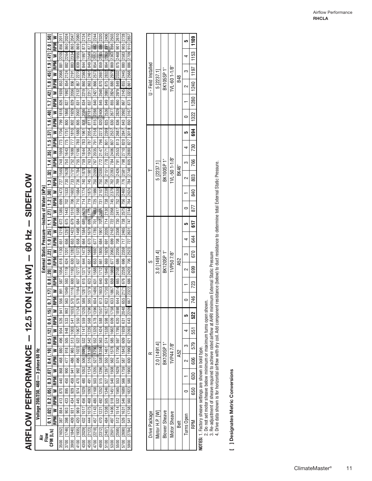| i<br>Lilío<br> <br> <br> <br>              |
|--------------------------------------------|
| 」<br>)<br>)<br>$\frac{1}{3}$               |
| İ                                          |
| <b>10 R TONI MA LWA</b><br><b>NND</b><br>コ |
| AIDEI AVAI DEDEODA<br>֡֜֕֜֜<br>i           |
| )<br> <br>                                 |

|                                      |                                                |                                                                                                                                                                                                                                 |                                                                                                                                                                                                                                |                                                                                    | 2024                                 | 2047                                 | 2080        | 2124             | 2179             | 2244         | 2320                                 | 2406                                | 2503                                 | 2610                                | 2728                       |                                                                                                                                                        |  |
|--------------------------------------|------------------------------------------------|---------------------------------------------------------------------------------------------------------------------------------------------------------------------------------------------------------------------------------|--------------------------------------------------------------------------------------------------------------------------------------------------------------------------------------------------------------------------------|------------------------------------------------------------------------------------|--------------------------------------|--------------------------------------|-------------|------------------|------------------|--------------|--------------------------------------|-------------------------------------|--------------------------------------|-------------------------------------|----------------------------|--------------------------------------------------------------------------------------------------------------------------------------------------------|--|
|                                      |                                                |                                                                                                                                                                                                                                 | ≥                                                                                                                                                                                                                              | 2011<br>856                                                                        |                                      |                                      |             |                  |                  |              |                                      |                                     |                                      |                                     |                            |                                                                                                                                                        |  |
|                                      |                                                |                                                                                                                                                                                                                                 | <b>RPM</b>                                                                                                                                                                                                                     |                                                                                    | 860                                  | 865                                  | 869         | 873              | 877              | 882          | 886                                  | 891                                 | 896                                  | 50                                  | 905                        |                                                                                                                                                        |  |
|                                      |                                                |                                                                                                                                                                                                                                 |                                                                                                                                                                                                                                | 2205                                                                               | 2264                                 | 2334                                 | 1955        | 1997             | 2049             | 2112         | 859 2185                             | 864 2269                            | 869 2363                             | 875 2468                            | 2583                       |                                                                                                                                                        |  |
|                                      |                                                |                                                                                                                                                                                                                                 |                                                                                                                                                                                                                                |                                                                                    | 882                                  | 883                                  | 839         | 844              | 849              | $4854 +$     |                                      |                                     |                                      |                                     | 880                        |                                                                                                                                                        |  |
|                                      |                                                |                                                                                                                                                                                                                                 |                                                                                                                                                                                                                                |                                                                                    | 854 2124                             | 2191                                 | 2270        | 2360             | 2461             | 2573         |                                      |                                     |                                      |                                     |                            |                                                                                                                                                        |  |
|                                      |                                                |                                                                                                                                                                                                                                 |                                                                                                                                                                                                                                |                                                                                    |                                      | 856                                  | <b>857</b>  |                  |                  |              |                                      |                                     |                                      |                                     |                            |                                                                                                                                                        |  |
|                                      |                                                |                                                                                                                                                                                                                                 |                                                                                                                                                                                                                                | 826   1939   853   2068   881                                                      |                                      |                                      |             | 834 2219 860     | 837 2317 863     | 840 2427 866 | 845   2548   870   2697              | 849 2680 875 2832                   | 855 2824 880 2979                    | 860 2979 849 2332                   | 867 3145 855 2445          |                                                                                                                                                        |  |
|                                      |                                                |                                                                                                                                                                                                                                 |                                                                                                                                                                                                                                |                                                                                    | 827   1992                           | 829 2056                             | 831 2132    |                  |                  |              |                                      |                                     |                                      |                                     |                            |                                                                                                                                                        |  |
|                                      |                                                |                                                                                                                                                                                                                                 |                                                                                                                                                                                                                                |                                                                                    |                                      |                                      |             |                  |                  |              |                                      |                                     |                                      |                                     |                            |                                                                                                                                                        |  |
|                                      |                                                |                                                                                                                                                                                                                                 |                                                                                                                                                                                                                                |                                                                                    |                                      |                                      | 2002        | 2086             |                  | 2288         |                                      |                                     |                                      |                                     |                            |                                                                                                                                                        |  |
|                                      |                                                |                                                                                                                                                                                                                                 |                                                                                                                                                                                                                                |                                                                                    |                                      |                                      | 805         | 808              | 811 2181         | 815          |                                      |                                     |                                      |                                     |                            |                                                                                                                                                        |  |
|                                      |                                                |                                                                                                                                                                                                                                 |                                                                                                                                                                                                                                |                                                                                    |                                      |                                      | 1880        | 1961             | 2054             | 2158         |                                      |                                     |                                      | 813 2687 836 2829                   |                            |                                                                                                                                                        |  |
|                                      |                                                |                                                                                                                                                                                                                                 |                                                                                                                                                                                                                                |                                                                                    |                                      |                                      | 780         | 783              | 787              | 791          |                                      |                                     |                                      |                                     |                            |                                                                                                                                                        |  |
|                                      |                                                |                                                                                                                                                                                                                                 |                                                                                                                                                                                                                                |                                                                                    |                                      |                                      |             | 1844             |                  | 2035         |                                      |                                     |                                      |                                     |                            |                                                                                                                                                        |  |
|                                      |                                                |                                                                                                                                                                                                                                 |                                                                                                                                                                                                                                |                                                                                    | 750   1643   775   1751   800   1868 | 752   1699   777   1810   802   1929 | 755   1766  | 759              | 763   1934       | 767          |                                      |                                     | 784 2406 807 2537 830 2677           | 791 2553                            | 798 2710 820 2847 843 2992 |                                                                                                                                                        |  |
|                                      |                                                |                                                                                                                                                                                                                                 |                                                                                                                                                                                                                                |                                                                                    |                                      |                                      | 1784        | 1878             | 1981             | 2095         |                                      |                                     |                                      |                                     |                            |                                                                                                                                                        |  |
|                                      |                                                |                                                                                                                                                                                                                                 |                                                                                                                                                                                                                                |                                                                                    |                                      |                                      | 736         |                  |                  | 750          | 750 2030 772 2147 796 2273 820 2406  | 756 2151 778 2271 801 2399 825 2536 |                                      |                                     | 776   2581                 |                                                                                                                                                        |  |
|                                      |                                                |                                                                                                                                                                                                                                 |                                                                                                                                                                                                                                |                                                                                    |                                      | 1603 733 1701                        | 1684        | $1774$ 740       | 1875   745       | 1986         |                                      |                                     |                                      |                                     |                            |                                                                                                                                                        |  |
|                                      | External Static Pressure—Inches of Water [kPa] | 1.7 [17] [0.8 [22] [1.0 [22] [1.0 [23] [1.2 [27] [1.2 [30] [1.3 [32] [1.4 [32] [1.4 [37] [1.5 [.37] [1.6 [40] [1.2 [45] [1.8 [47] [2.0 [50] [1.9] [1.9] [1.9] [1.9] [1.9] [1.9] [1.9] [1.9] [1.9] [1.9] [1.9] [1.9] [1.9] [1.9] |                                                                                                                                                                                                                                | 651   1219  672   1385  699   1473  727   1565  748   1599  773   1704  799   1818 | 1443 702 1533 730 1628               |                                      |             |                  |                  | 1883 725     | 1901 707 2001 731 2107               | 2130 738 2238                       | 699 2162 722 2268 745 2379 762 2283  | 708 2308 730 2417 752 2530 769 2426 | 717 2465 738 2575 756 2460 | 667  2322  686  2420  706  2523  727  2631  747  2744  764  2624  784  2748  805  2880  827  3019  878  878  873  3323  861  2568  886  2709 910  2857 |  |
|                                      |                                                |                                                                                                                                                                                                                                 |                                                                                                                                                                                                                                |                                                                                    |                                      | 1510 706                             | 1588 710    | 689 1676 714     | 1775 719         |              |                                      |                                     |                                      |                                     |                            |                                                                                                                                                        |  |
|                                      |                                                |                                                                                                                                                                                                                                 |                                                                                                                                                                                                                                |                                                                                    |                                      |                                      | 684         |                  | 695              | 701          |                                      | 714                                 |                                      |                                     |                            |                                                                                                                                                        |  |
|                                      |                                                |                                                                                                                                                                                                                                 |                                                                                                                                                                                                                                |                                                                                    | 1297 675                             | 1423 679                             | 1498        | 1584             | 1679             | 1785         |                                      |                                     |                                      |                                     |                            |                                                                                                                                                        |  |
|                                      |                                                |                                                                                                                                                                                                                                 |                                                                                                                                                                                                                                |                                                                                    | 656                                  | 653                                  | 658         | 664              | 670              | 677          | 684                                  | 691 2026                            |                                      |                                     |                            |                                                                                                                                                        |  |
|                                      |                                                |                                                                                                                                                                                                                                 |                                                                                                                                                                                                                                | <b>1130</b>                                                                        | 1201                                 | 1282                                 | 1372        | 1473             | 1583             | 1692         | 1805                                 | 1929                                | 2062                                 | 2205                                | 2359                       |                                                                                                                                                        |  |
|                                      |                                                |                                                                                                                                                                                                                                 |                                                                                                                                                                                                                                | 618                                                                                | 624                                  | 630                                  | 637         | 644              | 651              | 653          | 661                                  | 669                                 | 677                                  | 686                                 | 696                        |                                                                                                                                                        |  |
|                                      |                                                |                                                                                                                                                                                                                                 |                                                                                                                                                                                                                                |                                                                                    | 1119                                 | 1193                                 | 1277        | 1371             | 1474             | 1588         | 1712                                 | 1846                                | 1989                                 |                                     | 259                        |                                                                                                                                                        |  |
|                                      |                                                |                                                                                                                                                                                                                                 |                                                                                                                                                                                                                                | 587   1054                                                                         | 593                                  | 600                                  | 607         | 615              | 623              | 631          | 640                                  | 649                                 | 659                                  |                                     | 676                        |                                                                                                                                                        |  |
|                                      |                                                |                                                                                                                                                                                                                                 |                                                                                                                                                                                                                                |                                                                                    |                                      | 1116                                 |             |                  | 1379             | 1486         | 1603                                 |                                     |                                      | 644 2014 665 2108                   |                            |                                                                                                                                                        |  |
|                                      |                                                |                                                                                                                                                                                                                                 |                                                                                                                                                                                                                                | 556 991                                                                            | 563   1049                           | 570                                  | 578   1194  | 586   1281       | $-50$            | 604          | 613                                  | 623   1730                          | 633   1867                           |                                     | 655 2171                   |                                                                                                                                                        |  |
|                                      |                                                |                                                                                                                                                                                                                                 |                                                                                                                                                                                                                                | 941                                                                                | 992                                  | 1053                                 | 1124        | 1205             | ഗ<br>1296        | 1396         | 1507                                 | 1627                                | 1758                                 | 1898                                | 2048                       |                                                                                                                                                        |  |
|                                      |                                                |                                                                                                                                                                                                                                 |                                                                                                                                                                                                                                | 526                                                                                | 533                                  | 541                                  | 550         | 559              | 568              | 578          | 588                                  | 598                                 | 609                                  | 620                                 | 631                        |                                                                                                                                                        |  |
|                                      |                                                |                                                                                                                                                                                                                                 |                                                                                                                                                                                                                                | 904                                                                                | 948                                  | 1003                                 | 1067        | 1141             | 126              | 1320         | 1424                                 |                                     |                                      |                                     |                            |                                                                                                                                                        |  |
|                                      |                                                |                                                                                                                                                                                                                                 |                                                                                                                                                                                                                                | 496                                                                                | 505                                  | 513                                  | 522         | 532              | 542              | 552          |                                      | 574   1538                          | 585   1662                           | 597   1795                          | 609   1939                 |                                                                                                                                                        |  |
|                                      |                                                |                                                                                                                                                                                                                                 |                                                                                                                                                                                                                                |                                                                                    |                                      | 965                                  | 1023        | 1091             | 1169             | 1256         | 1354 563                             | 1461                                | 1578                                 |                                     | 1843                       |                                                                                                                                                        |  |
|                                      |                                                |                                                                                                                                                                                                                                 |                                                                                                                                                                                                                                | 468 880                                                                            | 477 918                              | 486                                  | 496         | 506              | 516              | 527          | 538                                  | 550                                 | 562                                  | 574   1706                          | 587                        |                                                                                                                                                        |  |
| Voltage 208/230, 460 - 3 phase 60 Hz |                                                | $0.1$ [.02] $\mid$ 0.2 [.05] $\mid$ 0.3 [.07] $\mid$ 0.4 [.10] $\mid$ 0.5 [.12] $\mid$ 0.6 [.15] $\mid$                                                                                                                         | RPMI W  RPMI W  RPMI W  RPMI W  RPMI W  RPMI W  RPMI W  RPMI W  RPMI W  RPMI W  RPMI W  RPMI W  RPMI W  RPMI W  RPMI W  RPMI W  RPMI W  RPMI W  RPMI W  RPMI W  RPMI W  RPMI W  RPMI W  RPMI W  RPMI W  RPMI W  RPMI W  RPMI W |                                                                                    | 900                                  | 941                                  | 992         |                  |                  | 1205         |                                      |                                     |                                      |                                     |                            | [2784] 541 [1758] 560 [1823] 580 [1900] 600 [1990] 621 [2093] 643 [2209]                                                                               |  |
|                                      |                                                |                                                                                                                                                                                                                                 |                                                                                                                                                                                                                                |                                                                                    | 450                                  | 459                                  | 470         | 480   1053       | 491   1124       | 503          |                                      | 1346 527 1397                       |                                      | 1565 553 1629                       | 1689 566 1759              |                                                                                                                                                        |  |
|                                      |                                                |                                                                                                                                                                                                                                 |                                                                                                                                                                                                                                |                                                                                    | 895                                  | 929                                  | 974         | 1029             | 1093             | 1168         |                                      |                                     |                                      |                                     |                            |                                                                                                                                                        |  |
|                                      |                                                |                                                                                                                                                                                                                                 |                                                                                                                                                                                                                                |                                                                                    | 423                                  | 434                                  | 445         |                  |                  | 480          |                                      |                                     |                                      |                                     |                            |                                                                                                                                                        |  |
|                                      |                                                |                                                                                                                                                                                                                                 |                                                                                                                                                                                                                                |                                                                                    | 903                                  | 931                                  | 969         | 432   1017   456 | 444   1075   468 | 1143         | 470   1221   492   1252   515   1296 | 484   1308   505                    | 497   1406   518   1451   540   1508 | 512   1514   532                    | 526   1631   546           |                                                                                                                                                        |  |
|                                      |                                                |                                                                                                                                                                                                                                 |                                                                                                                                                                                                                                |                                                                                    | 1,398                                |                                      | 420         |                  |                  | $-157$       |                                      |                                     |                                      |                                     |                            |                                                                                                                                                        |  |
|                                      |                                                |                                                                                                                                                                                                                                 |                                                                                                                                                                                                                                |                                                                                    |                                      | 409                                  |             |                  |                  |              |                                      |                                     |                                      |                                     |                            |                                                                                                                                                        |  |
|                                      | Flow<br>ä                                      | CFM [L/s]                                                                                                                                                                                                                       |                                                                                                                                                                                                                                |                                                                                    | 3700 [1746]                          | 3900 [1840]                          | 4100 [1935] | [2029]           | [2123]           | [2218]       | [2312]                               | [2407]                              | [2501]                               | [2595]                              | [2690]                     |                                                                                                                                                        |  |
|                                      |                                                |                                                                                                                                                                                                                                 |                                                                                                                                                                                                                                | 3500                                                                               |                                      |                                      |             | 4300             | 4500             | 4700         | 4900                                 | 5100                                | 5300                                 | 5500                                | 5700                       | 5900                                                                                                                                                   |  |

|  |                     |                |                      |                             |              |            | <b>1109</b>                      |  |
|--|---------------------|----------------|----------------------|-----------------------------|--------------|------------|----------------------------------|--|
|  |                     |                |                      |                             |              |            |                                  |  |
|  | J - Field Installed |                |                      | BK105SP 1"<br>1VL-60 1-1/8" | B48          |            |                                  |  |
|  |                     | 5[2237.1]      |                      |                             |              |            |                                  |  |
|  |                     |                |                      |                             |              |            |                                  |  |
|  |                     |                |                      |                             |              |            | 1322   1280   1240   1197   1153 |  |
|  |                     |                |                      |                             |              |            | 694                              |  |
|  |                     |                |                      |                             |              |            | 730                              |  |
|  |                     | 5[237.1]       |                      | $VL - 501 - 1/8$            | <b>BK46"</b> |            | 766                              |  |
|  |                     |                | BK100SP1             |                             |              |            | $\frac{1}{803}$                  |  |
|  |                     |                |                      |                             |              |            | 840                              |  |
|  |                     |                |                      |                             |              |            | 877                              |  |
|  |                     |                |                      |                             |              |            | 617                              |  |
|  |                     |                |                      |                             |              |            | 644                              |  |
|  |                     | $3.0$ [1491.4] |                      | 1VP507/8"                   | A52          |            | 670                              |  |
|  |                     |                | <b>BK120SP1</b>      |                             |              |            | 699                              |  |
|  |                     |                |                      |                             |              |            | 723                              |  |
|  |                     |                |                      |                             |              |            | 746                              |  |
|  |                     |                |                      |                             |              |            | 522                              |  |
|  |                     |                |                      |                             |              |            |                                  |  |
|  |                     | 2.0 [1491.4]   |                      | 1VP44 7/8"                  | A52          |            | 650   630   606   579   551      |  |
|  |                     |                | BK120SP1"            |                             |              |            |                                  |  |
|  |                     |                |                      |                             |              |            |                                  |  |
|  |                     |                |                      |                             |              |            |                                  |  |
|  | Drive Package       | Motor H.P. [W] | <b>Blower Sheave</b> | Motor Sheave                | Belt         | Turns Open | <b>RPM</b>                       |  |

**NOTES:** 1. Factory sheave settings are shown in bold type.

2. Do not set motor sheave below minimum or maximum turns open shown.

**NOTES:** 1. Factory sheave settings are shown in bold type.<br>2. Do not set motor sheave below minimum or maximum turns open shown.<br>3. Re-adjustment of sheave required to achieve rated airflow at AHRI minimum External Static 3. Re-adjustment of sheave required to achieve rated airflow at AHRI minimum External Static Pressure

4. Drive data shown is for horizontal airflow with dry coil. Add component resistance (below) to duct resistance to determine total External Static Pressure.

[ ] Designates Metric Conversions **[ ] Designates Metric Conversions**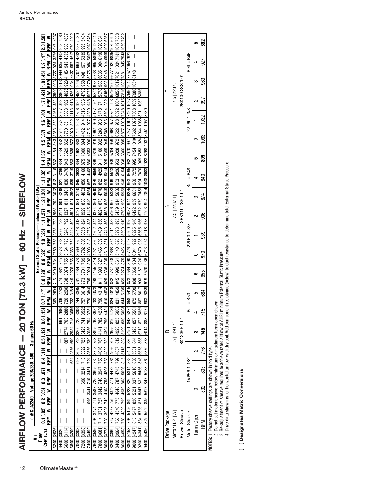|                                                |                                                  |                                                |                                                                                                                                                     | ≥                                                                                                      | 4037                                                  | 4280                                                                                                                                                        | 4537                                                                                                          |             |                            |                                                                                                                                               |                                              |                                                                                                                                                                                                                                   |                                                                   |                                                                   |                                                                                                                   |                                                                                                                                   |                                                                                                                                                   | I                                                                          | I                                                                                                                        | I                                                         | I                                                                                                                                                                                                                                                                                                                                                                                |
|------------------------------------------------|--------------------------------------------------|------------------------------------------------|-----------------------------------------------------------------------------------------------------------------------------------------------------|--------------------------------------------------------------------------------------------------------|-------------------------------------------------------|-------------------------------------------------------------------------------------------------------------------------------------------------------------|---------------------------------------------------------------------------------------------------------------|-------------|----------------------------|-----------------------------------------------------------------------------------------------------------------------------------------------|----------------------------------------------|-----------------------------------------------------------------------------------------------------------------------------------------------------------------------------------------------------------------------------------|-------------------------------------------------------------------|-------------------------------------------------------------------|-------------------------------------------------------------------------------------------------------------------|-----------------------------------------------------------------------------------------------------------------------------------|---------------------------------------------------------------------------------------------------------------------------------------------------|----------------------------------------------------------------------------|--------------------------------------------------------------------------------------------------------------------------|-----------------------------------------------------------|----------------------------------------------------------------------------------------------------------------------------------------------------------------------------------------------------------------------------------------------------------------------------------------------------------------------------------------------------------------------------------|
|                                                |                                                  |                                                |                                                                                                                                                     | RPM                                                                                                    | 947                                                   | 958                                                                                                                                                         | 968                                                                                                           |             |                            |                                                                                                                                               | 5607 1003 5754                               |                                                                                                                                                                                                                                   |                                                                   |                                                                   |                                                                                                                   |                                                                                                                                   |                                                                                                                                                   |                                                                            | I                                                                                                                        | I                                                         | I                                                                                                                                                                                                                                                                                                                                                                                |
|                                                |                                                  |                                                |                                                                                                                                                     |                                                                                                        |                                                       | 4108                                                                                                                                                        |                                                                                                               |             |                            |                                                                                                                                               |                                              |                                                                                                                                                                                                                                   |                                                                   |                                                                   |                                                                                                                   |                                                                                                                                   |                                                                                                                                                   |                                                                            | I                                                                                                                        | I                                                         | I                                                                                                                                                                                                                                                                                                                                                                                |
|                                                |                                                  |                                                |                                                                                                                                                     |                                                                                                        |                                                       |                                                                                                                                                             |                                                                                                               |             |                            |                                                                                                                                               |                                              |                                                                                                                                                                                                                                   |                                                                   |                                                                   |                                                                                                                   |                                                                                                                                   |                                                                                                                                                   |                                                                            | I                                                                                                                        | I                                                         | I                                                                                                                                                                                                                                                                                                                                                                                |
|                                                |                                                  |                                                |                                                                                                                                                     |                                                                                                        |                                                       | 3667 892 3802 913 3949 935                                                                                                                                  |                                                                                                               |             |                            |                                                                                                                                               |                                              |                                                                                                                                                                                                                                   |                                                                   |                                                                   |                                                                                                                   |                                                                                                                                   |                                                                                                                                                   |                                                                            |                                                                                                                          | I                                                         | I                                                                                                                                                                                                                                                                                                                                                                                |
|                                                |                                                  |                                                |                                                                                                                                                     |                                                                                                        |                                                       |                                                                                                                                                             |                                                                                                               |             |                            |                                                                                                                                               |                                              |                                                                                                                                                                                                                                   |                                                                   |                                                                   |                                                                                                                   |                                                                                                                                   |                                                                                                                                                   |                                                                            |                                                                                                                          | I                                                         | I                                                                                                                                                                                                                                                                                                                                                                                |
|                                                |                                                  |                                                |                                                                                                                                                     |                                                                                                        |                                                       |                                                                                                                                                             |                                                                                                               |             |                            |                                                                                                                                               |                                              |                                                                                                                                                                                                                                   |                                                                   |                                                                   |                                                                                                                   |                                                                                                                                   |                                                                                                                                                   |                                                                            |                                                                                                                          |                                                           | $\begin{array}{c} \rule{0pt}{2.5ex} \rule{0pt}{2.5ex} \rule{0pt}{2.5ex} \rule{0pt}{2.5ex} \rule{0pt}{2.5ex} \rule{0pt}{2.5ex} \rule{0pt}{2.5ex} \rule{0pt}{2.5ex} \rule{0pt}{2.5ex} \rule{0pt}{2.5ex} \rule{0pt}{2.5ex} \rule{0pt}{2.5ex} \rule{0pt}{2.5ex} \rule{0pt}{2.5ex} \rule{0pt}{2.5ex} \rule{0pt}{2.5ex} \rule{0pt}{2.5ex} \rule{0pt}{2.5ex} \rule{0pt}{2.5ex} \rule{0$ |
|                                                |                                                  |                                                |                                                                                                                                                     |                                                                                                        |                                                       |                                                                                                                                                             |                                                                                                               |             |                            |                                                                                                                                               |                                              |                                                                                                                                                                                                                                   |                                                                   |                                                                   |                                                                                                                   |                                                                                                                                   |                                                                                                                                                   |                                                                            |                                                                                                                          |                                                           | $\mid$                                                                                                                                                                                                                                                                                                                                                                           |
|                                                |                                                  |                                                |                                                                                                                                                     |                                                                                                        | 843  3353  862  3465  882  3590  903  3727  925  3876 |                                                                                                                                                             |                                                                                                               |             |                            |                                                                                                                                               | 906 4715 927 4889 948 5076 970 5275 986      |                                                                                                                                                                                                                                   |                                                                   |                                                                   |                                                                                                                   |                                                                                                                                   |                                                                                                                                                   |                                                                            |                                                                                                                          |                                                           |                                                                                                                                                                                                                                                                                                                                                                                  |
|                                                |                                                  |                                                |                                                                                                                                                     |                                                                                                        |                                                       | 872                                                                                                                                                         |                                                                                                               |             |                            |                                                                                                                                               |                                              |                                                                                                                                                                                                                                   |                                                                   |                                                                   |                                                                                                                   |                                                                                                                                   |                                                                                                                                                   |                                                                            |                                                                                                                          |                                                           |                                                                                                                                                                                                                                                                                                                                                                                  |
|                                                |                                                  |                                                |                                                                                                                                                     |                                                                                                        |                                                       | 852 3544                                                                                                                                                    |                                                                                                               |             |                            |                                                                                                                                               |                                              |                                                                                                                                                                                                                                   |                                                                   |                                                                   |                                                                                                                   |                                                                                                                                   |                                                                                                                                                   |                                                                            |                                                                                                                          |                                                           |                                                                                                                                                                                                                                                                                                                                                                                  |
|                                                |                                                  |                                                |                                                                                                                                                     |                                                                                                        |                                                       |                                                                                                                                                             |                                                                                                               |             |                            |                                                                                                                                               |                                              |                                                                                                                                                                                                                                   |                                                                   |                                                                   |                                                                                                                   |                                                                                                                                   |                                                                                                                                                   |                                                                            |                                                                                                                          |                                                           |                                                                                                                                                                                                                                                                                                                                                                                  |
|                                                |                                                  |                                                |                                                                                                                                                     |                                                                                                        | 832 3184                                              | 3434                                                                                                                                                        |                                                                                                               |             |                            |                                                                                                                                               | 4553                                         |                                                                                                                                                                                                                                   |                                                                   |                                                                   |                                                                                                                   |                                                                                                                                   |                                                                                                                                                   |                                                                            |                                                                                                                          |                                                           |                                                                                                                                                                                                                                                                                                                                                                                  |
|                                                |                                                  |                                                |                                                                                                                                                     |                                                                                                        |                                                       | 834                                                                                                                                                         |                                                                                                               |             |                            |                                                                                                                                               |                                              |                                                                                                                                                                                                                                   |                                                                   |                                                                   |                                                                                                                   |                                                                                                                                   |                                                                                                                                                   |                                                                            |                                                                                                                          |                                                           |                                                                                                                                                                                                                                                                                                                                                                                  |
|                                                |                                                  |                                                |                                                                                                                                                     |                                                                                                        |                                                       |                                                                                                                                                             |                                                                                                               |             |                            |                                                                                                                                               |                                              |                                                                                                                                                                                                                                   |                                                                   |                                                                   |                                                                                                                   |                                                                                                                                   |                                                                                                                                                   | 963  6495  982  7070  997  7247  1012  7420  1027 7590 1042 7757 1056 7921 |                                                                                                                          |                                                           |                                                                                                                                                                                                                                                                                                                                                                                  |
|                                                |                                                  |                                                |                                                                                                                                                     |                                                                                                        |                                                       |                                                                                                                                                             |                                                                                                               |             |                            |                                                                                                                                               |                                              |                                                                                                                                                                                                                                   |                                                                   |                                                                   |                                                                                                                   |                                                                                                                                   |                                                                                                                                                   |                                                                            |                                                                                                                          |                                                           |                                                                                                                                                                                                                                                                                                                                                                                  |
| SIDEFLOW                                       |                                                  |                                                |                                                                                                                                                     |                                                                                                        |                                                       |                                                                                                                                                             |                                                                                                               |             |                            |                                                                                                                                               | 849 4264 867 4402 886                        |                                                                                                                                                                                                                                   |                                                                   |                                                                   |                                                                                                                   |                                                                                                                                   |                                                                                                                                                   |                                                                            |                                                                                                                          | 979 7483 994 7670 1009 7853 1024 8034 1038 8211 1052 8385 |                                                                                                                                                                                                                                                                                                                                                                                  |
|                                                |                                                  | External Static Pressure-Inches of Water [kPa] | 0.7 [.17]   0.8 [.22]   1.0 [.22]   1.1 [.27]   1.2 [.30]   1.3 [.32]   1.4 [.35]   1.5 [.37]   1.6 [.40]   1.7 [.42]   1.8 [.41]   2.0 [.50]   1.9 | RPM  W  RPM  W  RPM  W  RPM  W  RPM  W  RPM  W  RPM  W  RPM  W  RPM  W  RPM  W  RPM  W  RPM  W  RPM  W |                                                       | 698  2594  716  2694  734  2789  753  2878  772  2963  792  3042  812  3116 <br>709  2783  726  2881  745  2973  763  3060  782  3141  801  3218  821  3289 | lsest ste laat is 26 aan 306 aan 198 1982 is 20 aan 1980 is 20 aan 1980 is 1982 is 1982 is 1980 is 1982 is 19 |             |                            | 773  3701   789  3782  806  3858  824  3829  838  4031  856  4160  875  4300  894  452  914  4616  936  4793  986  4981  977  5339  995  5484 |                                              | 783 4073  798 4155  814 4231  830 4302  844 4374  861 4510  879 4659  899 4819  919 492  939 5177  961 5374  978 5788  989 58901012 6040<br>796 4314  811 4393  827 4466  839 4489  866 4624  873  4770  882  4929  911 5100  932 |                                                                   |                                                                   | 832 4737 848 4868 864 5011 882 5166 900 5333 919 5513 939 5704 959 9908 977 6351 993 6516100966771024683510396999 | 831 4869 845 4999 861 5140 878 5293 895 5459 914 5636 933 5826 953 6028 972 6522 988 6692 1004 6858 1019 7021 1034 7181 1049 7338 | <u>859  5274  875  5426  892  5590  910  5766  928  5953  948  6154  968  6366  985  6877  1000 7048  1015 7216 1080 7381 1045 7543 1059 7702</u> | 944 6285                                                                   | 888  8869  904  6041  922  6225  940  6422  959  6631  980  7272  995  7454  1010 7632  1025  7808  1039  7980 1054 8148 |                                                           | 919   16520  936   6713  954   6918  978   7703  994   7894  1008  8083  1023  8268  1037  8451  1051  8630                                                                                                                                                                                                                                                                      |
|                                                |                                                  |                                                |                                                                                                                                                     |                                                                                                        |                                                       |                                                                                                                                                             |                                                                                                               |             |                            |                                                                                                                                               |                                              |                                                                                                                                                                                                                                   |                                                                   |                                                                   |                                                                                                                   |                                                                                                                                   |                                                                                                                                                   | 5900 925 6087                                                              |                                                                                                                          |                                                           |                                                                                                                                                                                                                                                                                                                                                                                  |
| $\overline{\phantom{a}}$                       |                                                  |                                                |                                                                                                                                                     |                                                                                                        |                                                       |                                                                                                                                                             |                                                                                                               |             |                            |                                                                                                                                               |                                              |                                                                                                                                                                                                                                   |                                                                   |                                                                   |                                                                                                                   |                                                                                                                                   |                                                                                                                                                   |                                                                            |                                                                                                                          |                                                           |                                                                                                                                                                                                                                                                                                                                                                                  |
|                                                |                                                  |                                                |                                                                                                                                                     |                                                                                                        |                                                       |                                                                                                                                                             |                                                                                                               |             |                            |                                                                                                                                               |                                              |                                                                                                                                                                                                                                   |                                                                   |                                                                   |                                                                                                                   |                                                                                                                                   |                                                                                                                                                   |                                                                            |                                                                                                                          |                                                           |                                                                                                                                                                                                                                                                                                                                                                                  |
|                                                |                                                  |                                                |                                                                                                                                                     |                                                                                                        |                                                       |                                                                                                                                                             |                                                                                                               |             |                            |                                                                                                                                               |                                              |                                                                                                                                                                                                                                   |                                                                   |                                                                   |                                                                                                                   |                                                                                                                                   |                                                                                                                                                   |                                                                            |                                                                                                                          |                                                           |                                                                                                                                                                                                                                                                                                                                                                                  |
|                                                |                                                  |                                                |                                                                                                                                                     |                                                                                                        |                                                       |                                                                                                                                                             |                                                                                                               |             |                            |                                                                                                                                               | 785 3924 802 4003 818 4076 835 4145          |                                                                                                                                                                                                                                   |                                                                   |                                                                   |                                                                                                                   |                                                                                                                                   |                                                                                                                                                   | 5564 890 5726 907                                                          |                                                                                                                          | 2/29 996 999 988 989 928 928                              |                                                                                                                                                                                                                                                                                                                                                                                  |
|                                                |                                                  |                                                |                                                                                                                                                     |                                                                                                        |                                                       |                                                                                                                                                             |                                                                                                               |             |                            |                                                                                                                                               |                                              |                                                                                                                                                                                                                                   |                                                                   |                                                                   |                                                                                                                   |                                                                                                                                   |                                                                                                                                                   |                                                                            |                                                                                                                          |                                                           |                                                                                                                                                                                                                                                                                                                                                                                  |
|                                                |                                                  |                                                |                                                                                                                                                     |                                                                                                        |                                                       |                                                                                                                                                             |                                                                                                               |             |                            |                                                                                                                                               |                                              |                                                                                                                                                                                                                                   |                                                                   |                                                                   |                                                                                                                   |                                                                                                                                   |                                                                                                                                                   |                                                                            |                                                                                                                          |                                                           |                                                                                                                                                                                                                                                                                                                                                                                  |
|                                                |                                                  |                                                |                                                                                                                                                     |                                                                                                        |                                                       |                                                                                                                                                             |                                                                                                               |             |                            |                                                                                                                                               |                                              |                                                                                                                                                                                                                                   |                                                                   |                                                                   |                                                                                                                   |                                                                                                                                   |                                                                                                                                                   | 873                                                                        |                                                                                                                          | 903 6187                                                  |                                                                                                                                                                                                                                                                                                                                                                                  |
|                                                |                                                  |                                                |                                                                                                                                                     |                                                                                                        |                                                       |                                                                                                                                                             |                                                                                                               |             |                            | 3614                                                                                                                                          |                                              |                                                                                                                                                                                                                                   |                                                                   |                                                                   | 4818                                                                                                              |                                                                                                                                   | 5135                                                                                                                                              | 5415                                                                       | 5709                                                                                                                     | 6017                                                      | 6339                                                                                                                                                                                                                                                                                                                                                                             |
|                                                |                                                  |                                                |                                                                                                                                                     |                                                                                                        |                                                       |                                                                                                                                                             | 720                                                                                                           | 732         | 744                        | 757                                                                                                                                           | 770 3840                                     |                                                                                                                                                                                                                                   |                                                                   | 810 4562                                                          | 824                                                                                                               |                                                                                                                                   | 844                                                                                                                                               | 858                                                                        | 872                                                                                                                      | 887                                                       | $\overline{903}$                                                                                                                                                                                                                                                                                                                                                                 |
|                                                |                                                  |                                                |                                                                                                                                                     |                                                                                                        |                                                       | 2680                                                                                                                                                        |                                                                                                               |             |                            |                                                                                                                                               |                                              |                                                                                                                                                                                                                                   |                                                                   |                                                                   |                                                                                                                   |                                                                                                                                   |                                                                                                                                                   | 5277                                                                       |                                                                                                                          |                                                           |                                                                                                                                                                                                                                                                                                                                                                                  |
|                                                |                                                  |                                                | 0.6 .15]                                                                                                                                            |                                                                                                        |                                                       | 691                                                                                                                                                         |                                                                                                               | 715 3086    |                            |                                                                                                                                               |                                              |                                                                                                                                                                                                                                   |                                                                   |                                                                   |                                                                                                                   |                                                                                                                                   |                                                                                                                                                   | 843                                                                        | 857 5561                                                                                                                 | 872 5859                                                  |                                                                                                                                                                                                                                                                                                                                                                                  |
|                                                |                                                  |                                                |                                                                                                                                                     |                                                                                                        | I                                                     |                                                                                                                                                             | 687 2774 703 2880                                                                                             |             |                            |                                                                                                                                               |                                              |                                                                                                                                                                                                                                   |                                                                   |                                                                   |                                                                                                                   |                                                                                                                                   |                                                                                                                                                   |                                                                            |                                                                                                                          |                                                           |                                                                                                                                                                                                                                                                                                                                                                                  |
|                                                |                                                  |                                                |                                                                                                                                                     |                                                                                                        |                                                       | I                                                                                                                                                           |                                                                                                               | 699 2984    |                            |                                                                                                                                               |                                              |                                                                                                                                                                                                                                   |                                                                   |                                                                   |                                                                                                                   |                                                                                                                                   |                                                                                                                                                   |                                                                            |                                                                                                                          | 858 5712                                                  |                                                                                                                                                                                                                                                                                                                                                                                  |
|                                                | (-)HCLA2240 Voltage 208/230, 460 - 3 phase 60 Hz |                                                | $0.1$   $0.2$   $0.2$   $0.5$   $0.3$   $0.7$   $0.4$   $10$   $0.5$   $12$                                                                         | RPM   W   RPM   W   RPM   W   RPM   W   RPM   W                                                        | I                                                     | I                                                                                                                                                           | $\mid$                                                                                                        |             | 697 3095 712 3200 728 3300 | 696 3214 710 3322 725 3425 741 3522                                                                                                           | 696 3341 710 3451 724 3556 739 3656 754 3751 | 7600 [3586] 698 [3474] 711 [3587] 725 [3695] 739 [3798] 753 [3895] 768 [3987                                                                                                                                                      | 7800 [3681] 714 3731 727 3842 740 3947 753 4046 767 4141 782 4230 | 8000 [3775] 730 3995 742 4103 755 4205 768 4302 782 4394 796 4481 | 8200 [3869] 747 4267 759 4372 771 4472 784 4566 797 4655 810 4739                                                 | 8400 [3964] 763  4546   775  4648   787  4745   799  4837   812  4923  825  5005                                                  | 8600 [4058] 780 4832 792  4932  803  5026  815  5115  828  5199  830  5008                                                                        | 8800 [4153] 798 5126 809 5223 820 5314 832 5401 830 5151                   | 9000 [4247] 816 [5427] 826 [5521 837 [5610] 830 [5301] 844 [5425]                                                        |                                                           | 9400 [4436]  824   5509  835   5617  847   5738  860   5870  873   6014  888   6171                                                                                                                                                                                                                                                                                              |
|                                                |                                                  |                                                |                                                                                                                                                     |                                                                                                        | I                                                     | I                                                                                                                                                           | $\mid$                                                                                                        | 684 2876    |                            |                                                                                                                                               |                                              |                                                                                                                                                                                                                                   |                                                                   |                                                                   |                                                                                                                   |                                                                                                                                   |                                                                                                                                                   |                                                                            |                                                                                                                          | 9200 [4341] 834 5735 821 5347 832 5456 845 5578           |                                                                                                                                                                                                                                                                                                                                                                                  |
|                                                |                                                  |                                                |                                                                                                                                                     |                                                                                                        | I                                                     | I                                                                                                                                                           | $\mid$                                                                                                        | $\mid$      | $\vert$                    |                                                                                                                                               |                                              |                                                                                                                                                                                                                                   |                                                                   |                                                                   |                                                                                                                   |                                                                                                                                   |                                                                                                                                                   |                                                                            |                                                                                                                          |                                                           |                                                                                                                                                                                                                                                                                                                                                                                  |
|                                                |                                                  |                                                |                                                                                                                                                     |                                                                                                        | I                                                     |                                                                                                                                                             |                                                                                                               | $\mid$      |                            |                                                                                                                                               |                                              |                                                                                                                                                                                                                                   |                                                                   |                                                                   |                                                                                                                   |                                                                                                                                   |                                                                                                                                                   |                                                                            |                                                                                                                          |                                                           |                                                                                                                                                                                                                                                                                                                                                                                  |
|                                                |                                                  |                                                |                                                                                                                                                     |                                                                                                        |                                                       | I                                                                                                                                                           | I                                                                                                             |             | $\mid$                     |                                                                                                                                               |                                              |                                                                                                                                                                                                                                   |                                                                   |                                                                   |                                                                                                                   |                                                                                                                                   |                                                                                                                                                   |                                                                            |                                                                                                                          |                                                           |                                                                                                                                                                                                                                                                                                                                                                                  |
|                                                |                                                  |                                                |                                                                                                                                                     |                                                                                                        |                                                       | I                                                                                                                                                           | I                                                                                                             | I           | I                          | $\mid$                                                                                                                                        |                                              |                                                                                                                                                                                                                                   |                                                                   |                                                                   |                                                                                                                   |                                                                                                                                   |                                                                                                                                                   |                                                                            |                                                                                                                          |                                                           |                                                                                                                                                                                                                                                                                                                                                                                  |
|                                                |                                                  |                                                |                                                                                                                                                     |                                                                                                        |                                                       | I                                                                                                                                                           | I                                                                                                             | I           | I                          | I                                                                                                                                             |                                              |                                                                                                                                                                                                                                   |                                                                   |                                                                   |                                                                                                                   |                                                                                                                                   |                                                                                                                                                   |                                                                            |                                                                                                                          |                                                           |                                                                                                                                                                                                                                                                                                                                                                                  |
|                                                |                                                  |                                                |                                                                                                                                                     |                                                                                                        | $\overline{\phantom{a}}$                              | I                                                                                                                                                           | I                                                                                                             | I           | I                          | I                                                                                                                                             | $\begin{array}{c} \end{array}$               |                                                                                                                                                                                                                                   |                                                                   |                                                                   |                                                                                                                   |                                                                                                                                   |                                                                                                                                                   |                                                                            |                                                                                                                          |                                                           |                                                                                                                                                                                                                                                                                                                                                                                  |
|                                                |                                                  |                                                |                                                                                                                                                     |                                                                                                        |                                                       | I                                                                                                                                                           | I                                                                                                             | I           | I                          | I                                                                                                                                             | $\mid$                                       |                                                                                                                                                                                                                                   |                                                                   |                                                                   |                                                                                                                   |                                                                                                                                   |                                                                                                                                                   |                                                                            |                                                                                                                          |                                                           |                                                                                                                                                                                                                                                                                                                                                                                  |
|                                                |                                                  |                                                | $CFM$ [L/s]<br>Flow                                                                                                                                 |                                                                                                        | 6200 [2926]                                           | 6400 [3020]                                                                                                                                                 | 6600 [3114]                                                                                                   | 6800 [3209] | 7000 133031                | 7200 [3398]                                                                                                                                   | 7400 [3492]                                  |                                                                                                                                                                                                                                   |                                                                   |                                                                   |                                                                                                                   |                                                                                                                                   |                                                                                                                                                   |                                                                            |                                                                                                                          |                                                           |                                                                                                                                                                                                                                                                                                                                                                                  |
| AIRFLOW PERFORMANCE - 20 TON [70.3 KW] - 60 Hz |                                                  |                                                |                                                                                                                                                     |                                                                                                        |                                                       |                                                                                                                                                             |                                                                                                               |             |                            |                                                                                                                                               |                                              |                                                                                                                                                                                                                                   |                                                                   |                                                                   |                                                                                                                   |                                                                                                                                   |                                                                                                                                                   |                                                                            |                                                                                                                          |                                                           |                                                                                                                                                                                                                                                                                                                                                                                  |
|                                                |                                                  |                                                |                                                                                                                                                     |                                                                                                        |                                                       |                                                                                                                                                             |                                                                                                               |             |                            |                                                                                                                                               |                                              |                                                                                                                                                                                                                                   |                                                                   |                                                                   |                                                                                                                   |                                                                                                                                   |                                                                                                                                                   |                                                                            |                                                                                                                          |                                                           |                                                                                                                                                                                                                                                                                                                                                                                  |

|               |                |                      |                     |            | 892            |
|---------------|----------------|----------------------|---------------------|------------|----------------|
|               |                |                      | $Belt = B46$        |            | 927            |
|               |                |                      |                     |            | 963            |
|               | 7.5 [2237.1    | 2BK100 2SS 1.0"      |                     |            | 997            |
|               |                |                      | 2VL601-3/8          |            | 1032           |
|               |                |                      |                     |            | 1063           |
|               |                |                      |                     | ھا         | នី             |
|               |                |                      | $Belt = B48$        |            | 840            |
|               |                | 2BK110 2SS 1.0"      |                     |            | 874            |
|               | , 5 [2237.1    |                      |                     |            | 906            |
|               |                |                      | 2VL60 1-3/8         |            | 939            |
|               |                |                      |                     |            | 970            |
|               |                |                      |                     | Ğ          | 655            |
|               |                |                      | - B5C               | Ω          | $\frac{84}{5}$ |
|               |                |                      | Bel                 |            | 715            |
| י             | 1491.4         | BK120SP1.0           |                     |            | 745<br>1       |
|               |                |                      |                     |            | 776            |
|               |                |                      | 1VP56 1-1/8"        |            | 805            |
|               |                |                      |                     |            | 332            |
| Drive Package | Motor H.P. [W] | <b>Blower Sheave</b> | <b>Motor Sheave</b> | Turns Open | <b>RPM</b>     |

**NOTES:** 1. Factory sheave settings are shown in bold type.

2. Do not set motor sheave below minimum or maximum turns open shown.

3. Re-adjustment of sheave required to achieve rated airflow at AHRI minimum External Static Pressure

**NOTES:** 1. Factory sheave settings are shown in bold type.<br>2. Do not set motor sheave below minimum or maximum turns open shown.<br>3. Re-adjustment of sheave required to achieve rated airflow at AHRI minimum External Static 4. Drive data shown is for horizontal airflow with dry coil. Add component resistance (below) to duct resistance to determine total External Static Pressure.

[ ] Designates Metric Conversions **[ ] Designates Metric Conversions**

AIRFLOW PERFORMANCE - 20 TON [70.3 kW] - 60 Hz - SIDEFLOW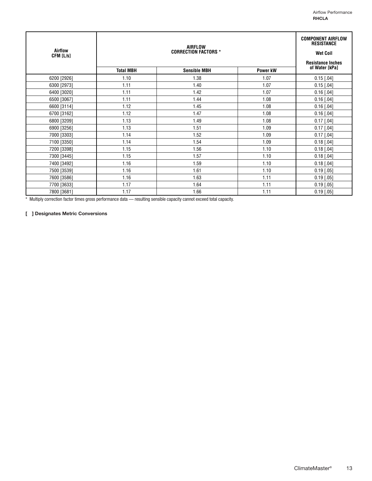| Airflow<br>CFM [L/s] |                  | <b>AIRFLOW</b><br><b>CORRECTION FACTORS *</b> |          | <b>COMPONENT AIRFLOW</b><br><b>RESISTANCE</b><br><b>Wet Coil</b><br><b>Resistance Inches</b> |
|----------------------|------------------|-----------------------------------------------|----------|----------------------------------------------------------------------------------------------|
|                      | <b>Total MBH</b> | <b>Sensible MBH</b>                           | Power kW | of Water [kPa]                                                                               |
| 6200 [2926]          | 1.10             | 1.38                                          | 1.07     | $0.15$ [.04]                                                                                 |
| 6300 [2973]          | 1.11             | 1.40                                          | 1.07     | $0.15$ [.04]                                                                                 |
| 6400 [3020]          | 1.11             | 1.42                                          | 1.07     | $0.16$ [.04]                                                                                 |
| 6500 [3067]          | 1.11             | 1.44                                          | 1.08     | $0.16$ [.04]                                                                                 |
| 6600 [3114]          | 1.12             | 1.45                                          | 1.08     | $0.16$ [.04]                                                                                 |
| 6700 [3162]          | 1.12             | 1.47                                          | 1.08     | $0.16$ [.04]                                                                                 |
| 6800 [3209]          | 1.13             | 1.49                                          | 1.08     | $0.17$ [.04]                                                                                 |
| 6900 [3256]          | 1.13             | 1.51                                          | 1.09     | $0.17$ [.04]                                                                                 |
| 7000 [3303]          | 1.14             | 1.52                                          | 1.09     | $0.17$ [.04]                                                                                 |
| 7100 [3350]          | 1.14             | 1.54                                          | 1.09     | $0.18$ [.04]                                                                                 |
| 7200 [3398]          | 1.15             | 1.56                                          | 1.10     | $0.18$ [.04]                                                                                 |
| 7300 [3445]          | 1.15             | 1.57                                          | 1.10     | $0.18$ [.04]                                                                                 |
| 7400 [3492]          | 1.16             | 1.59                                          | 1.10     | $0.18$ [.04]                                                                                 |
| 7500 [3539]          | 1.16             | 1.61                                          | 1.10     | $0.19$ [.05]                                                                                 |
| 7600 [3586]          | 1.16             | 1.63                                          | 1.11     | $0.19$ [.05]                                                                                 |
| 7700 [3633]          | 1.17             | 1.64                                          | 1.11     | $0.19$ [.05]                                                                                 |
| 7800 [3681]          | 1.17             | 1.66                                          | 1.11     | $0.19$ [.05]                                                                                 |

\* Multiply correction factor times gross performance data — resulting sensible capacity cannot exceed total capacity.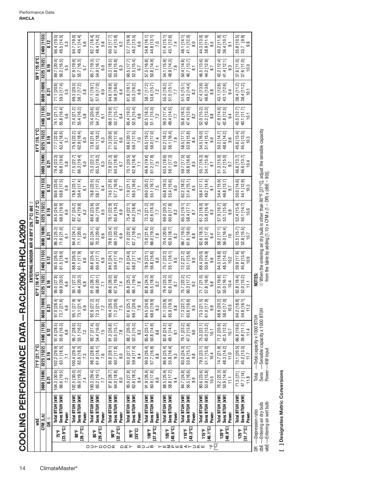|                              |                             |                                                                               |                                                                    |                                                                        |                                                              |                                    |                                                | ENTERING INDOOR AIR @ 80°F [26.7°C] dbe $\oplus$                                                                                                                    |                                               |                                                 |                                                |                                               | 61°F [16.1°C]                                  |                                                |                                                                   |                                                |                                                                          |
|------------------------------|-----------------------------|-------------------------------------------------------------------------------|--------------------------------------------------------------------|------------------------------------------------------------------------|--------------------------------------------------------------|------------------------------------|------------------------------------------------|---------------------------------------------------------------------------------------------------------------------------------------------------------------------|-----------------------------------------------|-------------------------------------------------|------------------------------------------------|-----------------------------------------------|------------------------------------------------|------------------------------------------------|-------------------------------------------------------------------|------------------------------------------------|--------------------------------------------------------------------------|
|                              |                             | whE                                                                           |                                                                    | 71°F [21.7°C]                                                          |                                                              |                                    | 67°F [19.4°C]                                  |                                                                                                                                                                     |                                               | 63°F [17.2°C]                                   |                                                |                                               |                                                |                                                |                                                                   | 59°F [15.0°C]                                  |                                                                          |
|                              |                             | CFM [L/s]                                                                     | 3600 [1699]                                                        | 3225 [1522]                                                            | 2400 [1133]                                                  | 3600 [169                          | 3225 [1522]                                    | 2400 [1133]                                                                                                                                                         | 3600 [1699]                                   | 3225 [1522]                                     | 2400 [1133]                                    | 3600 [1699]                                   | 3225 [1522]                                    | 2400 [1133]                                    | 3600 [1699]                                                       | 3225 [1522]                                    | 2400 [1133]                                                              |
|                              |                             | Θ<br>g                                                                        | ត្ត                                                                | ី                                                                      | 0.12                                                         | <b>P30</b>                         | $\frac{9}{10}$                                 | 0.12                                                                                                                                                                | $\overline{0.21}$                             | $\frac{9}{5}$                                   | 0.12                                           | 5.0                                           | ី                                              | 0.12                                           | <b>P30</b>                                                        | ី<br>ភ                                         | 0.12                                                                     |
|                              | 75°F                        | Total BTUH [kW]<br>Sens BTUH [kW]                                             | 04.3 [30.6]                                                        | 63.1 [18.5]<br>ெ<br>$102.2$ [29.                                       | 97.4 [28.5]<br>55.6 [16.3]                                   | 97.0 28.4                          | 95.0 [27.8]<br>69.9 [20.5]                     | $90.5 [26.5]$<br>$61.5 [18.0]$                                                                                                                                      | 86.3 [25.3]<br>71.6 [21.0]                    | 68.0 [19.9]<br>84.5 [24.8]                      | 80.6 [23.6]<br>59.8 [17.5]                     | 79.4 [23.3]<br>66.8 [19.6]                    | 63.4 [18.6]<br>77.7 [22.8]                     | 55.8 [16.4]<br>74.1 [21.7]                     | 59.3 [17.4]<br>71.1 [20.8]                                        | 56.2 [16.5]<br>69.7 [20.4]                     | 66.4 [19.5]<br>49.5 [14.5]                                               |
|                              | $[23.9^{\circ}C]$           | Power                                                                         | $66.6 [19.5]$<br>$7.2$                                             | $\overline{71}$                                                        | 6.9                                                          | 73.7 [21.6]<br>6.6                 | 6.6                                            | 6.4                                                                                                                                                                 | $\overline{61}$                               | 0.9                                             | 5.9                                            | 5.8                                           | 5.7                                            | 5.6                                            | LO<br>ιn,                                                         | 5.5                                            | 5.3                                                                      |
|                              | ទី៖                         | Total BTUH [KW]<br>Sens BTUH [kW]                                             | $\begin{bmatrix} 102.5 & 30.0 \\ 66.0 & 19.3 \end{bmatrix}$        | 100.4 [29.4]                                                           | 95.7 [28.0]<br>55.1 [16.2]                                   | 95.1 [27.9]<br>73.1 [21.4]         | 93.1 [27.3]<br>69.4 [20.3]                     | 88.8 [26.0]<br>61.1 [17.9]                                                                                                                                          | 84.4 [24.7]<br>71.1 [20.8]<br>6.3             | 82.7 [24.2]<br>67.4 [19.8]                      | 59.4 [17.4]<br>78.8 [23.1]                     | 77.5 [22.7]<br>66.3 [19.4]                    | 75.9 [22.2]<br>$62.9$ [18.4]                   | 72.4 [21.2]<br>55.4 [16.2]                     | 69.3 [20.3]<br>58.7 [17.2]                                        | ತ್ತಾ<br>55.7 [16.3]<br>67.9 [19.               | 64.7 [19.0]<br>49.1 [14.4]                                               |
|                              | [26.7°C]                    | Power                                                                         | 7.4                                                                | $62.6$ [18.3]<br>$7.3$                                                 | 7.2                                                          | 6.9                                | $6.\overline{8}$                               | 6.6                                                                                                                                                                 |                                               | 6.2                                             | $\overline{6}$                                 | $\overline{6}$ .0                             | $\overline{6.0}$                               | 5.8                                            | .<br>5.8                                                          | $\overline{5.7}$                               | 5.6                                                                      |
| $O D H \triangle O O \times$ | $[29.4^{\circ}C]$<br>9.98   | Total BTUH [kW]<br>Sens BTUH [kW]<br>Power                                    | $[100.3 [29.4]$<br>$65.2 [19.1]$<br>$7.7$                          | $\begin{array}{c} 98.2\,\,[28.8] \\ 61.8\,\,[18.1] \\ 7.6 \end{array}$ | 93.7 [27.4]<br>54.4 [16.0]<br>7.5                            | 92.9 [27.2]<br>72.3 [21.2]<br>7.2  | 91.0 [26.7]<br>68.6 [20.1]<br>$\overline{71}$  | 86.8 [25.4]<br>60.4 [17.7]<br>6.9                                                                                                                                   | 82.3 [24.1]<br>70.3 [20.6]<br>6.6             | 80.6 [23.6]<br>66.7 [19.5]<br>6.5               | 76.8 [22.5]<br>58.7 [17.2]<br>6.4              | 75.3 [22.1]<br>65.5 [19.2]<br>6.3             | 73.8 [21.6]<br>62.1 [18.2]<br>6.3              | 70.4 [20.6]<br>54.7 [16.0]<br>$\overline{6}$ . | 67.1 [19.7]<br>57.9 [17.0]<br>0.a                                 | 65.7 [19.3]<br>54.9 [16.1]<br>6.0              | 62.7 [18.4]<br>48.4 [14.2]<br>5.8                                        |
|                              | $[32.2^{\circ}C]$<br>ទី៖    | Total BTUH [kW]<br>Sens BTUH [kW]<br>Power                                    | $\begin{array}{c} 97.8\ [28.7] \\ 64.0\ [18.8] \\ 8.0 \end{array}$ | $\begin{array}{c} 95.8\ [28.1] \\ 60.7\ [17.8] \\ 8.0 \end{array}$     | 91.3 [26.8]<br>53.5 [15.7]<br>7.8                            | 90.4 [26.5]<br>71.2 [20.9]<br>7.5  | 88.6 [26.0]<br>67.5 [19.8]<br>7.4              | 84.5 [24.7]<br>59.4 [17.4]<br>7.3                                                                                                                                   | 79.8 [23.4]<br>69.1 [20.3]<br>6.9             | 78.1 [22.9]<br>65.6 [19.2]<br>6.9               | 74.5 [21.8]<br>57.7 [16.9]<br>6.7              | 72.9 [21.3]<br>64.3 [18.9]<br>6.7             | 71.3 [20.9]<br>61.0 [17.9]<br>6.6              | 68.0 [19.9]<br>53.7 [15.7]<br>6.4              | 64.6 [18.9]<br>56.8 [16.6]<br>6.4                                 | 63.3 [18.5]<br>53.8 [15.8]<br>.<br>6.3         | 47.4 [13.9]<br>60.3 [17.7]<br>6.2                                        |
| $\cap$ $\subset$ $\succ$     | $[35^\circ 0]$<br>95°F      | Total BTUH [KW]<br>Sens BTUH [KW]<br>Power                                    | 95.0 [27.8]<br>62.6 [18.3]<br>$\overline{8}$                       | 93.0 [27.3]<br>59.4 [17.4]<br>$\overline{4}$<br>∞                      | 88.7 [26.0]<br>52.3 [15.3]<br>$\frac{2}{8}$                  | 87.6 [25.7]<br>69.7 [20.4]<br>7.9  | 85.8 [25.2]<br>66.1 [19.4]<br>7.8              | 81.8 [24.0]<br>58.2 [17.1]<br>$\circ$                                                                                                                               | 77.0 [22.6]<br>67.7 [19.8]<br>$\overline{73}$ | 75.4 [22.1]<br>64.2 [18.8]<br>$\overline{7}$ .3 | 71.9 [21.1]<br>56.5 [16.6]<br>$\overline{71}$  | 70.1 [20.5]<br>62.9 [18.4]<br>$\overline{71}$ | 59.7 [17.5]<br>68.6 [20.1]<br>$\overline{7.0}$ | 65.4 [19.2]<br>52.5 [15.4]<br>6.8              | $61.8$ $[18.1]$<br>55.3 [16.2]<br>$\infty$<br>نت                  | 60.5 [17.7]<br>52.5 [15.4]<br>6.7              | 57.7 [16.9]<br>46.2 [13.5]<br>6.6                                        |
| മാ⊐മ                         | $[37.8^{\circ}C]$<br>100°F  | Sens BTUH [kW]<br>Total BTUH [kW]<br>Power                                    | 91.9 [26.9]<br>60.9 [17.8]<br>8.9                                  | $90.0$ [26.4]<br>57.7 [16.9]<br>8.8                                    | 85.8 [25.1]<br>50.8 [14.9]<br>8.6                            | 84.5 [24.8]<br>68.0 [19.9]<br>8.3  | 82.8 [24.3]<br>64.5 [18.9]<br>8.2              | 78.9 [23.1]<br>56.8 [16.6]<br>$\circ$<br>∞                                                                                                                          | 66.0 [19.3]<br>73.9 [21.6]<br>7.8             | 72.3 [21.2]<br>62.6 [18.3]<br>7.7               | 69.0 [20.2]<br>55.1 [16.1]<br>ίņ.              | 66.9 [19.6]<br>61.2 [17.9]<br>7.5             | 65.5 [19.2]<br>58.0 [17.0]<br>7.4              | 62.5 [18.3]<br>51.1 [15.0]<br>7.2              | 53.6 [15.7]<br>58.7 [17.2]<br>$\sim$                              | 57.5 [16.8]<br>50.8 [14.9]<br>$\overline{71}$  | 54.8 [16.1]<br>44.8 [13.1]<br>7.0                                        |
| <b>THZTHKATDRE</b>           | [40.6°C]<br>105°F           | Total BTUH [kW]<br>Sens BTUH [kW]<br>Power                                    | 88.5 [25.9]<br>58.8 [17.2]<br>9.4                                  | 86.6 [25.4]<br>55.8 [16.4]<br>9.3                                      | 82.6 [24.2]<br>49.1 [14.4]<br>$\overline{9}$                 | 81.1 [23.8]<br>65.9 [19.3]<br>8.8  | 79.4 [23.3]<br>62.6 [18.3]<br>87               | 75.7 [22.2]<br>55.1 [16.1]<br>8.5                                                                                                                                   | 70.4 [20.6]<br>63.9 [18.7]<br>8.2             | 69.0 [20.2]<br>60.6 [17.8]<br>8.2               | 65.8 [19.3]<br>53.4 [15.6]<br>8.0              | 63.5 [18.6]<br>59.1 [17.3]<br>8.0             | 62.2 [18.2]<br>56.1 [16.4]<br>7.9              | 59.3 [17.4]<br>49.4 [14.5]<br>7.7              | 51.5 [15.1]<br>55.3 [16.2]<br>7.7                                 | 54.1 [15.9]<br>48.9 [14.3]<br>7.6              | 43.1 [12.6]<br>51.6 [15.1<br>7.4                                         |
|                              | [43.3°C]<br>110°F           | Total BTUH [kW]<br>Sens BTUH [kW]<br>Power                                    | 84.7 [24.8]<br>56.5 [16.6]<br>9.9                                  | 83.0 [24.3]<br>$53.6$ [15.7]<br>9.8                                    | 47.2 [13.8]<br>79.1 [23.2]<br>່ 6<br>ອ                       | 63.6 [18.6]<br>77.3 [22.7<br>9.3   | 75.7 [22.2]<br>60.3 [17.7]<br>$\overline{9.2}$ | 72.2 [21.2]<br>53.1 [15.6]<br>.<br>ອິ                                                                                                                               | 66.7 [19.5]<br>61.6 [18.0]<br>.<br>အ          | 65.3 [19.1]<br>58.4 [17.1]<br>$\overline{8.7}$  | 62.2 [18.2]<br>51.4 [15.1]<br>8.5              | 59.7 [17.5]<br>56.8 [16.6]<br>8.5             | 53.9 [15.8]<br>58.5 [17.1]<br>8.4              | 55.8 [16.3]<br>47.4 [13.9]<br>8.2              | $51.5$ [15.1]<br>49.2 [14.4]<br>$\sim$<br>∞                       | 50.4 [14.8]<br>46.7 [13.7]<br>$\overline{8}$   | 41.1 [12.0]<br>48.1 [14.1]<br>$\overline{8.0}$                           |
| ⊬့⊽                          | [46.1°C]<br>115°F           | Total BTUH [kW]<br>Sens BTUH [kW]<br>Power                                    | 80.6 [23.6]<br>53.9 [15.8]<br>10.5                                 | 51.1 [15.0]<br>79.0 [23.1]<br>10.4                                     | 45.0 [13.2]<br>75.3 [22.1]<br>10,1                           | 73.3 [21.5]<br>61.0 [17.9]<br>9.9  | 71.7 [21.0]<br>57.8 [16.9]<br>9.8              | 68.4 [20.0]<br>50.9 [14.9]<br>9.6                                                                                                                                   | 62.6 [18.3]<br>58.9 [17.3]<br>9.4             | 55.9 [16.4]<br>61.3 [18.0]<br>9.3               | 49.2 [14.4]<br>58.4 [17.1]<br>$\overline{9}$ . | 55.7 [16.3]<br>54.1 [15.9]<br>$\overline{9}$  | 54.5 [16.0]<br>51.4 [15.1]<br>9.0              | 52.0 [15.2]<br>45.2 [13.3]<br>8.8              | 46.6 [13.6]<br>47.4 [13.9]<br>$\infty$<br>∞                       | 44.2 [12.9]<br>46.5 [13.6]<br>$\overline{8.7}$ | 44.3 [13.0]<br>$38.9$ [11.4]<br>$8.5$                                    |
|                              | [48.9°C]<br>120°F           | Total BTUH [kW]<br>Sens BTUH [kW]<br>Power                                    | 76.2 [22.3]<br>50.9 [14.9]<br>$\Xi$                                | 48.3 [14.2]<br>74.7 [21.9]<br>11.0                                     | 71.2 [20.9]<br>42.5 [12.5]<br>10.7                           | 68.9 [20.2]<br>58.0 [17.0]<br>10.5 | 67.5 [19.8]<br>55.0 [16.1]<br>10.4             | 64.3 [18.8]<br>48.5 [14.2]<br>10.2                                                                                                                                  | 58.2 [17.1]<br>56.0 [16.4]<br>10              | 57.0 [16.7]<br>53.1 [15.6]<br>نق<br>တ           | 54.4 [15.9]<br>46.8 [13.7]<br>9.7              | 51.3 [15.0]<br>51.2 [15.0]<br>9.7             | 48.6 [14.2]<br>50.2 [14.7]<br>9.6              | 47.9 [14.0]<br>42.8 [12.5]<br>9.4              | 43.1 [12.6]<br>43.1 [12.6]<br>9.4                                 | 42.2 [12.4]<br>41.4 [12.1]<br>$\overline{9.3}$ | 40.2 [11.8]<br>36.4 [10.7]<br>5.                                         |
|                              | [51.7°0]<br>$125^{\circ}$ F | Total BTUH [kW]<br>Sens BTUH [kW]<br>Power                                    | 47.7 [14]<br>71.5 [21]<br>$\infty$<br>Ë                            | 70.1 [20.5]<br>45.2 [13.3]<br>11.7                                     | 66.8 [19.6]<br>39.8 [11.7]<br>11.4                           | 64.2 [18.8]<br>54.8 [16.1]<br>11.2 | 62.8 [18.4]<br>52.0 [15.2]<br>$\frac{1}{11}$   | 59.9 [17.6]<br>45.8 [13.4]<br>10.9                                                                                                                                  | 53.5 [15.7]<br>52.8 [15.5]<br>10.7            | 52.4 [15.4]<br>50.1 [14.7]<br>$\ddot{\circ}$    | 50.0 [14.6]<br>44.1 [12.9]<br>10.3             | 46.6 [13.7]<br>46.6 [13.7]<br>10.4            | 45.6 [13.4]<br>45.5 [13.3]<br>10.3             | 40.1 [11.7]<br>43.5 [12.7]<br>$10.1$           | $\begin{array}{c} 38.4 [11.2] \\ 38.4 [11.2] \\ 10.1 \end{array}$ | 37.6 [11.0]<br>37.6 [11.0]<br>10.0             | $\begin{array}{c} 35.8 \; [10.5] \\ 33.7 \; \; [9.9] \\ 9.8 \end{array}$ |
| g                            |                             | wbE-Entering air wet bulb<br>dbE - Entering air dry bulb<br>-Depression ratio | Power<br>Sens<br>Total                                             | --KW input                                                             | Sensible capacity x 1000 BTUH<br>-Total capacity x 1000 BTUH |                                    |                                                | NOTES:<br>① When the entering air dry bulb is other than 80°F [27°C], adjust the sensible capacity<br>from the table by adding [1.10 x CFM x(1 – DR) x (dbE – 80)]. |                                               |                                                 |                                                |                                               |                                                |                                                |                                                                   |                                                |                                                                          |

[ ] Designates Metric Conversions **[ ] Designates Metric Conversions**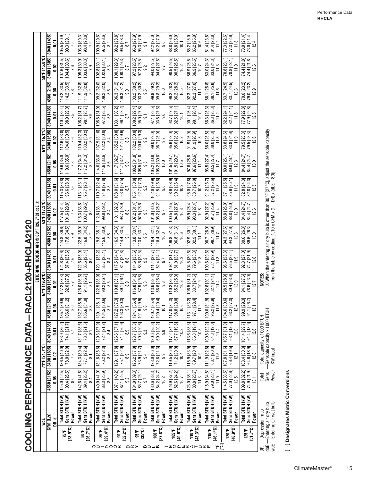COOLING PERFORMANCE DATA - RACL2120+RHCLA2120 **COOLING PERFORMANCE DATA—RACL2120+RHCLA2120**

|                            | ₩                                                                       |                                    |                                                                                              | 71°F [21.7°C]                                                                                     |                                                                                |                                                                                                                 | 67°F [19.4°C                                                            |                                                                         | ENTERING INDOOR AIR @ 80°F [26.7°C] dbe $\circledcirc$                                                                                                        | 63°F [17.2°C]                                |                                                                         |                                                                                                                                           | 61°F [16.1°C]                                                           |                                                                     |                                                                  | 59°F [15.0°C]                                                         |  |
|----------------------------|-------------------------------------------------------------------------|------------------------------------|----------------------------------------------------------------------------------------------|---------------------------------------------------------------------------------------------------|--------------------------------------------------------------------------------|-----------------------------------------------------------------------------------------------------------------|-------------------------------------------------------------------------|-------------------------------------------------------------------------|---------------------------------------------------------------------------------------------------------------------------------------------------------------|----------------------------------------------|-------------------------------------------------------------------------|-------------------------------------------------------------------------------------------------------------------------------------------|-------------------------------------------------------------------------|---------------------------------------------------------------------|------------------------------------------------------------------|-----------------------------------------------------------------------|--|
|                            |                                                                         |                                    | 4560 [2152]                                                                                  |                                                                                                   | 3040 [1435]                                                                    | 4560 [2152]                                                                                                     |                                                                         |                                                                         | 4560                                                                                                                                                          |                                              | 3040 [1435]                                                             |                                                                                                                                           |                                                                         |                                                                     | 4560 [2152]                                                      |                                                                       |  |
|                            | CFM [L/s]<br>DR ⊕                                                       |                                    | <b>80.0</b>                                                                                  | 3400 [1605]<br>0.02                                                                               | គូ<br>គុ                                                                       | $\frac{8}{10}$                                                                                                  | 3400 [1605]<br><b>0.02</b>                                              | 3040 [1435]<br>$\ddot{5}$                                               | [2152]<br>$\frac{8}{10}$                                                                                                                                      | 3400 [1605]<br><b>SO</b>                     | ទ្រុ                                                                    | 4560 [2152]<br>ទី                                                                                                                         | 3400 [1605]<br>S<br>۔                                                   | 3040 [1435]<br>$-0.01$                                              | $\frac{8}{2}$                                                    | 3400 [1605]<br>g                                                      |  |
|                            | Power<br>[23.9°C]<br>75°F                                               | Total BTUH [kW]<br>Sens BTUH [kW]  | $\begin{bmatrix} 45.0 & [42.5] \\ 90.4 & [26.5] \end{bmatrix}$<br>$\frac{8}{10}$             | 136.5 [40.0]<br>78.0 [22.9]<br>7.8                                                                | 133.9 [39.2]<br>74.1 [21.7]                                                    | 39.6]<br>31.2]<br>8.0<br>135.1<br>106.6                                                                         | $127.2$ [37.3]<br>92.0 [27.0]<br>7.7                                    | $124.8$ [36.6]<br>$87.4$ [25.6]                                         | 124.8 [36.6]<br>117.8 [34.5]<br>7.9                                                                                                                           | $117.5$ [34.4]<br>101.6 [29.8]               | 115.3 [33.8]<br>96.6 [28.3]<br>115.3 [33.<br>7.6                        | $\begin{array}{ l l } \hline {\bf 119.6} & {\bf [35.0]} \\ \hline {\bf 119.6} & {\bf [35.0]} \\ \hline {\bf 7.8} & \\ \hline \end{array}$ | 112.6 [33.0]<br>104.0 [30.5]<br>7.6                                     | 98.9 [29.0]<br>ਚ<br>110.4 [32.                                      | 114.2 [33.5]<br>114.2 [33.5]<br>7.8                              | $107.6$ [31.5]<br>$104.4$ [30.6]                                      |  |
|                            | Power<br>[26.7°C]<br>ao.e                                               | Total BTUH [kW]<br>Sens BTUH [kW]  | 142.6 [41.8]<br>89.4 [26.2]<br>8.4                                                           | 134.3 [39.4]<br>77.1 [22.6]<br>$\overline{\infty}$                                                | $\begin{array}{c} 131.7\ [38.6] \\ 73.3\ [21.5] \end{array}$<br>$\overline{8}$ | 38.9]<br>31.0]<br>.<br>83<br>132.7<br>105.6                                                                     | 125.0 [36.6]<br>91.1 [26.7]<br>$\overline{5}$                           | $122.6 [35.9]$<br>$86.6 [25.4]$<br>8.0                                  | $\begin{bmatrix} 122.5 & [35.9] \\ 16.8 & [34.2] \end{bmatrix}$<br>8.2                                                                                        | 115.3 [33.8]<br>100.7 [29.5]<br>8.0          | 113.1 [33.1]<br>95.7 [28.1]<br>7.9                                      | 117.2 [34.3]<br>117.2 [34.3]<br>Σ,                                                                                                        | 10.4 [32.3]<br>103.2 [30.2]<br>$\circ$                                  | $108.2$ [31.7]<br>$98.1 [28.7]$<br>7.9                              | $\begin{bmatrix} 111.9 & [32.8] \\ 111.9 & [32.8] \end{bmatrix}$ | 105.3 [30.9]<br>103.6 [30.3]<br>7.9                                   |  |
| OD⊢QOO <b>⊄</b>            | Power<br>$[29.4^{\circ}C]$<br>និះ                                       | Sens BTUH [kW]<br>Total BTUH [kW]  | 140.0 [41.0]<br>88.3 [25.9]<br>$\frac{8}{3}$                                                 | 131.8 [38.6]<br>76.2 [22.3]<br>8.5                                                                | 72.4 [21.2]<br>129.3 [37.9]<br>84                                              | 38.1]<br>30.6]<br>130.1<br>104.5<br>$\infty$                                                                    | 122.5 [35.9]<br>$90.2$ [26.4]<br>$8.5$                                  | 120.1 [35.2]<br>85.7 [25.1]<br>84                                       | 119.8 [35.1]<br>115.6 [33.9]<br>$\overline{8.6}$                                                                                                              | $112.8$ [33.1]<br>99.8 [29.2]<br>8.4         | 94.8 [27.8]<br>110.7 [32.4]<br>$\overline{8}$                           | $\begin{array}{ l l } \hline 114.6 & [33.6] \\\hline 114.6 & [33.6] \\\hline 8.6 & \\ \hline \end{array}$                                 | 102.2 [30.0]<br>107.9 [31.6]<br>8.4                                     | $\begin{array}{c} 105.8\ [31.0] \\ 97.2\ [28.5] \\ 8.3 \end{array}$ | 109.2 [32.0]<br>109.2 [32.0]<br>8.6                              | 102.8 [30.1]<br>102.6 [30.1]                                          |  |
|                            | Power<br>$[32.2^{\circ}C]$<br>90°F                                      | Total BT UH [kW]<br>Sens BTUH [kW] | 137.1 [40.2]<br>$\begin{bmatrix} 87.1 & 25.5 \\ 9.2 & 1 \end{bmatrix}$                       | 129.1 [37.8]<br>75.1 [22.0]<br>8.9                                                                | 71.4 [20.9]<br>126.6 [37.1]<br>8.9                                             | 37.3]<br>30.3]<br>$\begin{bmatrix} 127.2 \\ 103.3 \\ 9.1 \end{bmatrix}$                                         | 119.8 [35.1]<br>89.1 [26.1]<br>.<br>8.9                                 | 84.7 [24.8]<br>$117.5$ [34.4]<br>8.8                                    | $\begin{array}{c} 116.9\,\, [34.3] \\ 114.4\,\, [33.5] \\ 9.1 \end{array}$                                                                                    | 110.1 [32.3]<br>98.7 [28.9]<br>8.8           | $93.8$ $[27.5]$<br>$8.7$<br>$108.0$ [31.6]                              | $\begin{bmatrix} 111.7 & 32.7 \ 9.0 & \end{bmatrix}$<br>111.7 [32.7]                                                                      | 105.2 [30.8]<br>$\begin{bmatrix} 101.1 & 29.6 \\ 8.8 & 1 \end{bmatrix}$ | 103.1 [30.2]<br>$\frac{96.1 [28.2]}{8.7}$                           | $106.3$ [31.2]<br>106.3 [31.2]<br>0.6                            | $100.1$ [29.3]<br>$100.1$ [29.3]<br>8.7                               |  |
| $\cap$ $\mathbb{C}$ $\geq$ | Power<br>$[35^\circ \text{C}]$<br>មិនិ                                  | Total BTUH [kW]<br>Sens BTUH [kW]  | 134.0 [39.3]<br>$85.7$ [25.1]<br>$9.7$                                                       | 126.2 [37.0]<br>73.9 [21.7]<br>9.4                                                                | 70.3 [20.6]<br>123.7 [36.3]<br>9.3                                             | $\begin{bmatrix} 124.1 & 136.4 \\ 101.9 & 129.9 \end{bmatrix}$<br>$101.9\begin{bmatrix} 2 \\ 9.6 \end{bmatrix}$ | $\begin{array}{c} 116.8\,\,[34.2] \\ 87.9\,\,[25.8] \\ 9.3 \end{array}$ | $\begin{array}{c} 114.6\ [33.6] \\ 83.6\ [24.5] \\ 9.2 \end{array}$     | $\begin{array}{c} 113.8\ [33.4] \\ 113.0\ [33.1] \\ 9.5 \end{array}$                                                                                          | $107.2$ [31.4]<br>97.5 [28.6]<br>9.3         | 105.1 [30.8]<br>92.7 [27.2]<br>9.2                                      | $\begin{bmatrix} 108.5 & 31.8 \\ 108.5 & 31.8 \\ 9.5 & 5 \end{bmatrix}$                                                                   | 102.2 [30.0]<br>100.0 [29.3]<br>9.2                                     | $100.2$ [29.4]<br>$95.0$ $[27.8]$                                   | $[203.2 \; [30.2] \\ 103.2 \; [30.2]$<br>9.5                     | $97.2$ $[28.5]$<br>$97.2$ $[28.5]$<br>9.2                             |  |
| $\mathbf{w} = \mathbf{w}$  | Power<br>$[37.8^{\circ}]$<br>100°F                                      | Sens BTUH [kW]<br>Total BTUH [kW]  | 130.6 [38.3]<br>84.2 [24.7]<br>10.2                                                          | $\begin{array}{ c c } \hline 123.0 & [36.0] \\ \hline 72.6 & [21.3] \\ \hline \end{array}$<br>9.9 | 120.6 [35.3]<br>69.0 [20.2]<br>9.8                                             | 35.4]<br>29.4]<br>$\frac{1}{2}$<br>100.4<br>120.7                                                               | 113.6 [33.3]<br>86.6 [25.4]<br>9.8                                      | $111.4$ [32.7]<br>82.4 [24.1]<br>9.7                                    | $\begin{array}{c} 110.4\; [32.4] \\ 110.4\; [32.4] \\ 10.6 \end{array}$                                                                                       | $104.0$ [30.5]<br>96.2 [28.2]<br>9.7         | 102.0 [29.9]<br>91.5 [26.8]<br>$9.\overline{6}$                         | $\begin{bmatrix} 105.2 & 30.8 \\ 105.2 & 30.8 \\ 10.0 & 10.0 \end{bmatrix}$                                                               | 99.0 [29.0]<br>98.7 [28.9]<br>9.7                                       | 97.1 [28.5]<br>93.8 [27.5]<br>$\circ$<br>တ                          | 99.8 [29.2]<br>99.8 [29.2]<br>10.0                               | $\begin{array}{l} 94.0\ [27.5] \\ 94.0\ [27.5] \\ 9.7 \end{array}$    |  |
|                            | Power<br>[40.6°C]<br>$105^{\circ}$ F                                    | Total BTUH [kW]<br>Sens BTUH [kW]  | $\begin{array}{c} 126.9\,\left[ 37.2\right] \\ 82.6\,\left[ 24.2\right] \\ 10.7 \end{array}$ | 119.5 [35.0]<br>71.2 [20.9]<br>10.4                                                               | 67.7 [19.8]<br>117.2 [34.4]<br>10.3                                            | ಸ್ಪ್ರ<br>ಸೆ ನಿ ಎ<br>$\frac{10}{10}$<br>98.8<br>117.0                                                            | 110.2 [32.3]<br>85.2 [25.0]<br>10.3                                     | $108.1$ [31.7]<br>$81.0$ [23.7]<br>$10.2$                               | $\begin{array}{c} 106.8\ [31.3] \\ 106.8\ [31.3] \\ 10.6 \end{array}$                                                                                         | 00.5 [29.5]<br>94.8 [27.8]<br>10.3           | $\begin{array}{c} 98.6 \; [28.9] \\ 90.2 \; [26.4] \\ 10.2 \end{array}$ | 101.5 [29.7]<br>$\begin{bmatrix} 101.5 \\ 10.5 \\ 10.5 \end{bmatrix}$                                                                     | 95.6 [28.0]<br>95.6 [28.0]<br>10.2                                      | 93.7 [27.5]<br>92.5 [27.1]<br>$\overline{10}$                       | 96.2 [28.2]<br>96.2 [28.2]<br>10.5                               | $\begin{array}{l} 90.5\; [26.5] \\ 90.5\; [26.5] \\ 10.2 \end{array}$ |  |
| <b>〒巴MPERATURE</b>         | Power<br>[43.3°C]<br>110°F                                              | Sens BTUH [kW]<br>Total BTUH [kW]  | 80.8 [23.7]<br>123.0 [36.1]<br>11.3                                                          | 115.9 [33.9]<br>69.7 [20.4]<br>10.9                                                               | 66.3 [19.4]<br>113.6 [33.3]<br>10.8                                            | $\begin{array}{c} \boxed{33.21} \\ 1 \ 28.4 \\ 1 \ 2 \end{array}$<br>97.1<br>113.1                              | $106.5$ [31.2]<br>$83.7$ [24.5]<br>10.9                                 | $104.5$ [30.6]<br>79.6 [23.3]<br>10.8                                   | 102.9 [30.1]<br>102.9 [30.1]<br>$\overline{11}$                                                                                                               | 96.9 [28.4]<br>93.3 [27.4]<br>10.8           | 95.0 [27.8]<br>88.7 [26.0]<br>10.7                                      | 97.6 [28.6]<br>97.6 [28.6]<br>$\frac{1}{11}$                                                                                              | 91.9 [26.9]<br>91.9 [26.9]<br>10.8                                      | 90.1 [26.4]<br>90.1 [26.4]<br>10.7                                  | 92.3 [27.0]<br>92.3 [27.0]<br>$\overline{11}$                    | 86.9 [25.5]<br>86.9 [25.5]<br>10.7                                    |  |
| မှု့ပြ                     | Power<br>[46.1°C]<br>115°F                                              | Total BTUH [kW]<br>Sens BTUH [kW]  | 118.9 [34.8]<br>79.0 [23.1]<br>11.9                                                          | 111.9 [32.8]<br>68.1 [20.0]<br>11.5                                                               | 109.8 [32.2]<br>64.8 [19.0]<br>11.4                                            | $\begin{array}{c} \hline , [31.9] \\ .2 [27.9] \\ 11.8 \end{array}$<br>95.2<br>109.0                            | 102.6 [30.1]<br>82.1 [24.1]<br>11.4                                     | $\begin{bmatrix} 100.6\, [29.5] \\ 78.1\, [22.9] \\ 11.3 \end{bmatrix}$ | $\begin{array}{c} 98.7\,\,[28.9] \\ 98.7\,\,[28.9] \\ 11.7 \end{array}$                                                                                       | <u>ត្</u><br>91.7 [26.9]<br>92.9 [27<br>11.4 | 91.2 [26.7]<br>87.2 [25.6]<br>11.3                                      | 93.5 [27.4]<br>$93.5$ [27.4]<br>11.7                                                                                                      | 88.0 [25.8]<br>88.0 [25.8]<br>11.3                                      | 86.3 [25.3]<br>86.3 [25.3]                                          | 88.1 [25.8]<br>88.1 [25.8]<br>11.6                               | $\begin{bmatrix} 24.3 \\ 83.0 \\ 1.3 \\ 1.3 \end{bmatrix}$            |  |
|                            | Power<br>[48.9°C]<br>120°F                                              | Total BTUH [KW]<br>Sens BTUH [kW]  | 114.5 [33.5]<br>$77.0$ [22.6]                                                                | $107.8$ [31.6]<br>66.4 [19.5]<br>12.1                                                             | $105.7$ [31.0]<br>63.1 [18.5]<br>12.0                                          | 104.6 [30.6]<br>93.2 [27.3]<br>12.4<br>104.6                                                                    | 98.5 [28.9]<br>80.4 [23.6]<br>12.0                                      | 96.6 [28.3]<br>76.5 [22.4]<br>11.9                                      | 94.3 [27.6]<br>94.3 [27.6]<br>12.3                                                                                                                            | 88.8 [26.0]<br>88.8 [26.0]<br>12.0           | 87.1 [25.5]<br>85.6 [25.1]<br>11.9                                      | 89.0 [26.1]<br>89.0 [26.1]<br>12.3                                                                                                        | 83.8 [24.6]<br>83.8 [24.6]<br>11.9                                      | 82.2 [24.1]<br>$12$ [24.1]<br>11.8<br><u>ജ</u>                      | 83.7 [24.5]<br>83.7 [24.5]<br>$83.7$ [24.]<br>12.3               | 78.8 [23.1]<br>$78.8$ [23.1]<br>11.9                                  |  |
|                            | Power<br>[51.7°C]<br>$125^{\circ}$ F                                    | Total BTUH [kW]<br>Sens BTUH [kW]  | 109.8 [32.2]<br>74.9 [21.9]<br>13.1                                                          | 64.6 [18.9]<br>103.4 [30.3]<br>12.8                                                               | 61.4 [18.0]<br>101.4 [29.7]<br>12.6                                            | 99.9 [29.3]<br>91.1 [26.7]<br>$\frac{3}{2}$                                                                     | 94.1 [27.6]<br>78.6 [23.0]<br>12.7                                      | 92.3 [27.0]<br>74.7 [21.9]<br>12.6                                      | $\begin{array}{l} 89.6\,\, [26.3] \\ 89.6\,\, [26.3] \\ 13.0 \end{array}$                                                                                     | 84.4 [24.7]<br>84.4 [24.7]<br>12.6           | 82.8 [24.3]<br>82.8 [24.3]<br>12.5                                      | 84.4 [24.7]<br>84.4 [24.7]<br>13.0                                                                                                        | 79.5 [23.3]<br>79.5 [23.3]<br>12.6                                      | 77.9 [22.8]<br>77.9 [22.8]<br>12.5                                  | 79.0 [23.2]<br>79.0 [23.2]<br>12.9                               | 74.4 [21.8]<br>74.4 [21.8]<br>12.6                                    |  |
| $\det$<br>g                | wbE-Entering air wet bulb<br>Entering air dry bulb<br>-Depression ratio |                                    | Sens<br>Total                                                                                | Power -KW input                                                                                   | -Sensible capacity x 1000 BTUH<br>-Total capacity x 1000 BTUH                  |                                                                                                                 | NOTES:                                                                  |                                                                         | $\odot$ When the entering air dry bulb is other than 80°F [27°C], adjust the sensible capacity from the table by adding [1.10 x CFM x (1 – DR) x (dbE – 80)]. |                                              |                                                                         |                                                                                                                                           |                                                                         |                                                                     |                                                                  |                                                                       |  |

[ ] Designates Metric Conversions **[ ] Designates Metric Conversions**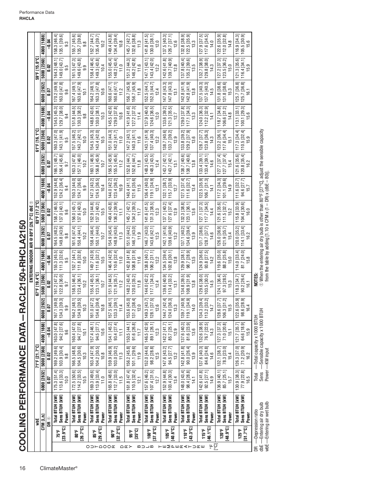|                          |                             |                                                                         |                                                |                                      |                                                               |                                                    |                                                                       | ENTERING INDOOR AIR @ 80°F [26.7°C] dbe $\oplus$                                                                                                              |                                          |                                                         |                                                                      |                                                                      |                                                                         |                                                                                                                           |                                                                                         |                                                                         |                                                          |
|--------------------------|-----------------------------|-------------------------------------------------------------------------|------------------------------------------------|--------------------------------------|---------------------------------------------------------------|----------------------------------------------------|-----------------------------------------------------------------------|---------------------------------------------------------------------------------------------------------------------------------------------------------------|------------------------------------------|---------------------------------------------------------|----------------------------------------------------------------------|----------------------------------------------------------------------|-------------------------------------------------------------------------|---------------------------------------------------------------------------------------------------------------------------|-----------------------------------------------------------------------------------------|-------------------------------------------------------------------------|----------------------------------------------------------|
|                          |                             | wbE                                                                     |                                                | 71°F [21.7°C]                        |                                                               |                                                    | 67°F [19.4°C]                                                         |                                                                                                                                                               |                                          | 63°F [17.2°C]                                           |                                                                      |                                                                      | 61°F [16.1°C]                                                           |                                                                                                                           |                                                                                         | 59°F [15.0°C]                                                           |                                                          |
|                          |                             | CFM [L/s]                                                               | 6000 [2832]                                    | 5000 [2360]                          | 4000 [1888]                                                   | ឆ<br>6000 [28]                                     | 5000 [2360]                                                           | 4000 [1888]                                                                                                                                                   | 6000 [2832]                              | 5000 [2360]                                             | 4000 [1888]                                                          | 6000 [2832]                                                          | 5000 [2360]                                                             | 4000 [1888]                                                                                                               | 6000 [2832]                                                                             | 5000 [2360]                                                             | 4000 [1888]                                              |
|                          |                             | DR O                                                                    | 0.07                                           | 0.02                                 | $-0.04$                                                       | <b>SO</b>                                          | $\frac{22}{5}$                                                        | $-0.04$                                                                                                                                                       | 0.07                                     | 0.02                                                    | $-0.04$                                                              | 0.O                                                                  | <b>Si</b> 0                                                             | $-0.04$                                                                                                                   | 0.O7                                                                                    | <b>SO</b>                                                               | $-0.04$                                                  |
|                          | $[23.9^{\circ}C]$<br>75°F   | Sens BTUH [kW]<br>Total BTUH [kW]<br>Power                              | 113.6 [33.3]<br>$175.3$ [51.4]<br>10.0         | 169.2 [49.6]<br>103.9 [30.4]<br>9.8  | 94.2 [27.6]<br>163.0 [47.8]<br>9.6                            | ್ಸ<br>ਠ<br>167.1 [49.<br>134.3 [39.<br>9.9         | 161.2 [47.2]<br>122.8 [36.0]<br>9.7                                   | 111.3 [32.6]<br>155.3 [45.5]<br>9.5                                                                                                                           | 164.5 [48.2]<br>149.8 [43.9]<br>9.8      | 158.7 [46.5]<br>137.0 [40.1]<br>9.6                     | 124.2 [36.4]<br>152.9 [44.8]<br>9.4                                  | 156.4 [45.8]<br>166.1 [48.7]<br>9.7                                  | 143.1 [41.9]<br>160.3 [47.0]<br>9.5                                     | 129.7 [38.0]<br>154.5 [45.3]<br>9.4                                                                                       | 163.0 [47.8]<br>170.2 [49.9]<br>9.6                                                     | 164.3 [48.1]<br>149.0 [43.7]                                            | 135.1 [39.6]<br>158.3 [46.4]<br>9.3                      |
|                          | [26.7°C]<br>នាះ             | Sens BTUH [kW]<br>Total BTUH [kW]<br>Power                              | 114.2 [33.5]<br>172.5 [50.6]<br>10.5           | 166.5 [48.8]<br>104.5 [30.6]<br>10.3 | 94.7 [27.8]<br>160.4 [47.0]<br>$\overline{101}$               | <u>។</u><br>ត<br>164.2 [48]<br>134.9 [39.<br>10.3  | 158.5 [46.4]<br>123.4 [36.1]<br>10.2                                  | 111.8 [32.8]<br>152.7 [44.7]<br>10.0                                                                                                                          | 161.6 [47.4]<br>150.4 [44.1]<br>10.2     | 137.6 [40.3]<br>156.0 [45.7]<br>10.0                    | 150.3 [44.0]<br>124.7 [36.6]<br>9.9                                  | 157.1 [46.0]<br>163.3 [47.8]<br>10.2                                 | 143.7 [42.1]<br>157.5 [46.2]<br>10.0                                    | 130.3 [38.2]<br>151.8 [44.5]<br>9.8                                                                                       | 163.6 [47.9]<br>4 [49.1]<br>$\frac{10}{10}$<br>167                                      | 161.5 [47.3]<br>149.6 [43.8]                                            | 155.7 [45.6]<br>135.7 [39.8]<br>$9.\overline{8}$         |
| O D H Q O Q E            | $[29.4^{\circ}C]$<br>ន្រះ   | Sens BTUH [kW]<br>Total BTUH [kW]<br>Power                              | 113.9 [33.4]<br>169.3 [49.6]<br>11.0           | 163.4 [47.9]<br>104.2 [30.5]<br>10.8 | 94.5 [27.7]<br>157.4 [46.1]<br>10.6                           | ন <del>ব</del><br>134.6 [39.<br>161.0 [47<br>10.8  | 155.4 [45.5]<br>123.1 [36.1]<br>10.7                                  | 149.7 [43.9]<br>111.6 [32.7]<br>10.5                                                                                                                          | 158.4 [46.4]<br>150.1 [44.0]<br>10.7     | 152.9 [44.8]<br>  137.3 [40.2]<br>10.5                  | 147.3 [43.2]<br>124.5 [36.5]<br>10.4                                 | 160.1 [46.9]<br>156.8 [45.9]<br>10.7                                 | 143.4 [42.0]<br>154.5 [45.3]<br>10.5                                    | 148.8 [43.6]<br>$130.0 [38.1]$<br>$10.3$                                                                                  | 164.2 [48.1]<br>163.3 [47.8]<br>10.6                                                    | 158.4 [46.4]<br>149.3 [43.8]<br>10.4                                    | 152.7 [44.7]<br>135.4 [39.7]<br>10.2                     |
|                          | $[32.2^{\circ}C]$<br>90°F   | Sens BTUH [kW]<br>Total BTUH [kW]<br>Power                              | 112.7 [33.0]<br>165.8 [48.6]<br>$\frac{5}{11}$ | 159.9 [46.9]<br>103.0 [30.2]<br>11.3 | 93.4 [27.4]<br>154.1 [45.2]<br>H                              | ĒĘ<br>157.5 [46.<br>133.3 [39.<br>11.4             | 151.9 [44.5]<br>121.9 [35.7]<br>11.2                                  | 146.4 [42.9]<br>$110.6$ [32.4]<br>11.0                                                                                                                        | 154.9 [45.4]<br>  148.9 [43.6]<br>11.3   | 149.4 [43.8]<br>136.2 [39.9]<br>$\overline{11}$         | $\begin{array}{c} 144.0 [42.2] \\ 123.4 [36.2] \\ 10.9 \end{array}$  | 155.5 [45.6]<br>156.5 [45.9]<br>11.2                                 | 151.0 [44.3]<br>142.3 [41.7]<br>11.0                                    | 145.5 [42.6]<br>  129.0 [37.8]<br>10.8                                                                                    | 160.6 [47.1]<br>160.6 [47.1]<br>11.2                                                    | 155.0 [45.4]<br>148.2 [43.4]<br>11.0                                    | 134.4 [39.4]<br>149.4 [43.8]<br>10.8                     |
| $\cap$ $\subset$ $\succ$ | $[35^{\circ}C]$<br>ទឹង      | Sens BTUH [kW]<br>Total BTUH [kW]<br>Power                              | 110.5 [32.4]<br>161.8 [47.4]<br>12.1           | 156.2 [45.8]<br>101.1 [29.6]<br>11.9 | 91.6 [26.8]<br>150.5 [44.1]<br>11.7                           | ਕ ਚ<br>153.6 [45.<br>$131.2$ [38.<br>12.0          | 148.2 [43.4]<br>120.0 [35.2]<br>11.8                                  | $[6.18]$ $[11.6]$<br>142.8 [41.8]                                                                                                                             | 151.0 [44.2]<br>146.7 [43.0]<br>11.9     | 145.7 [42.7]<br>134.2 [39.3]<br>11.7                    | $\begin{bmatrix} 121.6 [35.6] \\ 11.5 \end{bmatrix}$<br>140.4 [41.1] | $152.6 [44.7]$<br>$11.8$<br>152.6 [44.7]                             | $\begin{bmatrix} 140.3 & 41.1 \ 11.6 & \end{bmatrix}$<br>$147.2$ [43.1] | 141.9 [41.6]<br>127.2 [37.3]<br>11.4                                                                                      | 156.7 [45.9]<br>156.7 [45.9]<br>11.8                                                    | 151.2 [44.3]<br>146.2 [42.8]<br>11.6                                    | 145.7 [42.7]<br>132.6 [38.8]<br>11.3                     |
| മ⊃⊐മ                     | $[37.8^{\circ}C]$<br>100°F  | Sens BTUH [kW]<br>Total BTUH [kW]<br>Power                              | 157.6 [46.2]<br>107.4 [31.5]<br>12.7           | 152.0 [44.6]<br>98.2 [28.8]<br>12.5  | 146.5 [42.9]<br>89.1 [26.1]<br>12.3                           | $\overline{E}$<br>149.3 [43.<br>128.1 [37.<br>12.6 | 144.0 [42.2]<br>117.1 [34.3]<br>12.4                                  | $106.2$ [31.1]<br>138.8 [40.7]<br>12.2                                                                                                                        | 146.7 [43.0]<br>143.6 [42.1]<br>12.5     | 141.6 [41.5]<br>131.3 [38.5]<br>12.3                    | 119.1 [34.9]<br>136.4 [40.0]<br>12.1                                 | 148.3 [43.5]<br>148.3 [43.5]<br>12.4                                 | 137.4 [40.3]<br>143.1 [41.9]<br>12.2                                    | 137.9 [40.4]<br>124.6 [36.5]<br>12.0                                                                                      | 152.5 [44.7]<br>152.5 [44.7]<br>12.4                                                    | 143.4 [42.0]<br>147.1 [43.1]<br>12.2                                    | 130.0 [38.1]<br>141.8 [41.5]<br>12.0                     |
| <b>TH∑QUKKTD⊄H</b>       | $[40.6^{\circ}$ C]<br>105°F | Sens BTUH [kW]<br>Total BTUH [kW]<br>Power                              | 152.9 [44.8]<br>103.4 [30.3]<br>13.4           | 147.6 [43.2]<br>94.5 [27.7]<br>13.2  | 85.7 [25.1]<br>142.2 [41.7]<br>12.9                           | ਦ ਲ<br>144.7 [42.<br>124.0 [36.<br>13.3            | 139.6 [40.9]<br>113.4 [33.2]<br>13.1                                  | 134.5 [39.4]<br>$102.8$ $[30.1]$<br>12.8                                                                                                                      | 142.1 [41.6]<br>139.6 [40.9]<br>13.2     | 127.6 [37.4]<br>137.1 [40.2]<br>12.9                    | 115.7 [33.9]<br>132.1 [38.7]<br>12.7                                 | 143.7 [42.1]<br>143.7 [42.1]<br>13.1                                 | 133.7 [39.2]<br>138.7 [40.6]<br>12.9                                    | 133.6 [39.2]<br>121.3 [35.5]<br>12.7                                                                                      | 147.8 [43.3]<br>147.8 [43.3]<br>13.1                                                    | 142.6 [41.8]<br>139.7 [40.9]<br>12.8                                    | 126.7 [37.1]<br>$137.5$ [40.3]<br>12.6                   |
|                          | $[43.3^{\circ}$ C]<br>110°F | Total BTUH [kW]<br>Sens BTUH [kW]<br>Power                              | 148.0 [43.4]<br>98.4 [28.8]<br>14,1            | 142.8 [41.8]<br>90.0 [26.4]<br>13.9  | 81.6 [23.9]<br>137.6 [40.3]<br>13.6                           | க க<br>139.7 [40.<br>119.1 [34.<br>14.0            | 134.8 [39.5]<br>[08.9 [31.9]                                          | $98.7 [28.9]$<br>13.5<br>129.9 [38.1]                                                                                                                         | 137.1 [40.2]<br>134.6 [39.4]<br>13.9     | 132.3 [38.8]<br>123.1 [36.1]<br>13.6                    | 127.5 [37.4]<br>111.6 [32.7]<br>13.4                                 | $\begin{array}{c} 138.7\ [40.6]\ 13.8\ \end{array}$<br>138.7 [40.6]  | $\begin{array}{c} 129.2 [37.9] \\ 13.6 \end{array}$<br>133.8 [39.2]     | $117.1$ [34.3]<br>$13.3$<br>129.0 [37.8]                                                                                  | $\begin{array}{ c c }\n 142.8 & [41.9] \\  \hline\n 13.8 & \end{array}$<br>142.8 [41.9] | $\begin{array}{c} 135.2\ [39.6] \\ 13.5 \end{array}$<br>137.8 [40.4]    | ெ<br>த<br>132.8 38.<br>$122.5$ [35.9]<br>$13.3$          |
| ⊬ပြ                      | [46.1°C]<br>1157            | Sens BTUH [kW]<br>Total BTUH [kW]<br>Power                              | 142.6 [41.8]<br>$92.5 [27.1]$<br>$14.9$        | 137.6 [40.3]<br>84.6 [24.8]<br>14.6  | 132.6 [38.9]<br>76.7 [22.5]<br>14.3                           | ਚ ਹ<br>134.3 [39.<br>113.2 [33.<br>14.7            | $\begin{array}{c} 129.6\ [38.0] \\ 103.5\ [30.3] \\ 14.5 \end{array}$ | 124.9 [36.6]<br>$93.8$ [27.5]<br>14.2                                                                                                                         | 131.7 [38.6]<br>$128.7$ [37.7]<br>$14.6$ | 117.7 [34.5]<br>127.1 [37.3]<br>14.4                    | 122.5 [35.9]<br>106.7 [31.3]<br>14.1                                 | $133.4 [39.1]$<br>$14.6$<br>133.4 [39.1]                             | $123.8$ [36.3]<br>$14.3$<br>128.7 [37.7]                                | $\begin{array}{ c c } \hline &124.0 & [36.3] \hline \\ &112.2 & [32.9] \hline \\ & &14.1 & \\ \hline \end{array}$         | $[37.5[40.3]$<br>$[4.5$<br>137.5 [40.3]                                                 | 129.8 [38.0]<br>ெ<br>132.7 [38.<br>14.3                                 | 127.9 [37.5]<br>117.6 [34.5]<br>14.0                     |
|                          | [48.9°C]<br>120°F           | Total BTUH [kW]<br>Sens BTUH [kW]<br>Power                              | 136.9 [40.1]<br>85.7 [25.1]<br>15.7            | 132.1 [38.7]<br>78.3 [23.0]<br>15.4  | 71.0 [20.8]<br>127.3 [37.3]<br>15.1                           | កន<br>128.6 37<br>106.3 [31]<br>15.5               | 124.1 [36.4]<br>97.3 [28.5]<br>15.3                                   | 119.6 [35.0]<br>88.2 [25.8]<br>15.0                                                                                                                           | 126.0 [36.9]<br>121.9 [35.7]<br>15.4     | 121.6 [35.6]<br>$111.5$ $[32.7]$<br>15.2                | 117.2 [34.3]<br>101.1 [29.6]<br>14.9                                 | 127.7 [37.4]<br>127.7 [37.4]<br>15.4                                 | 117.6 [34.4]<br>123.2 [36.1]<br>15.1                                    | $\begin{bmatrix} 118.7 & 34.8 \\ 106.6 & 31.2 \\ 14.8 & 1 \end{bmatrix}$                                                  | 131.8 [38.6]<br>131.8 [38.6]<br>15.3                                                    | $\begin{array}{c} 127.2 & [37.3] \\ 123.5 & [36.2] \end{array}$<br>15.0 | 122.6 [35.9]<br>  112.0 [32.8]<br>14.8                   |
|                          | 51.7°C<br>$125^{\circ}$ F   | Total BTUH [kW]<br>Sens BTUH [kW]<br>Power                              | 130.9 [38.3]<br>$77.9$ [22.8]                  | 126.3 [37.0]<br>71.2 [20.9]          | 121.7 [35.7]<br>64.6 [18.9]<br>15.9                           | த் த<br>122.6 [35.<br>98.6 [28.<br>16.4            | $118.3$ [34.7]<br>90.2 [26.4]<br>16.1                                 | 114.0 [33.4]<br>$81.7 [24.0]$<br>$15.8$                                                                                                                       | 120.0 [35.2]<br>$114.1$ [33.4]<br>$16.2$ | 115.8 [33.9]<br>  104.4 [30.6]<br>$\overline{a}$<br>نها | 111.6 [32.7]<br>94.6 [27.7]<br>15.7                                  | $\begin{bmatrix} 120.8 & 35.4 \end{bmatrix}$<br>16.2<br>121.6 [35.6] | $\begin{bmatrix} 110.5 & 32.4 \\ 15.9 & \end{bmatrix}$<br>117.3 [34.4]  | $\begin{array}{ l l l } \hline & & & 13.1 & 13.3 & 11 \\ \hline & & 100.1 & 129.31 & \\ & & 15.6 & \\ \hline \end{array}$ | 125.7 [36.8]<br>125.7 [36.8]<br>16.1                                                    | 121.3 [35.6]<br>116.4 [34.1]<br>15.9                                    | 116.9 [34.3]<br>105.5 [30.9]<br>$105.5$ [30.9]<br>$15.6$ |
| dbE -<br>E               |                             | wbE-Entering air wet bulb<br>Entering air dry bulb<br>-Depression ratio | Sens<br>Total                                  | Power -KW input                      | -Sensible capacity x 1000 BTUH<br>-Total capacity x 1000 BTUH |                                                    | NOTES:                                                                | $\odot$ When the entering air dry bulb is other than 80°F [27°C], adjust the sensible capacity from the table by adding [1.10 x CFM x (1 – DR) x (dbE – 80)]. |                                          |                                                         |                                                                      |                                                                      |                                                                         |                                                                                                                           |                                                                                         |                                                                         |                                                          |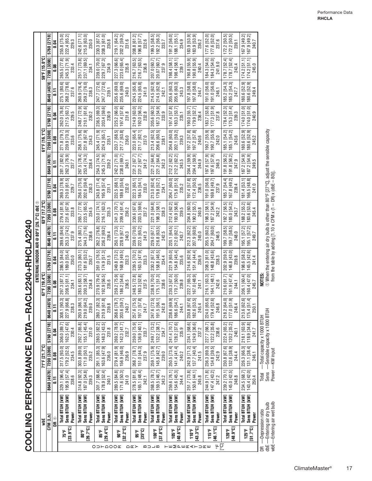| $\overline{a}$ |
|----------------|
|                |
|                |
| $\frac{1}{2}$  |
|                |
|                |
| ļ              |
| ֘֝             |
| l              |
| j              |
|                |
|                |
|                |
|                |
|                |
| I              |
|                |
| į              |
|                |
| I              |
| $\frac{1}{2}$  |
|                |
|                |
|                |

|                              |                   |                                                     |                              |                         |                                                         |                                                                                                                                                                                                                                                       |                              | ENTERING INDOOR AIR                                                                                                                                                   | $^\copyright$                                          |                              |                                       |                                                                              |                                       |                                                        |                                                                      |                                                                  |                              |
|------------------------------|-------------------|-----------------------------------------------------|------------------------------|-------------------------|---------------------------------------------------------|-------------------------------------------------------------------------------------------------------------------------------------------------------------------------------------------------------------------------------------------------------|------------------------------|-----------------------------------------------------------------------------------------------------------------------------------------------------------------------|--------------------------------------------------------|------------------------------|---------------------------------------|------------------------------------------------------------------------------|---------------------------------------|--------------------------------------------------------|----------------------------------------------------------------------|------------------------------------------------------------------|------------------------------|
|                              |                   | ₩                                                   |                              | 71°F [21.7°C]           |                                                         |                                                                                                                                                                                                                                                       | 67°F [19.4°C                 |                                                                                                                                                                       |                                                        | 63°F [17.2°C]                |                                       |                                                                              | 61°F [16.1°C]                         |                                                        |                                                                      | 59°F [15.0°C]                                                    |                              |
|                              |                   | CFM [L/s]                                           | 8640 [4078]                  | 7200 [3398]             | 5760 [2718]                                             | 8640 [4078]                                                                                                                                                                                                                                           | 7200 [3398]                  | 5760 [2718]                                                                                                                                                           | 8640 [4078]                                            | 7200 [3398]                  | 5760 [2718]                           | 8640 [4078]                                                                  | 7200 [3398]                           | 5760 [2718]                                            | 8640 [4078]                                                          | 7200 [3398]                                                      | 5760 [2718]                  |
|                              |                   | ©<br>Ba                                             | $\overline{5}$               | 0.08                    | 0.04                                                    | 등                                                                                                                                                                                                                                                     | 0.08                         | ្ទ្រី                                                                                                                                                                 | $\overline{5}$                                         | 0.08                         | 0.04                                  | $\overline{0}$                                                               | l ອຶ                                  | 0.04                                                   | $\overline{5}$                                                       | g                                                                | 0.04                         |
|                              | 75°F              | Total BTUH [kW]                                     | 329.1 [96.4]                 | 317.5 [93.0]            | 306.0 [89.7]                                            | 308.1 [9]                                                                                                                                                                                                                                             | 297.3 [87.1]<br>208.5 [61.1] | 286.5 [84.0]                                                                                                                                                          | 289.6 [84.9]<br>253.3 [74.2]                           | 279.4 [81.9]<br>231.6 [67.9] | 269.3 [78.9]<br>210.0 [61.5]          | 281.7 [82.6]<br>262.3 [76.9]                                                 | 271.8 [79.7]                          | 262.0 [76.8]<br>217.5 [63.7]                           | 275.1 [80.6]<br>268.2 [78.6]                                         | 265.5 [77.8]<br>245.3 [71.9]                                     | ਠ<br>255.8 [75.              |
|                              | [23.9°C]          | Sens BTUH [kW]<br>Power                             | 195.9 [57.4]<br>238.6        | 179.2 [52.5]<br>234.5   | 162.5 [47.6]<br>230.4                                   | 8 8 9<br>9 8 9<br>238.<br>227.9                                                                                                                                                                                                                       | 234.1                        | 189.0 [55.4]<br>230.0                                                                                                                                                 | 237.9                                                  | 233.8                        | 229.7                                 | 237.7                                                                        | 239.9 [70.3]<br>233.6                 | 229.5                                                  | 237.6                                                                | 233.4                                                            | 222.4 [65.2]                 |
|                              | a<br>So           | Total BTUH [kW]                                     | 314.8 [92.3]                 | 303.8 [89.0]            | 292.7 [85.8]                                            | 293.9 [8                                                                                                                                                                                                                                              | 283.6 [83.                   | 273.3 [80.1]                                                                                                                                                          | 275.4 [80.7]                                           | 265.7 [77.9]                 | 256.0 [75.0]                          | 267.5 [78.4]                                                                 | 258.1 [75.6]                          | த<br>248.7 [72.                                        | 260.9 [76.4]                                                         | 251.7 [73.8]                                                     | 242.6 [71.1]                 |
|                              | [26.7°C]          | Sens BTUH [kW]<br>Power                             | 187.0 [54.8]<br>239.3        | 171.0 [50.1]<br>235.2   | 155.1 [45.4]<br>231.0                                   | $\begin{array}{c} \n \cdot 186.11 \\  \hline\n 1.0 [64.2] \\  239.0 \\  \hline\n 729.0\n \end{array}$<br>219.0                                                                                                                                        | 200.3 [58.7]<br>234.8        | 181.6 [53.2]<br>230.7                                                                                                                                                 | 244.3 [71.6]<br>238.6                                  | 223.5 [65.5]<br>234.5        | 202.6 [59.4]<br>230.3                 | 253.4 [74.3]<br>238.4                                                        | 231.8 [67.9]<br>234.3                 | 210.1 [61.6]<br>230.2                                  | 259.2 [76.0]<br>238.3                                                | 237.1 [69.5]<br>234.1                                            | 215.0 [63.0]<br>230.0        |
|                              |                   | Total BTUH [kW]                                     | 301.7 [88.4]                 | 291.1 [85.3]            | 280.5 [82.2]                                            |                                                                                                                                                                                                                                                       | 270.9 [79.4]                 | 261.0 [76.5]                                                                                                                                                          | 262.2 [76.8]                                           | 253.0 [74.1]                 | 243.8 [71.4]                          | 254.3 [74.5]                                                                 | 245.4 [71.9]                          | 236.5 [69.3]                                           | 247.7 [72.6]                                                         | 239.0 [70.0]                                                     | 230.3 [67.5]                 |
|                              | 85°F              | Sens BTUH [kW]                                      | 178.9 [52.4]                 | 163.6 [47.9]            | 148.3 [43.5]                                            |                                                                                                                                                                                                                                                       | 192.9 [56.5]                 | $174.9$ [51.3]                                                                                                                                                        | 236.2 [69.2]                                           | 216.1 [63.3]                 | 195.9 [57.4]                          | 245.3 [71.9]                                                                 | 224.3 [65.7]                          | 203.4 [59.6]                                           | 247.7 [72.6]                                                         | 229.7 [67.3]                                                     | 208.3 [61.0]                 |
|                              | $[29.4^{\circ}C]$ | Power                                               | 240.1                        | 236.0                   | 231.8                                                   | $\begin{array}{c} 280.7\ [82.3] \\ 210.9\ [61.8] \\ 239.8 \end{array}$                                                                                                                                                                                | 235.6                        | 231.5                                                                                                                                                                 | 239.4                                                  | 235.3                        | 231.1                                 | 239.2                                                                        | 235.1                                 | 230.9                                                  | 239.1                                                                | 234.9                                                            | 230.8                        |
| O D H Q O Q E                | ទី៖               | Total BTUH [kW]                                     | 289.5 [84.8]                 | 279.4 [81.9]            | 269.2 [78.9]                                            | 268.6                                                                                                                                                                                                                                                 | 259.2 [75.9]                 | 249.8 [73.2]                                                                                                                                                          | 250.1 [73.3]                                           | 241.3 [70.7]                 | 232.5 [68.1]                          | 242.2 [71.0]                                                                 | 233.7 [68.5]                          | 25.2 [66.0]                                            | 235.6 [69.0]                                                         | 227.3 [66.6]                                                     | 219.1 [64.2]                 |
|                              | $[32.2^{\circ}C]$ | Sens BTUH [kW]<br>Power                             | 171.6 [50.3]<br>241.0        | 156.9 [46.0]<br>236.9   | 142.3 [41.7]<br>232.7                                   | $\frac{1}{2}$ $\frac{1}{2}$<br>$\frac{1}{2}$<br>$\frac{240.7}{240.7}$<br>203.6 [5                                                                                                                                                                     | 186.2 [54.6]<br>236.5        | 168.9 [49.5]<br>232.3                                                                                                                                                 | 228.9 [67.1]<br>240.3                                  | 209.4 [61.4]<br>236.2        | $189.8$ [55.6]<br>$232.0$             | 238.0 [69.7]<br>240.1                                                        | 217.7 [63.8]<br>236.0                 | 197.4 [57.8]<br>231.8                                  | 235.6 [69.0]<br>240.0                                                | 223.0 [65.4]<br>235.8                                            | 202.2 [59.3]<br>231.6        |
| $\cap$ $\mathbb{C}$ $\geq$   | 95°F              | Total BTUH [kW]                                     | 278.5 [81.6]                 | 268.7 [78.7]            | 259.0 [75.9]                                            | $\begin{array}{c} \hline \left[ .6 \left[ 75.5 \right] \right] \\ \hline \left[ 197.1 \left[ 57.8 \right] \right] \hline \phantom{00} \left. 16 \\ \hline \phantom{0} 241.7 \\ \hline \phantom{0} 7 \hline \phantom{0} \right. \\ \hline \end{array}$ | 248.5 [72.8]                 | 239.5 [70.2]                                                                                                                                                          | 239.0 [70.0]                                           | 230.6 [67.6]                 | 222.3 [65.1]                          | 231.2 [67.7]                                                                 | 223.0 [65.4]                          | 214.9 [63.0]                                           | 224.5 [65.8]                                                         | 216.7 [63.5]                                                     | 208.8 [61.2]                 |
|                              | [35°C]            | Sens BTUH [kW]                                      | 165.1 [48.4]                 | 151.0 [44.3]            | 136.9 [40.1]                                            |                                                                                                                                                                                                                                                       | 180.3 [52.8]                 | 163.5 [47.9]                                                                                                                                                          | $\begin{bmatrix} 222.5 & 65.2 \ 241.3 & \end{bmatrix}$ | 203.5 [59.6]<br>237.2        | $184.5$ [54.1]<br>$233.0$             | 231.2 [67.7]                                                                 | 211.7 [62.1]                          | $\begin{bmatrix} 192.0 & 56.3 \ 232.8 & \end{bmatrix}$ | 224.5 [65.8]<br>241.0                                                | $216.7$ [63.5]<br>$236.8$                                        | 196.8 [57.7]                 |
|                              |                   | Power                                               | 242.1                        | 237.9                   | 233.7                                                   |                                                                                                                                                                                                                                                       | 237.5                        | 233.3                                                                                                                                                                 |                                                        |                              |                                       | 241.2                                                                        | 237.0                                 |                                                        |                                                                      |                                                                  | 232.6                        |
| $m \rightarrow m$            | 100°F             | Total BTUH [kW]                                     | 268.5 [78.7]                 | 259.1 [75.9]            | 249.7 [73.2]                                            | 247.6 [72.5]<br>191.5 [56.1]<br>242.8                                                                                                                                                                                                                 | 238.9 [70.0]<br>175.1 [51.3] | 230.2 [67.5]<br>158.8 [46.5]                                                                                                                                          | 229.0 [67.1]                                           | 221.0 [64.8]                 | 213.0 [62.4]<br>179.8 [52.7]          |                                                                              | 213.4 [62.5]<br>206.6 [60.5]          | 205.6 [60.3]<br>187.3 [54.9]                           | 214.5 [62.9]<br>214.5 [62.9]                                         | 207.0 [60.7]<br>20.07 [60.7]                                     | 199.5 [58.5]<br>192.2 [56.3] |
|                              | $[37.8^{\circ}C]$ | Sens BTUH [kW]                                      | 159.5 [46.7]                 | 145.8 [42.7]            | 132.2 [38.7]                                            |                                                                                                                                                                                                                                                       |                              |                                                                                                                                                                       | 216.8 [63.5]                                           | 198.3 [58.1]                 |                                       | 221.2 [64.8]<br>221.2 [64.8]<br>242.3                                        |                                       |                                                        |                                                                      |                                                                  |                              |
|                              |                   | Power                                               | 243.2                        | 239.0                   | 234.7                                                   |                                                                                                                                                                                                                                                       | 238.6                        | 234.4                                                                                                                                                                 | 242.5                                                  | 238.3                        | 234.1                                 |                                                                              | 238.1                                 | 233.9                                                  | 242.1                                                                | 237.9                                                            | 233.7                        |
|                              | <b>105°F</b>      | Total BTUH [kW]                                     | 259.6 [76.1]<br>154.6 [45.3] | 250.5 [73.4]            | 128.2 [37.6]<br>241.4 [70.7]                            | 186.6 [<br>238.6                                                                                                                                                                                                                                      | 230.3 [67.5]                 | 221.9 [65.0]<br>154.8 [45.4]                                                                                                                                          | 220.1 [64.5]<br>212.0 [62.1]                           | 212.4 [62.2]<br>193.9 [56.8] | 204.7 [60.0]<br>175.8 [51.5]          | 212.2 [62.2]<br>212.2 [62.2]                                                 | 204.8 [60.0]<br>202.1 [59.2]          | 197.4 [57.8]<br>183.3 [53.7]                           |                                                                      | 198.4 [58.1]<br>198.4 [58.1]                                     | 91.2 [56.0]                  |
| <b>⊢⊞∑</b> ∟ шк∢⊢⊃ кш        | [40.6°C]          | Sens BTUH [kW]<br>Power                             | 244.4                        | 141.4 [41.4]<br>240.2   | 235.9                                                   | ត្តក្ក<br>⊗ ដ −<br>244.                                                                                                                                                                                                                               | 239.8                        | 235.6                                                                                                                                                                 | 243.7                                                  | 239.5                        | 235.2                                 | 243.5                                                                        | 239.3                                 | 235.1                                                  | $\begin{array}{c} 205.6\;[60.3]\\ 205.6\;[60.3]\\ 243.3 \end{array}$ | 239.1                                                            | 188.1 [55.1]<br>234.9        |
|                              | 110°F             | Total BTUH [kW]                                     | 251.7 [73.8]                 | 242.9 [71.2]            | 234.1 [68.6]                                            | 230.8                                                                                                                                                                                                                                                 | 222.7 [65.3]                 | 214.6 [62.9]                                                                                                                                                          | 212.3 [62.2]                                           | 204.8 [60.0]                 |                                       | 204.4 [59.9]<br>204.4 [59.9]                                                 | 197.2 [57.8]                          | 190.0 [55.7]                                           | 97.8 [58.0]                                                          | $\begin{bmatrix} 190.8 & [55.9] \\ 190.8 & [55.9] \end{bmatrix}$ | 183.9 [53.9]<br>183.9 [53.9] |
|                              | [43.3°C]          | Sens BTUH [kW]                                      | 150.6 [44.1]                 | 137.7 [40.4]            | 124.9 [36.6]                                            | 67.6]<br>6 នី ។<br>182.6 [5                                                                                                                                                                                                                           | 167.0 [48.9]                 | 151.4 [44.4]                                                                                                                                                          | 207.9 [60.9]                                           | 190.2 [55.7]                 | 197.4 [57.8]<br>172.4 [50.5]<br>236.5 |                                                                              | 197.2 [57.8]                          | 179.9 [52.7]                                           | $\begin{array}{c c} 197.8 & 58.0 & \\ 244.7 & \end{array}$           |                                                                  | த                            |
|                              |                   | Power                                               | 245.8                        | 241.5                   | 237.2                                                   | 245.                                                                                                                                                                                                                                                  | 241.1                        | 236.9                                                                                                                                                                 | 245.0                                                  | 240.8                        |                                       | 244.9                                                                        | 240.6                                 | 236.4                                                  |                                                                      | 240.4                                                            | 236.2                        |
|                              | 115°F             | Total BTUH [kW]                                     | 244.9 [71.8]                 | 236.3 [69.3]            | 227.7 [66.7]                                            | $\begin{array}{c} \n \sqrt{65.6} \\  \hline\n 3.4 \, [52.6] \\  246.8 \\  \hline\n 7\n \end{array}$<br>224.0                                                                                                                                          | 216.1 [63.3]                 | 208.3 [61.0]                                                                                                                                                          | 205.5 [60.2]<br>204.7 [60.0]                           | 198.3 [58.1]                 | 191.0 [56.0]                          | 197.6 [57.9]                                                                 | 190.7 [55.9]                          | 183.7 [53.8]                                           | 191.0 [56.0]                                                         | 184.3 [54.0]                                                     | 177.6 [52.0]                 |
| $\frac{1}{2} \sum_{i=1}^{n}$ | [46.1°C]          | Sens BTUH [kW]<br>Power                             | 147.4 [43.2]<br>247.2        | 134.8 [39.5]<br>242.9   | 122.2 [35.8]<br>238.6                                   | $179.4$ [5]                                                                                                                                                                                                                                           | 164.1 [48.1]<br>242.6        | 148.8 [43.6]<br>238.3                                                                                                                                                 | 246.5                                                  | 187.2 [54.9]<br>242.2        | 169.8 [49.7]<br>237.9                 | $\begin{bmatrix} 197.6 & 57.9 \\ 246.3 \end{bmatrix}$                        | 190.7 [55.9]<br>242.0                 | 177.3 [51.9]<br>237.8                                  | 191.0 [56.0]<br>246.1                                                | 184.3 [54.0]<br>241.9.0                                          | 177.6 [52.0]<br>237.6        |
|                              | 120°F             | Total BTUH [kW]                                     | 239.2 [70.1]                 | 230.8 [67.6]            | 222.4 [65.2]                                            | $\begin{array}{c c c}\n\hline\n\downarrow & [64.0] & \nearrow \\ \hline\n\downarrow & [51.9] & \nearrow \\ \hline\n248.4 & & \nearrow \\ \hline\n\end{array}$<br>218.2 [6                                                                             | 210.6 [61.7]                 | 202.9 [59.5]                                                                                                                                                          | 199.7 [58.5]<br>199.7 [58.5]<br>248.0                  | 192.7 [56.5]                 | 185.7 [54.4]                          | $\begin{bmatrix} 191.8 & [56.2] \\ 191.8 & [56.2] \\ 247.9 & \end{bmatrix}$  | 185.1 [54.2]                          | 178.4 [52.3]                                           | 185.2 [54.3]                                                         | 178.7 [52.4]                                                     | 172.2 [50.5]                 |
|                              | 18.9°C]           | Sens BTUH [kW]                                      | 145.0 [42.5]                 | 132.6 [38.9]            | 120.2 [35.2]                                            | 177.0 [5                                                                                                                                                                                                                                              | 161.9 [47.4]                 | 146.8 [43.0]                                                                                                                                                          |                                                        | 185.0 [54.2]                 | 167.8 [49.2]                          |                                                                              | 185.1 [54.2]<br>243.6                 | $175.3$ [51.4]                                         | $\frac{185.2 [54.3]}{247.7}$                                         | $\frac{178.7 [52.4]}{243.4}$                                     | $172.2$ [50.5]<br>$239.1$    |
|                              |                   | Power                                               | 248.8                        | 244.4                   | 240.1                                                   |                                                                                                                                                                                                                                                       | 244.1                        | 239.8                                                                                                                                                                 |                                                        | 243.7                        | 239.4                                 |                                                                              |                                       | 239.3                                                  |                                                                      |                                                                  |                              |
|                              | $125^{\circ}$ F   | Total BTUH [kW]                                     | 234.5 [68.7]                 | 226.3 [66.3]            | 218.1 [63.9]                                            |                                                                                                                                                                                                                                                       | 206.1 [60.4]                 | 198.6 [58.2]<br>145.5 [42.6]                                                                                                                                          |                                                        | 188.2 [55.2]                 | 181.4 [53.1]                          |                                                                              |                                       | 174.0 [51.0]                                           | 180.6 [52.9]                                                         | $174.2$ [51.1]                                                   | 7.9 [49.2]<br>167            |
|                              | 17°C              | Sens BTUH [kW]<br>Power                             | 143.4 [42.0]<br>250.4        | $131.1$ [38.4]<br>246.1 | $\begin{bmatrix} 118.9 & 34.8 \\ 241.7 & \end{bmatrix}$ | 213.6 [62.6]<br>175.4 [51.4]<br>250.1                                                                                                                                                                                                                 | 160.4 [47.0]<br>245.7        | 241.4                                                                                                                                                                 | 195.1 [57.2]<br>  195.1 [57.2]<br>  249.7              | 183.6 [53.8]<br>245.4        | 166.5 [48.8]<br>241.0                 | $\begin{array}{c} 187.2\,\, [54.9] \\ 187.2\,\, [54.9] \\ 249.5 \end{array}$ | 180.6 [52.9]<br>180.6 [52.9]<br>245.2 | 174.0 [51.0]<br>240.9                                  | 180.6 [52.9]<br>249.4                                                | $174.2 [51.1]$<br>$245.0$                                        | 167.9 [49.2]                 |
|                              |                   | DR <sub>-</sub> Depression ratio                    | Total                        |                         | $-$ Total capacity x 1000 BTUH                          |                                                                                                                                                                                                                                                       | NOTES:                       |                                                                                                                                                                       |                                                        |                              |                                       |                                                                              |                                       |                                                        |                                                                      |                                                                  |                              |
| dbE -                        |                   | wbE-Entering air wet bulb<br>-Entering air dry bulb | Sens                         | Power-KW input          | -Sensible capacity x 1000 BTUH                          |                                                                                                                                                                                                                                                       |                              | $\mathfrak D$ When the entering air dry bulb is other than 80°F [27°C], adjust the sensible capacity<br>from the table by adding [1.10 x CFM x (1 - DR) x (dbE - 80)] |                                                        |                              |                                       |                                                                              |                                       |                                                        |                                                                      |                                                                  |                              |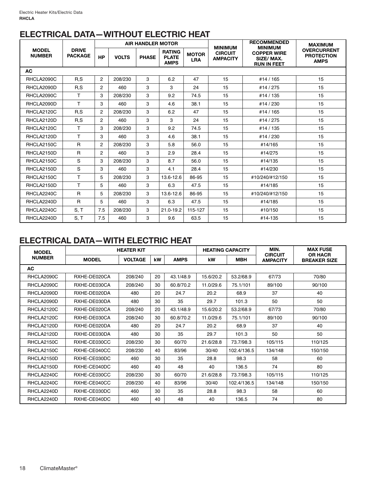## **ELECTRICAL DATA—WITHOUT ELECTRIC HEAT**

|                               |                                |                |              | <b>AIR HANDLER MOTOR</b> |                                              |                            | <b>MINIMUM</b>                    | <b>RECOMMENDED</b><br><b>MINIMUM</b>                  | <b>MAXIMUM</b>                                         |
|-------------------------------|--------------------------------|----------------|--------------|--------------------------|----------------------------------------------|----------------------------|-----------------------------------|-------------------------------------------------------|--------------------------------------------------------|
| <b>MODEL</b><br><b>NUMBER</b> | <b>DRIVE</b><br><b>PACKAGE</b> | <b>HP</b>      | <b>VOLTS</b> | <b>PHASE</b>             | <b>RATING</b><br><b>PLATE</b><br><b>AMPS</b> | <b>MOTOR</b><br><b>LRA</b> | <b>CIRCUIT</b><br><b>AMPACITY</b> | <b>COPPER WIRE</b><br>SIZE/MAX.<br><b>RUN IN FEET</b> | <b>OVERCURRENT</b><br><b>PROTECTION</b><br><b>AMPS</b> |
| <b>AC</b>                     |                                |                |              |                          |                                              |                            |                                   |                                                       |                                                        |
| RHCLA2090C                    | R.S                            | $\overline{2}$ | 208/230      | 3                        | 6.2                                          | 47                         | 15                                | #14 / 165                                             | 15                                                     |
| RHCLA2090D                    | R, S                           | $\overline{2}$ | 460          | 3                        | 3                                            | 24                         | 15                                | #14 / 275                                             | 15                                                     |
| RHCLA2090C                    | T                              | 3              | 208/230      | 3                        | 9.2                                          | 74.5                       | 15                                | #14 / 135                                             | 15                                                     |
| RHCLA2090D                    | T.                             | 3              | 460          | 3                        | 4.6                                          | 38.1                       | 15                                | #14 / 230                                             | 15                                                     |
| RHCLA2120C                    | R.S                            | $\overline{2}$ | 208/230      | 3                        | 6.2                                          | 47                         | 15                                | #14 / 165                                             | 15                                                     |
| RHCLA2120D                    | R.S                            | $\overline{2}$ | 460          | 3                        | 3                                            | 24                         | 15                                | #14 / 275                                             | 15                                                     |
| RHCLA2120C                    | T                              | 3              | 208/230      | 3                        | 9.2                                          | 74.5                       | 15                                | #14 / 135                                             | 15                                                     |
| RHCLA2120D                    | T.                             | 3              | 460          | 3                        | 4.6                                          | 38.1                       | 15                                | #14 / 230                                             | 15                                                     |
| RHCLA2150C                    | $\mathsf{R}$                   | $\overline{2}$ | 208/230      | 3                        | 5.8                                          | 56.0                       | 15                                | #14/165                                               | 15                                                     |
| RHCLA2150D                    | $\overline{R}$                 | $\overline{2}$ | 460          | 3                        | 2.9                                          | 28.4                       | 15                                | #14/275                                               | 15                                                     |
| RHCLA2150C                    | S                              | 3              | 208/230      | 3                        | 8.7                                          | 56.0                       | 15                                | #14/135                                               | 15                                                     |
| RHCLA2150D                    | S                              | 3              | 460          | 3                        | 4.1                                          | 28.4                       | 15                                | #14/230                                               | 15                                                     |
| RHCLA2150C                    | T                              | 5              | 208/230      | 3                        | 13.6-12.6                                    | 86-95                      | 15                                | #10/240/#12/150                                       | 15                                                     |
| RHCLA2150D                    | T                              | 5              | 460          | 3                        | 6.3                                          | 47.5                       | 15                                | #14/185                                               | 15                                                     |
| RHCLA2240C                    | $\mathsf{R}$                   | 5              | 208/230      | 3                        | 13.6-12.6                                    | 86-95                      | 15                                | #10/240/#12/150                                       | 15                                                     |
| RHCLA2240D                    | $\mathsf{R}$                   | 5              | 460          | 3                        | 6.3                                          | 47.5                       | 15                                | #14/185                                               | 15                                                     |
| RHCLA2240C                    | S, T                           | 7.5            | 208/230      | 3                        | 21.0-19.2                                    | 115-127                    | 15                                | #10/150                                               | 15                                                     |
| RHCLA2240D                    | S, T                           | 7.5            | 460          | 3                        | 9.6                                          | 63.5                       | 15                                | #14-135                                               | 15                                                     |

## **ELECTRICAL DATA—WITH ELECTRIC HEAT**

| <b>MODEL</b><br><b>NUMBER</b> | <b>HEATER KIT</b> |                |    |             | <b>HEATING CAPACITY</b> |             | MIN.<br><b>CIRCUIT</b> | <b>MAX FUSE</b><br><b>OR HACR</b> |  |
|-------------------------------|-------------------|----------------|----|-------------|-------------------------|-------------|------------------------|-----------------------------------|--|
|                               | <b>MODEL</b>      | <b>VOLTAGE</b> | kW | <b>AMPS</b> | kW                      | <b>MBH</b>  | <b>AMPACITY</b>        | <b>BREAKER SIZE</b>               |  |
| <b>AC</b>                     |                   |                |    |             |                         |             |                        |                                   |  |
| RHCLA2090C                    | RXHE-DE020CA      | 208/240        | 20 | 43.1/48.9   | 15.6/20.2               | 53.2/68.9   | 67/73                  | 70/80                             |  |
| RHCLA2090C                    | RXHE-DE030CA      | 208/240        | 30 | 60.8/70.2   | 11.0/29.6               | 75.1/101    | 89/100                 | 90/100                            |  |
| RHCLA2090D                    | RXHE-DE020DA      | 480            | 20 | 24.7        | 20.2                    | 68.9        | 37                     | 40                                |  |
| RHCLA2090D                    | RXHE-DE030DA      | 480            | 30 | 35          | 29.7                    | 101.3       | 50                     | 50                                |  |
| RHCLA2120C                    | RXHE-DE020CA      | 208/240        | 20 | 43.1/48.9   | 15.6/20.2               | 53.2/68.9   | 67/73                  | 70/80                             |  |
| RHCLA2120C                    | RXHE-DE030CA      | 208/240        | 30 | 60.8/70.2   | 11.0/29.6               | 75.1/101    | 89/100                 | 90/100                            |  |
| RHCLA2120D                    | RXHE-DE020DA      | 480            | 20 | 24.7        | 20.2                    | 68.9        | 37                     | 40                                |  |
| RHCLA2120D                    | RXHE-DE030DA      | 480            | 30 | 35          | 29.7                    | 101.3       | 50                     | 50                                |  |
| RHCLA2150C                    | RXHE-CE030CC      | 208/230        | 30 | 60/70       | 21.6/28.8               | 73.7/98.3   | 105/115                | 110/125                           |  |
| RHCLA2150C                    | RXHE-CE040CC      | 208/230        | 40 | 83/96       | 30/40                   | 102.4/136.5 | 134/148                | 150/150                           |  |
| RHCLA2150D                    | RXHE-CE030DC      | 460            | 30 | 35          | 28.8                    | 98.3        | 58                     | 60                                |  |
| RHCLA2150D                    | RXHE-CE040DC      | 460            | 40 | 48          | 40                      | 136.5       | 74                     | 80                                |  |
| RHCLA2240C                    | RXHE-CE030CC      | 208/230        | 30 | 60/70       | 21.6/28.8               | 73.7/98.3   | 105/115                | 110/125                           |  |
| RHCLA2240C                    | RXHE-CE040CC      | 208/230        | 40 | 83/96       | 30/40                   | 102.4/136.5 | 134/148                | 150/150                           |  |
| RHCLA2240D                    | RXHE-CE030DC      | 460            | 30 | 35          | 28.8                    | 98.3        | 58                     | 60                                |  |
| RHCLA2240D                    | RXHE-CE040DC      | 460            | 40 | 48          | 40                      | 136.5       | 74                     | 80                                |  |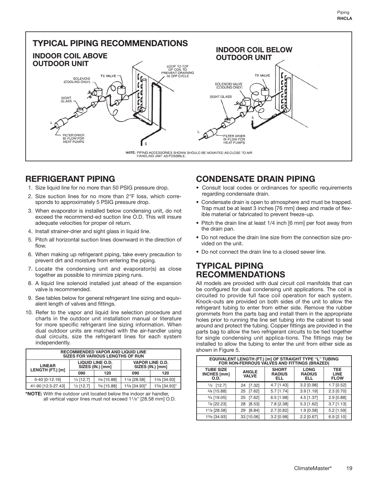**TYPICAL PIPING RECOMMENDATIONS INDOOR COIL BELOW INDOOR COIL ABOVE OUTDOOR UNIT OUTDOOR UNIT** LOOP TO TOP<br>OF COIL TO<br>PREVENT DRAINING<br>IN OFF CYCLE **TX VALVE TX VALVE** SOLENOID<br>(COOLING ONLY) SOLENOID VALVE<br>(COOLING ONLY) SIGHT GLASS SIGHT<br>GLASS **ILTER DRIER** FILTER DRIER<br>BI-FLOW FOR<br>HEAT PUMPS BI-FLOW FOR<br>HEAT PUMPS NOTE: PIPING ACCESSORIES SHOWN SHOULD BE MOUNTED AS CLOSE TO AIR HANDLING UNIT AS POSSIBLE.

## **REFRIGERANT PIPING**

- 1. Size liquid line for no more than 50 PSIG pressure drop.
- 2. Size suction lines for no more than 2°F loss, which corresponds to approximately 5 PSIG pressure drop.
- 3. When evaporator is installed below condensing unit, do not exceed the recommend-ed suction line O.D. This will insure adequate velocities for proper oil return.
- 4. Install strainer-drier and sight glass in liquid line.
- 5. Pitch all horizontal suction lines downward in the direction of flow.
- 6. When making up refrigerant piping, take every precaution to prevent dirt and moisture from entering the piping.
- 7. Locate the condensing unit and evaporator(s) as close together as possible to minimize piping runs.
- 8. A liquid line solenoid installed just ahead of the expansion valve is recommended.
- 9. See tables below for general refrigerant line sizing and equivalent length of valves and fittings.
- 10. Refer to the vapor and liquid line selection procedure and charts in the outdoor unit installation manual or literature for more specific refrigerant line sizing information. When dual outdoor units are matched with the air-handler using dual circuits, size the refrigerant lines for each system independently.

| <b>RECOMMENDED VAPOR AND LIQUID LINE</b><br><b>SIZES FOR VARIOUS LENGTHS OF RUN</b> |              |                                             |                                            |               |  |  |  |
|-------------------------------------------------------------------------------------|--------------|---------------------------------------------|--------------------------------------------|---------------|--|--|--|
| <b>LINEAR</b><br>LENGTH (FT.) [m]                                                   |              | <b>LIQUID LINE O.D.</b><br>SIZES (IN.) [mm] | <b>VAPOR LINE O.D.</b><br>SIZES (IN.) [mm] |               |  |  |  |
|                                                                                     | 120<br>090   |                                             | 090                                        | 120           |  |  |  |
| 0-40 [0-12.19]                                                                      | $1/2$ [12.7] | $5/8$ [15.88]                               | 11/8 [28.58]                               | 13/8 [34.93]  |  |  |  |
| 41-90 [12.5-27.43]                                                                  | $1/2$ [12.7] | $5/8$ [15.88]                               | 13/8 [34.93]*                              | 13/8 [34.93]* |  |  |  |

**<sup>\*</sup>NOTE:** With the outdoor unit located below the indoor air handler, all vertical vapor lines must not exceed 11/8" [28.58 mm] O.D.

## **CONDENSATE DRAIN PIPING**

- Consult local codes or ordinances for specific requirements regarding condensate drain.
- Condensate drain is open to atmosphere and must be trapped. Trap must be at least 3 inches [76 mm] deep and made of flexible material or fabricated to prevent freeze-up.
- Pitch the drain line at least 1/4 inch [6 mm] per foot away from the drain pan.
- Do not reduce the drain line size from the connection size provided on the unit.
- Do not connect the drain line to a closed sewer line.

### **TYPICAL PIPING RECOMMENDATIONS**

All models are provided with dual circuit coil manifolds that can be configured for dual condensing unit applications. The coil is circuited to provide full face coil operation for each system. Knock-outs are provided on both sides of the unit to allow the refrigerant tubing to enter from either side. Remove the rubber grommets from the parts bag and install them in the appropriate holes prior to running the line set tubing into the cabinet to seal around and protect the tubing. Copper fittings are provided in the parts bag to allow the two refrigerant circuits to be tied together for single condensing unit applica-tions. The fittings may be installed to allow the tubing to enter the unit from either side as shown in Figure 5.

| EQUIVALENT LENGTH (FT.) [m] OF STRAIGHT TYPE "L" TUBING<br>FOR NON-FERROUS VALVES AND FITTINGS (BRAZED) |                              |                                      |                                     |                                          |  |  |  |
|---------------------------------------------------------------------------------------------------------|------------------------------|--------------------------------------|-------------------------------------|------------------------------------------|--|--|--|
| <b>TUBE SIZE</b><br>INCHES [mm]<br>O.D.                                                                 | <b>ANGLE</b><br><b>VALVE</b> | <b>SHORT</b><br><b>RADIUS</b><br>ELL | <b>LONG</b><br><b>RADIUS</b><br>ELL | <b>TEE</b><br><b>LINE</b><br><b>FLOW</b> |  |  |  |
| $1/2$ [12.7]                                                                                            | [7.32]<br>24                 | $4.7$ [1.43]                         | $3.2$ [0.98]                        | 1.7 [0.52]                               |  |  |  |
| $5/8$ [15.88]                                                                                           | [7.62]<br>25                 | $5.7$ [1.74]                         | $3.9$ [1.19]                        | $2.3$ [0.70]                             |  |  |  |
| $3/4$ [19.05]                                                                                           | [7.62]<br>25                 | $6.5$ [1.98]                         | $4.5$ [1.37]                        | $2.9$ [0.88]                             |  |  |  |
| 7/8 [22.23]                                                                                             | [8.53]<br>28                 | 7.8 [2.38]                           | $5.3$ [1.62]                        | $3.7$ [1.13]                             |  |  |  |
| 11/8 [28.58]                                                                                            | [8.84]<br>29                 | $2.7$ [0.82]                         | $1.9$ [0.58]                        | $5.2$ [1.59]                             |  |  |  |
| 13/8 [34.93]                                                                                            | 33 [10.06]                   | 3.2 [0.98]                           | $2.2$ [0.67]                        | $6.9$ [ $2.10$ ]                         |  |  |  |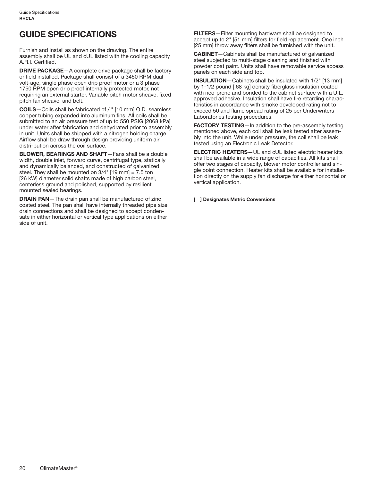## **GUIDE SPECIFICATIONS**

Furnish and install as shown on the drawing. The entire assembly shall be UL and cUL listed with the cooling capacity A.R.I. Certified.

**DRIVE PACKAGE**—A complete drive package shall be factory or field installed. Package shall consist of a 3450 RPM dual volt-age, single phase open drip proof motor or a 3 phase 1750 RPM open drip proof internally protected motor, not requiring an external starter. Variable pitch motor sheave, fixed pitch fan sheave, and belt.

**COILS**—Coils shall be fabricated of / " [10 mm] O.D. seamless copper tubing expanded into aluminum fins. All coils shall be submitted to an air pressure test of up to 550 PSIG [2068 kPa] under water after fabrication and dehydrated prior to assembly in unit. Units shall be shipped with a nitrogen holding charge. Airflow shall be draw through design providing uniform air distri-bution across the coil surface.

**BLOWER, BEARINGS AND SHAFT**—Fans shall be a double width, double inlet, forward curve, centrifugal type, statically and dynamically balanced, and constructed of galvanized steel. They shall be mounted on 3/4" [19 mm] = 7.5 ton [26 kW] diameter solid shafts made of high carbon steel, centerless ground and polished, supported by resilient mounted sealed bearings.

**DRAIN PAN**—The drain pan shall be manufactured of zinc coated steel. The pan shall have internally threaded pipe size drain connections and shall be designed to accept condensate in either horizontal or vertical type applications on either side of unit.

**FILTERS**—Filter mounting hardware shall be designed to accept up to 2" [51 mm] filters for field replacement. One inch [25 mm] throw away filters shall be furnished with the unit.

**CABINET**—Cabinets shall be manufactured of galvanized steel subjected to multi-stage cleaning and finished with powder coat paint. Units shall have removable service access panels on each side and top.

**INSULATION**—Cabinets shall be insulated with 1/2" [13 mm] by 1-1/2 pound [.68 kg] density fiberglass insulation coated with neo-prene and bonded to the cabinet surface with a U.L. approved adhesive. Insulation shall have fire retarding characteristics in accordance with smoke developed rating not to exceed 50 and flame spread rating of 25 per Underwriters Laboratories testing procedures.

**FACTORY TESTING**—In addition to the pre-assembly testing mentioned above, each coil shall be leak tested after assembly into the unit. While under pressure, the coil shall be leak tested using an Electronic Leak Detector.

**ELECTRIC HEATERS**—UL and cUL listed electric heater kits shall be available in a wide range of capacities. All kits shall offer two stages of capacity, blower motor controller and single point connection. Heater kits shall be available for installation directly on the supply fan discharge for either horizontal or vertical application.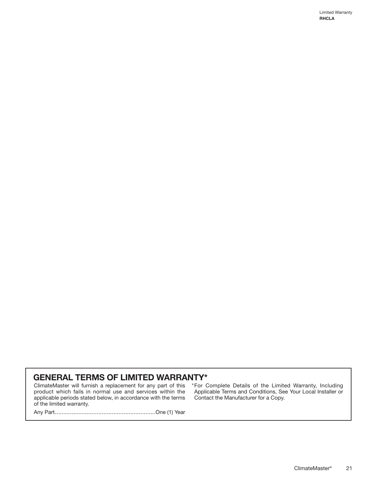## **GENERAL TERMS OF LIMITED WARRANTY\***

ClimateMaster will furnish a replacement for any part of this \*For Complete Details of the Limited Warranty, Including product which fails in normal use and services within the applicable periods stated below, in accordance with the terms of the limited warranty.

Applicable Terms and Conditions, See Your Local Installer or Contact the Manufacturer for a Copy.

Any Part............................................................One (1) Year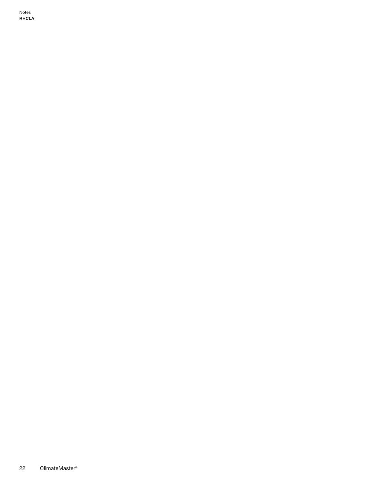Notes **RHCLA**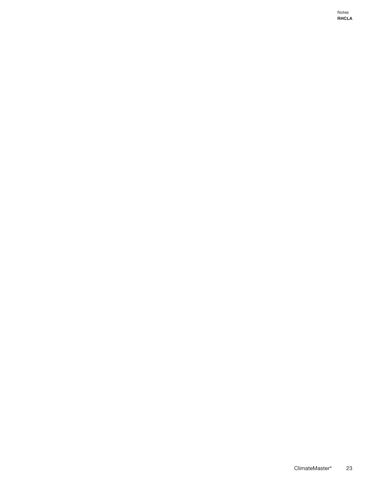Notes **RHCLA**